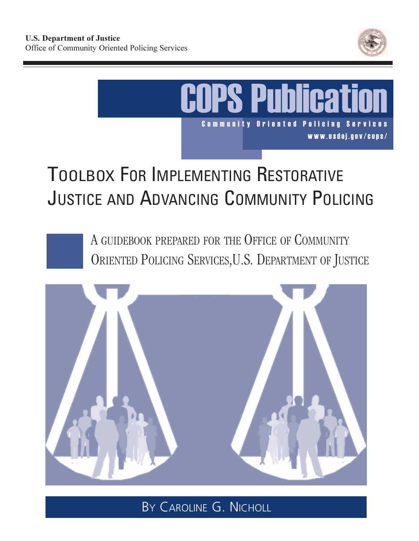



# TOOLBOX FOR IMPLEMENTING RESTORATIVE JUSTICE AND ADVANCING COMMUNITY POLICING

A GUIDEBOOK PREPARED FOR THE OFFICE OF COMMUNITY ORIENTED POLICING SERVICES, U.S. DEPARTMENT OF JUSTICE



BY CAROLINE G. NICHOLL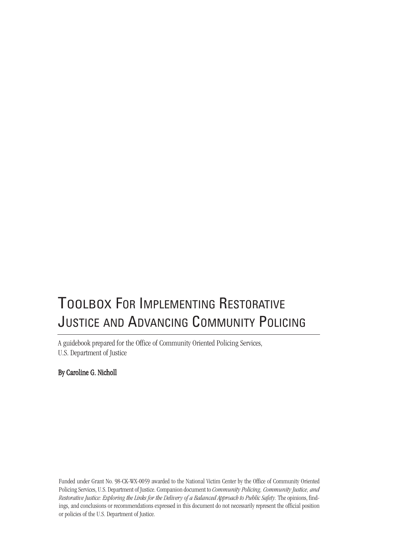## TOOLBOX FOR IMPLEMENTING RESTORATIVE JUSTICE AND ADVANCING COMMUNITY POLICING

A guidebook prepared for the Office of Community Oriented Policing Services, U.S. Department of Justice

By Caroline G. Nicholl

Funded under Grant No. 98-CK-WX-0059 awarded to the National Victim Center by the Office of Community Oriented Policing Services, U.S. Department of Justice. Companion document to *Community Policing, Community Justice, and Restorative Justice: Exploring the Links for the Delivery of a Balanced Approach to Public Safety.* The opinions, findings, and conclusions or recommendations expressed in this document do not necessarily represent the official position or policies of the U.S. Department of Justice.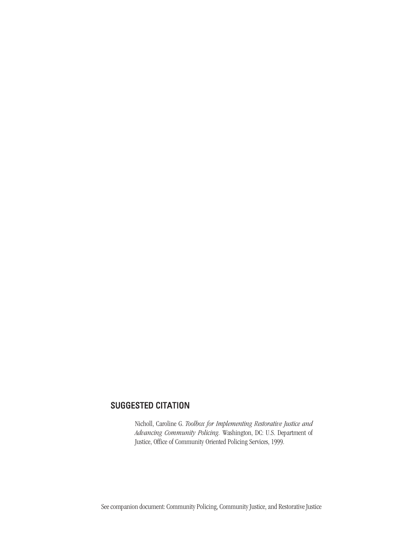#### SUGGESTED CITATION

Nicholl, Caroline G. *Toolbox for Implementing Restorative Justice and Advancing Community Policing.* Washington, DC: U.S. Department of Justice, Office of Community Oriented Policing Services, 1999.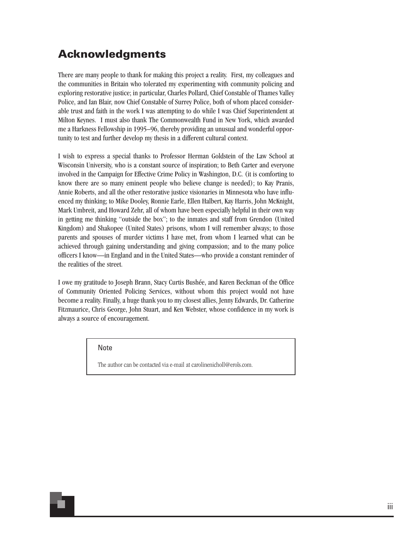### **Acknowledgments**

There are many people to thank for making this project a reality. First, my colleagues and the communities in Britain who tolerated my experimenting with community policing and exploring restorative justice; in particular, Charles Pollard, Chief Constable of Thames Valley Police, and Ian Blair, now Chief Constable of Surrey Police, both of whom placed considerable trust and faith in the work I was attempting to do while I was Chief Superintendent at Milton Keynes. I must also thank The Commonwealth Fund in New York, which awarded me a Harkness Fellowship in 1995–96, thereby providing an unusual and wonderful opportunity to test and further develop my thesis in a different cultural context.

I wish to express a special thanks to Professor Herman Goldstein of the Law School at Wisconsin University, who is a constant source of inspiration; to Beth Carter and everyone involved in the Campaign for Effective Crime Policy in Washington, D.C. (it is comforting to know there are so many eminent people who believe change is needed); to Kay Pranis, Annie Roberts, and all the other restorative justice visionaries in Minnesota who have influenced my thinking; to Mike Dooley, Ronnie Earle, Ellen Halbert, Kay Harris, John McKnight, Mark Umbreit, and Howard Zehr, all of whom have been especially helpful in their own way in getting me thinking "outside the box"; to the inmates and staff from Grendon (United Kingdom) and Shakopee (United States) prisons, whom I will remember always; to those parents and spouses of murder victims I have met, from whom I learned what can be achieved through gaining understanding and giving compassion; and to the many police officers I know—in England and in the United States—who provide a constant reminder of the realities of the street.

I owe my gratitude to Joseph Brann, Stacy Curtis Bushée, and Karen Beckman of the Office of Community Oriented Policing Services, without whom this project would not have become a reality. Finally, a huge thank you to my closest allies, Jenny Edwards, Dr. Catherine Fitzmaurice, Chris George, John Stuart, and Ken Webster, whose confidence in my work is always a source of encouragement.

Note

The author can be contacted via e-mail at carolinenicholl@erols.com.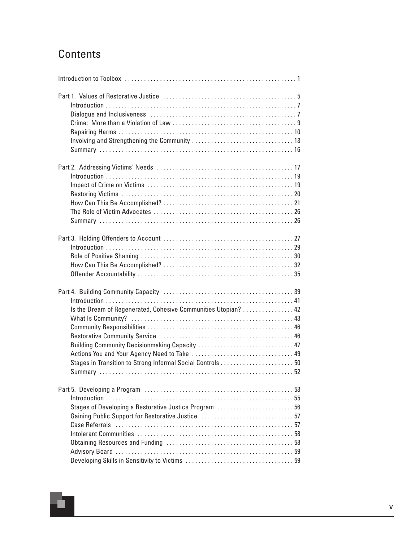## **Contents**

÷

| Is the Dream of Regenerated, Cohesive Communities Utopian?  42<br>Stages in Transition to Strong Informal Social Controls  50 |
|-------------------------------------------------------------------------------------------------------------------------------|
| Stages of Developing a Restorative Justice Program 56                                                                         |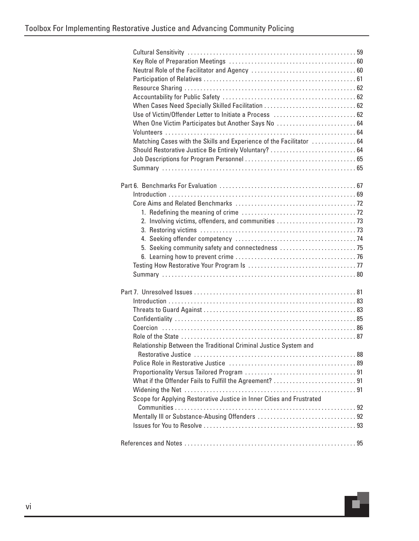| When One Victim Participates but Another Says No  64                                                 |
|------------------------------------------------------------------------------------------------------|
|                                                                                                      |
| Matching Cases with the Skills and Experience of the Facilitator  64                                 |
|                                                                                                      |
|                                                                                                      |
|                                                                                                      |
|                                                                                                      |
|                                                                                                      |
|                                                                                                      |
|                                                                                                      |
|                                                                                                      |
| 2. Involving victims, offenders, and communities 73                                                  |
|                                                                                                      |
|                                                                                                      |
| 5. Seeking community safety and connectedness 75                                                     |
|                                                                                                      |
|                                                                                                      |
|                                                                                                      |
|                                                                                                      |
|                                                                                                      |
|                                                                                                      |
|                                                                                                      |
|                                                                                                      |
|                                                                                                      |
|                                                                                                      |
| Relationship Between the Traditional Criminal Justice System and<br>88<br><b>Restorative Justice</b> |
|                                                                                                      |
|                                                                                                      |
| What if the Offender Fails to Fulfill the Agreement? 91                                              |
|                                                                                                      |
| Scope for Applying Restorative Justice in Inner Cities and Frustrated                                |
|                                                                                                      |
|                                                                                                      |
|                                                                                                      |
|                                                                                                      |
|                                                                                                      |

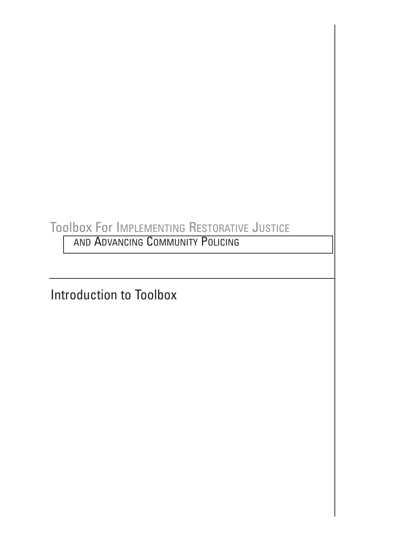## Toolbox For IMPLEMENTING RESTORATIVE JUSTICE

AND ADVANCING COMMUNITY POLICING

Introduction to Toolbox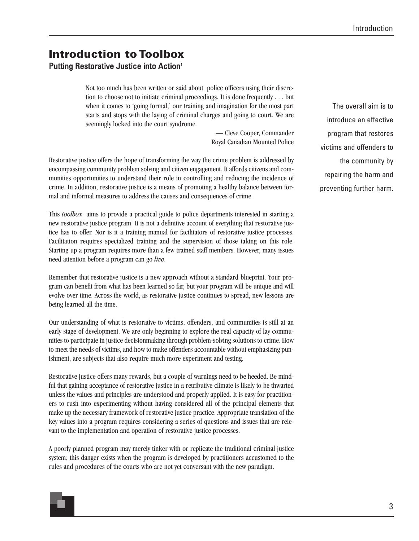### **Introduction to Toolbox** Putting Restorative Justice into Action<sup>1</sup>

Not too much has been written or said about police officers using their discretion to choose not to initiate criminal proceedings. It is done frequently . . . but when it comes to 'going formal,' our training and imagination for the most part starts and stops with the laying of criminal charges and going to court. We are seemingly locked into the court syndrome.

> — Cleve Cooper, Commander Royal Canadian Mounted Police

Restorative justice offers the hope of transforming the way the crime problem is addressed by encompassing community problem solving and citizen engagement. It affords citizens and communities opportunities to understand their role in controlling and reducing the incidence of crime. In addition, restorative justice is a means of promoting a healthy balance between formal and informal measures to address the causes and consequences of crime.

This *toolbox* aims to provide a practical guide to police departments interested in starting a new restorative justice program. It is not a definitive account of everything that restorative justice has to offer. Nor is it a training manual for facilitators of restorative justice processes. Facilitation requires specialized training and the supervision of those taking on this role. Starting up a program requires more than a few trained staff members. However, many issues need attention before a program can go *live*.

Remember that restorative justice is a new approach without a standard blueprint. Your program can benefit from what has been learned so far, but your program will be unique and will evolve over time. Across the world, as restorative justice continues to spread, new lessons are being learned all the time.

Our understanding of what is restorative to victims, offenders, and communities is still at an early stage of development. We are only beginning to explore the real capacity of lay communities to participate in justice decisionmaking through problem-solving solutions to crime. How to meet the needs of victims, and how to make offenders accountable without emphasizing punishment, are subjects that also require much more experiment and testing.

Restorative justice offers many rewards, but a couple of warnings need to be heeded. Be mindful that gaining acceptance of restorative justice in a retributive climate is likely to be thwarted unless the values and principles are understood and properly applied. It is easy for practitioners to rush into experimenting without having considered all of the principal elements that make up the necessary framework of restorative justice practice. Appropriate translation of the key values into a program requires considering a series of questions and issues that are relevant to the implementation and operation of restorative justice processes.

A poorly planned program may merely tinker with or replicate the traditional criminal justice system; this danger exists when the program is developed by practitioners accustomed to the rules and procedures of the courts who are not yet conversant with the new paradigm.

The overall aim is to introduce an effective program that restores victims and offenders to the community by repairing the harm and preventing further harm.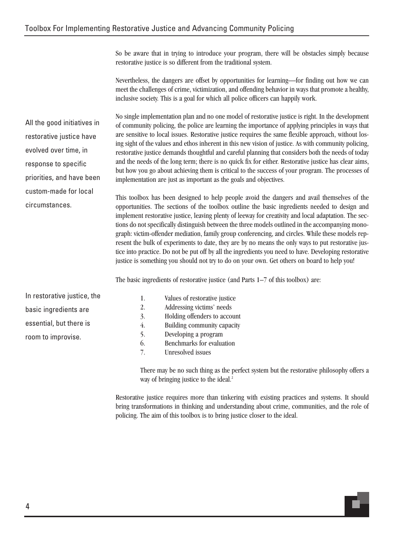So be aware that in trying to introduce your program, there will be obstacles simply because restorative justice is so different from the traditional system.

Nevertheless, the dangers are offset by opportunities for learning—for finding out how we can meet the challenges of crime, victimization, and offending behavior in ways that promote a healthy, inclusive society. This is a goal for which all police officers can happily work.

No single implementation plan and no one model of restorative justice is right. In the development of community policing, the police are learning the importance of applying principles in ways that are sensitive to local issues. Restorative justice requires the same flexible approach, without losing sight of the values and ethos inherent in this new vision of justice. As with community policing, restorative justice demands thoughtful and careful planning that considers both the needs of today and the needs of the long term; there is no quick fix for either. Restorative justice has clear aims, but how you go about achieving them is critical to the success of your program. The processes of implementation are just as important as the goals and objectives.

This toolbox has been designed to help people avoid the dangers and avail themselves of the opportunities. The sections of the toolbox outline the basic ingredients needed to design and implement restorative justice, leaving plenty of leeway for creativity and local adaptation. The sections do not specifically distinguish between the three models outlined in the accompanying monograph: victim-offender mediation, family group conferencing, and circles. While these models represent the bulk of experiments to date, they are by no means the only ways to put restorative justice into practice. Do not be put off by all the ingredients you need to have. Developing restorative justice is something you should not try to do on your own. Get others on board to help you!

The basic ingredients of restorative justice (and Parts 1–7 of this toolbox) are:

In restorative justice, the basic ingredients are essential, but there is room to improvise.

All the good initiatives in

restorative justice have

evolved over time, in

response to specific

circumstances.

priorities, and have been custom-made for local

> 1. Values of restorative justice 2. Addressing victims' needs 3. Holding offenders to account 4. Building community capacity 5. Developing a program 6. Benchmarks for evaluation 7. Unresolved issues

There may be no such thing as the perfect system but the restorative philosophy offers a way of bringing justice to the ideal.<sup>2</sup>

Restorative justice requires more than tinkering with existing practices and systems. It should bring transformations in thinking and understanding about crime, communities, and the role of policing. The aim of this toolbox is to bring justice closer to the ideal.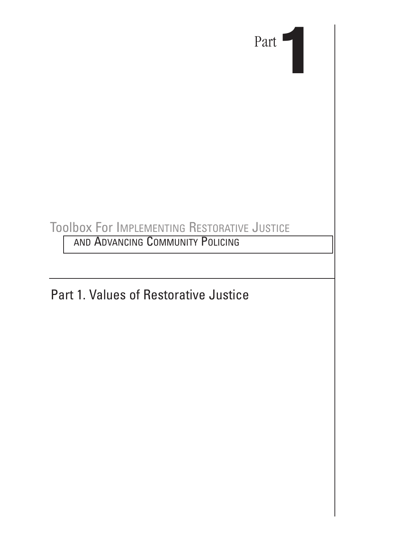

## Toolbox For IMPLEMENTING RESTORATIVE JUSTICE

AND ADVANCING COMMUNITY POLICING

Part 1. Values of Restorative Justice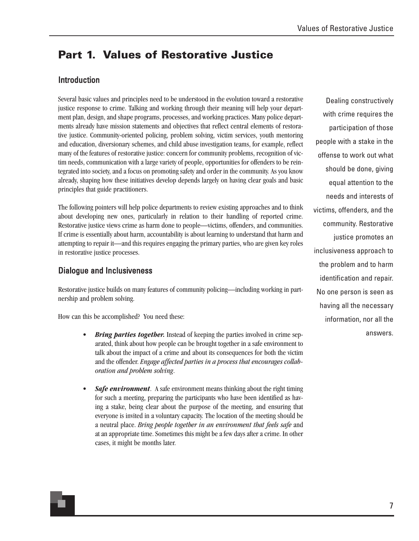## **Part 1. Values of Restorative Justice**

#### Introduction

Several basic values and principles need to be understood in the evolution toward a restorative justice response to crime. Talking and working through their meaning will help your department plan, design, and shape programs, processes, and working practices. Many police departments already have mission statements and objectives that reflect central elements of restorative justice. Community-oriented policing, problem solving, victim services, youth mentoring and education, diversionary schemes, and child abuse investigation teams, for example, reflect many of the features of restorative justice: concern for community problems, recognition of victim needs, communication with a large variety of people, opportunities for offenders to be reintegrated into society, and a focus on promoting safety and order in the community. As you know already, shaping how these initiatives develop depends largely on having clear goals and basic principles that guide practitioners.

The following pointers will help police departments to review existing approaches and to think about developing new ones, particularly in relation to their handling of reported crime. Restorative justice views crime as harm done to people—victims, offenders, and communities. If crime is essentially about harm, accountability is about learning to understand that harm and attempting to repair it—and this requires engaging the primary parties, who are given key roles in restorative justice processes.

#### Dialogue and Inclusiveness

Restorative justice builds on many features of community policing—including working in partnership and problem solving.

How can this be accomplished? You need these:

- **Bring parties together.** Instead of keeping the parties involved in crime separated, think about how people can be brought together in a safe environment to talk about the impact of a crime and about its consequences for both the victim and the offender. *Engage affected parties in a process that encourages collaboration and problem solving*.
- **Safe environment**. A safe environment means thinking about the right timing for such a meeting, preparing the participants who have been identified as having a stake, being clear about the purpose of the meeting, and ensuring that everyone is invited in a voluntary capacity. The location of the meeting should be a neutral place. *Bring people together in an environment that feels safe* and at an appropriate time. Sometimes this might be a few days after a crime. In other cases, it might be months later.

Dealing constructively with crime requires the participation of those people with a stake in the offense to work out what should be done, giving equal attention to the needs and interests of victims, offenders, and the community. Restorative justice promotes an inclusiveness approach to the problem and to harm identification and repair. No one person is seen as having all the necessary information, nor all the answers.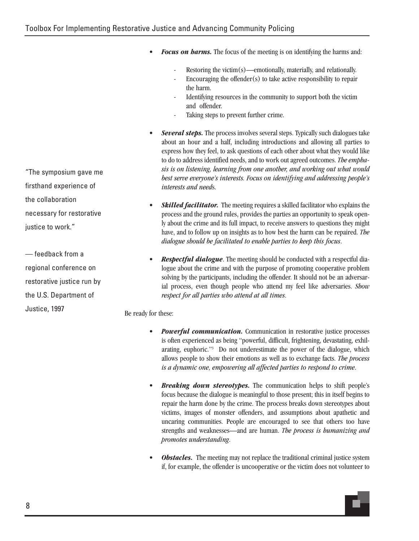- *Focus on harms*. The focus of the meeting is on identifying the harms and:
	- Restoring the victim $(s)$ —emotionally, materially, and relationally.
	- Encouraging the offender $(s)$  to take active responsibility to repair the harm.
	- Identifying resources in the community to support both the victim and offender.
	- Taking steps to prevent further crime.
- *Several steps.* The process involves several steps. Typically such dialogues take about an hour and a half, including introductions and allowing all parties to express how they feel, to ask questions of each other about what they would like to do to address identified needs, and to work out agreed outcomes. *The emphasis is on listening, learning from one another, and working out what would best serve everyone's interests. Focus on identifying and addressing people's interests and need*s.
- *Skilled facilitator.* The meeting requires a skilled facilitator who explains the process and the ground rules, provides the parties an opportunity to speak openly about the crime and its full impact, to receive answers to questions they might have, and to follow up on insights as to how best the harm can be repaired. *The dialogue should be facilitated to enable parties to keep this focus*.
- *Respectful dialogue*. The meeting should be conducted with a respectful dialogue about the crime and with the purpose of promoting cooperative problem solving by the participants, including the offender. It should not be an adversarial process, even though people who attend my feel like adversaries. *Show respect for all parties who attend at all times*.

Be ready for these:

- **Powerful communication.** Communication in restorative justice processes is often experienced as being "powerful, difficult, frightening, devastating, exhilarating, euphoric."3 Do not underestimate the power of the dialogue, which allows people to show their emotions as well as to exchange facts. *The process is a dynamic one, empowering all affected parties to respond to crime*.
- *Breaking down stereotypes.* The communication helps to shift people's focus because the dialogue is meaningful to those present; this in itself begins to repair the harm done by the crime. The process breaks down stereotypes about victims, images of monster offenders, and assumptions about apathetic and uncaring communities. People are encouraged to see that others too have strengths and weaknesses—and are human. *The process is humanizing and promotes understanding*.
- **Obstacles.** The meeting may not replace the traditional criminal justice system if, for example, the offender is uncooperative or the victim does not volunteer to

"The symposium gave me firsthand experience of the collaboration necessary for restorative justice to work."

— feedback from a regional conference on restorative justice run by the U.S. Department of Justice, 1997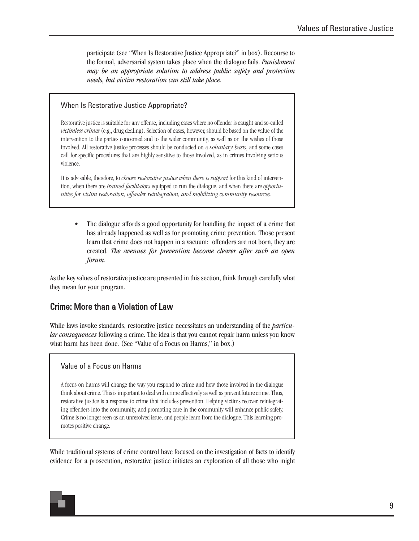participate (see "When Is Restorative Justice Appropriate?" in box). Recourse to the formal, adversarial system takes place when the dialogue fails. *Punishment may be an appropriate solution to address public safety and protection needs, but victim restoration can still take place.*

#### When Is Restorative Justice Appropriate?

Restorative justice is suitable for any offense, including cases where no offender is caught and so-called *victimless crimes* (e.g., drug dealing). Selection of cases, however, should be based on the value of the intervention to the parties concerned and to the wider community, as well as on the wishes of those involved. All restorative justice processes should be conducted on a *voluntary basis*, and some cases call for specific procedures that are highly sensitive to those involved, as in crimes involving serious violence.

It is advisable, therefore, to *choose restorative justice when there is support* for this kind of intervention, when there are *trained facilitators* equipped to run the dialogue, and when there are *opportunities for victim restoration, offender reintegration, and mobilizing community resources*.

• The dialogue affords a good opportunity for handling the impact of a crime that has already happened as well as for promoting crime prevention. Those present learn that crime does not happen in a vacuum: offenders are not born, they are created. *The avenues for prevention become clearer after such an open forum*.

As the key values of restorative justice are presented in this section, think through carefully what they mean for your program.

#### Crime: More than a Violation of Law

While laws invoke standards, restorative justice necessitates an understanding of the *particular consequences* following a crime. The idea is that you cannot repair harm unless you know what harm has been done. (See "Value of a Focus on Harms," in box.)

#### Value of a Focus on Harms

A focus on harms will change the way you respond to crime and how those involved in the dialogue think about crime. This is important to deal with crime effectively as well as prevent future crime. Thus, restorative justice is a response to crime that includes prevention. Helping victims recover, reintegrating offenders into the community, and promoting care in the community will enhance public safety. Crime is no longer seen as an unresolved issue, and people learn from the dialogue. This learning promotes positive change.

While traditional systems of crime control have focused on the investigation of facts to identify evidence for a prosecution, restorative justice initiates an exploration of all those who might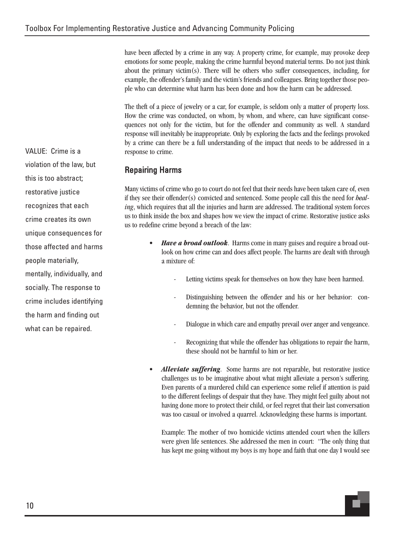have been affected by a crime in any way. A property crime, for example, may provoke deep emotions for some people, making the crime harmful beyond material terms. Do not just think about the primary victim(s). There will be others who suffer consequences, including, for example, the offender's family and the victim's friends and colleagues. Bring together those people who can determine what harm has been done and how the harm can be addressed.

The theft of a piece of jewelry or a car, for example, is seldom only a matter of property loss. How the crime was conducted, on whom, by whom, and where, can have significant consequences not only for the victim, but for the offender and community as well. A standard response will inevitably be inappropriate. Only by exploring the facts and the feelings provoked by a crime can there be a full understanding of the impact that needs to be addressed in a response to crime.

#### Repairing Harms

Many victims of crime who go to court do not feel that their needs have been taken care of, even if they see their offender(s) convicted and sentenced. Some people call this the need for *healing*, which requires that all the injuries and harm are addressed. The traditional system forces us to think inside the box and shapes how we view the impact of crime. Restorative justice asks us to redefine crime beyond a breach of the law:

- *Have a broad outlook*. Harms come in many guises and require a broad outlook on how crime can and does affect people. The harms are dealt with through a mixture of:
	- Letting victims speak for themselves on how they have been harmed.
	- Distinguishing between the offender and his or her behavior: condemning the behavior, but not the offender.
	- Dialogue in which care and empathy prevail over anger and vengeance.
	- Recognizing that while the offender has obligations to repair the harm, these should not be harmful to him or her.
- *Alleviate suffering*. Some harms are not reparable, but restorative justice challenges us to be imaginative about what might alleviate a person's suffering. Even parents of a murdered child can experience some relief if attention is paid to the different feelings of despair that they have. They might feel guilty about not having done more to protect their child, or feel regret that their last conversation was too casual or involved a quarrel. Acknowledging these harms is important.

Example: The mother of two homicide victims attended court when the killers were given life sentences. She addressed the men in court: "The only thing that has kept me going without my boys is my hope and faith that one day I would see

VALUE: Crime is a violation of the law, but this is too abstract; restorative justice recognizes that each crime creates its own unique consequences for those affected and harms people materially, mentally, individually, and socially. The response to crime includes identifying the harm and finding out what can be repaired.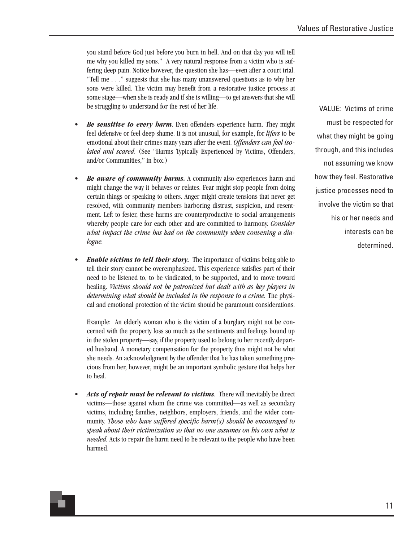you stand before God just before you burn in hell. And on that day you will tell me why you killed my sons." A very natural response from a victim who is suffering deep pain. Notice however, the question she has—even after a court trial. "Tell me . . ." suggests that she has many unanswered questions as to why her sons were killed. The victim may benefit from a restorative justice process at some stage—when she is ready and if she is willing—to get answers that she will be struggling to understand for the rest of her life.

- *Be sensitive to every harm*. Even offenders experience harm. They might feel defensive or feel deep shame. It is not unusual, for example, for *lifers* to be emotional about their crimes many years after the event. *Offenders can feel isolated and scared*. (See "Harms Typically Experienced by Victims, Offenders, and/or Communities," in box.)
- *Be aware of community harms.* A community also experiences harm and might change the way it behaves or relates. Fear might stop people from doing certain things or speaking to others. Anger might create tensions that never get resolved, with community members harboring distrust, suspicion, and resentment. Left to fester, these harms are counterproductive to social arrangements whereby people care for each other and are committed to harmony. *Consider what impact the crime has had on the community when convening a dialogue.*
- *Enable victims to tell their story.* The importance of victims being able to tell their story cannot be overemphasized. This experience satisfies part of their need to be listened to, to be vindicated, to be supported, and to move toward healing. *Victims should not be patronized but dealt with as key players in determining what should be included in the response to a crime.* The physical and emotional protection of the victim should be paramount considerations.

Example: An elderly woman who is the victim of a burglary might not be concerned with the property loss so much as the sentiments and feelings bound up in the stolen property—say, if the property used to belong to her recently departed husband. A monetary compensation for the property thus might not be what she needs. An acknowledgment by the offender that he has taken something precious from her, however, might be an important symbolic gesture that helps her to heal.

• *Acts of repair must be relevant to victims*. There will inevitably be direct victims—those against whom the crime was committed—as well as secondary victims, including families, neighbors, employers, friends, and the wider community. *Those who have suffered specific harm(s) should be encouraged to speak about their victimization so that no one assumes on his own what is needed.* Acts to repair the harm need to be relevant to the people who have been harmed.

VALUE: Victims of crime must be respected for what they might be going through, and this includes not assuming we know how they feel. Restorative justice processes need to involve the victim so that his or her needs and interests can be determined.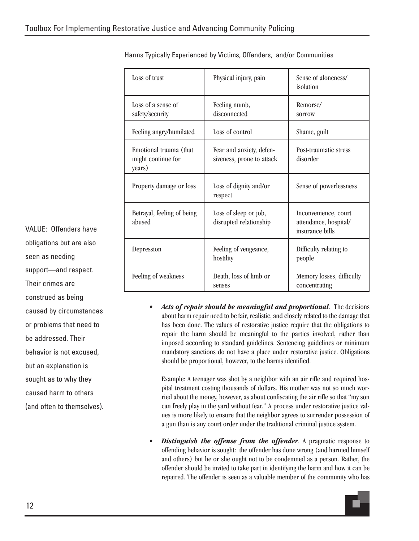| Loss of trust                                          | Physical injury, pain                                 | Sense of aloneness/<br>isolation                                 |
|--------------------------------------------------------|-------------------------------------------------------|------------------------------------------------------------------|
| Loss of a sense of<br>safety/security                  | Feeling numb,<br>disconnected                         | Remorse/<br>sorrow                                               |
| Feeling angry/humilated                                | Loss of control                                       | Shame, guilt                                                     |
| Emotional trauma (that<br>might continue for<br>years) | Fear and anxiety, defen-<br>siveness, prone to attack | Post-traumatic stress<br>disorder                                |
| Property damage or loss                                | Loss of dignity and/or<br>respect                     | Sense of powerlessness                                           |
| Betrayal, feeling of being<br>abused                   | Loss of sleep or job,<br>disrupted relationship       | Inconvenience, court<br>attendance, hospital/<br>insurance bills |
| Depression                                             | Feeling of vengeance,<br>hostility                    | Difficulty relating to<br>people                                 |
| Feeling of weakness                                    | Death, loss of limb or<br>senses                      | Memory losses, difficulty<br>concentrating                       |

Harms Typically Experienced by Victims, Offenders, and/or Communities

• *Acts of repair should be meaningful and proportional.* The decisions about harm repair need to be fair, realistic, and closely related to the damage that has been done. The values of restorative justice require that the obligations to repair the harm should be meaningful to the parties involved, rather than imposed according to standard guidelines. Sentencing guidelines or minimum mandatory sanctions do not have a place under restorative justice. Obligations should be proportional, however, to the harms identified.

Example: A teenager was shot by a neighbor with an air rifle and required hospital treatment costing thousands of dollars. His mother was not so much worried about the money, however, as about confiscating the air rifle so that "my son can freely play in the yard without fear." A process under restorative justice values is more likely to ensure that the neighbor agrees to surrender possession of a gun than is any court order under the traditional criminal justice system.

**Distinguish the offense from the offender**. A pragmatic response to offending behavior is sought: the offender has done wrong (and harmed himself and others) but he or she ought not to be condemned as a person. Rather, the offender should be invited to take part in identifying the harm and how it can be repaired. The offender is seen as a valuable member of the community who has

VALUE: Offenders have obligations but are also seen as needing support—and respect. Their crimes are construed as being caused by circumstances or problems that need to be addressed. Their behavior is not excused, but an explanation is sought as to why they caused harm to others (and often to themselves).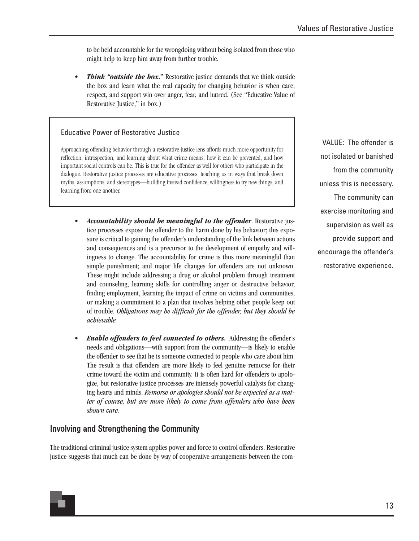to be held accountable for the wrongdoing without being isolated from those who might help to keep him away from further trouble.

• *Think "outside the box.***"** Restorative justice demands that we think outside the box and learn what the real capacity for changing behavior is when care, respect, and support win over anger, fear, and hatred. (See "Educative Value of Restorative Justice," in box.)

#### Educative Power of Restorative Justice

Approaching offending behavior through a restorative justice lens affords much more opportunity for reflection, introspection, and learning about what crime means, how it can be prevented, and how important social controls can be. This is true for the offender as well for others who participate in the dialogue. Restorative justice processes are educative processes, teaching us in ways that break down myths, assumptions, and stereotypes—building instead confidence, willingness to try new things, and learning from one another.

- *Accountability should be meaningful to the offender*. Restorative justice processes expose the offender to the harm done by his behavior; this exposure is critical to gaining the offender's understanding of the link between actions and consequences and is a precursor to the development of empathy and willingness to change. The accountability for crime is thus more meaningful than simple punishment; and major life changes for offenders are not unknown. These might include addressing a drug or alcohol problem through treatment and counseling, learning skills for controlling anger or destructive behavior, finding employment, learning the impact of crime on victims and communities, or making a commitment to a plan that involves helping other people keep out of trouble. *Obligations may be difficult for the offender, but they should be achievable.*
- *Enable offenders to feel connected to others***.** Addressing the offender's needs and obligations—with support from the community—is likely to enable the offender to see that he is someone connected to people who care about him. The result is that offenders are more likely to feel genuine remorse for their crime toward the victim and community. It is often hard for offenders to apologize, but restorative justice processes are intensely powerful catalysts for changing hearts and minds. *Remorse or apologies should not be expected as a matter of course, but are more likely to come from offenders who have been shown care.*

#### Involving and Strengthening the Community

The traditional criminal justice system applies power and force to control offenders. Restorative justice suggests that much can be done by way of cooperative arrangements between the com-

VALUE: The offender is not isolated or banished from the community unless this is necessary. The community can exercise monitoring and supervision as well as provide support and encourage the offender's restorative experience.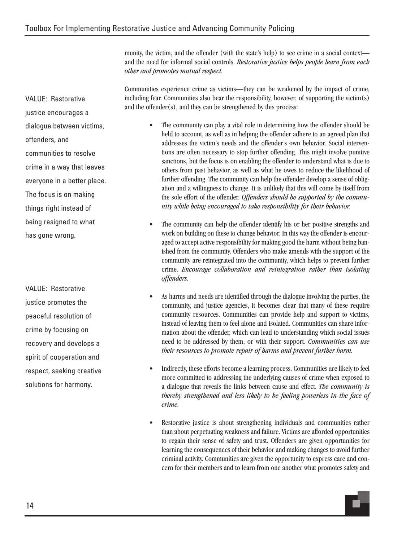munity, the victim, and the offender (with the state's help) to see crime in a social context and the need for informal social controls. *Restorative justice helps people learn from each other and promotes mutual respect.*

Communities experience crime as victims—they can be weakened by the impact of crime, including fear. Communities also bear the responsibility, however, of supporting the victim(s) and the offender(s), and they can be strengthened by this process:

- The community can play a vital role in determining how the offender should be held to account, as well as in helping the offender adhere to an agreed plan that addresses the victim's needs and the offender's own behavior. Social interventions are often necessary to stop further offending. This might involve punitive sanctions, but the focus is on enabling the offender to understand what is due to others from past behavior, as well as what he owes to reduce the likelihood of further offending. The community can help the offender develop a sense of obligation and a willingness to change. It is unlikely that this will come by itself from the sole effort of the offender. *Offenders should be supported by the community while being encouraged to take responsibility for their behavior.*
- The community can help the offender identify his or her positive strengths and work on building on these to change behavior. In this way the offender is encouraged to accept active responsibility for making good the harm without being banished from the community. Offenders who make amends with the support of the community are reintegrated into the community, which helps to prevent further crime. *Encourage collaboration and reintegration rather than isolating offenders.*
- As harms and needs are identified through the dialogue involving the parties, the community, and justice agencies, it becomes clear that many of these require community resources. Communities can provide help and support to victims, instead of leaving them to feel alone and isolated. Communities can share information about the offender, which can lead to understanding which social issues need to be addressed by them, or with their support. *Communities can use their resources to promote repair of harms and prevent further harm.*
- Indirectly, these efforts become a learning process. Communities are likely to feel more committed to addressing the underlying causes of crime when exposed to a dialogue that reveals the links between cause and effect. *The community is thereby strengthened and less likely to be feeling powerless in the face of crime.*
- Restorative justice is about strengthening individuals and communities rather than about perpetuating weakness and failure. Victims are afforded opportunities to regain their sense of safety and trust. Offenders are given opportunities for learning the consequences of their behavior and making changes to avoid further criminal activity. Communities are given the opportunity to express care and concern for their members and to learn from one another what promotes safety and

VALUE: Restorative justice encourages a dialogue between victims, offenders, and communities to resolve crime in a way that leaves everyone in a better place. The focus is on making things right instead of being resigned to what has gone wrong.

VALUE: Restorative justice promotes the peaceful resolution of crime by focusing on recovery and develops a spirit of cooperation and respect, seeking creative solutions for harmony.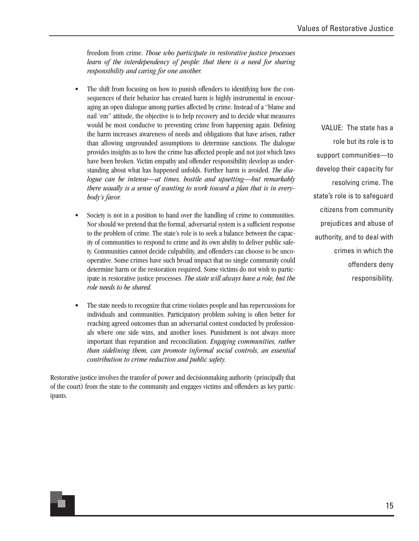freedom from crime. *Those who participate in restorative justice processes learn of the interdependency of people: that there is a need for sharing responsibility and caring for one another.*

- The shift from focusing on how to punish offenders to identifying how the consequences of their behavior has created harm is highly instrumental in encouraging an open dialogue among parties affected by crime. Instead of a "blame and nail 'em" attitude, the objective is to help recovery and to decide what measures would be most conducive to preventing crime from happening again. Defining the harm increases awareness of needs and obligations that have arisen, rather than allowing ungrounded assumptions to determine sanctions. The dialogue provides insights as to how the crime has affected people and not just which laws have been broken. Victim empathy and offender responsibility develop as understanding about what has happened unfolds. Further harm is avoided. *The dialogue can be intense—at times, hostile and upsetting—but remarkably there usually is a sense of wanting to work toward a plan that is in everybody's favor.*
- Society is not in a position to hand over the handling of crime to communities. Nor should we pretend that the formal, adversarial system is a sufficient response to the problem of crime. The state's role is to seek a balance between the capacity of communities to respond to crime and its own ability to deliver public safety. Communities cannot decide culpability, and offenders can choose to be uncooperative. Some crimes have such broad impact that no single community could determine harm or the restoration required. Some victims do not wish to participate in restorative justice processes. *The state will always have a role, but the role needs to be shared.*
- The state needs to recognize that crime violates people and has repercussions for individuals and communities. Participatory problem solving is often better for reaching agreed outcomes than an adversarial contest conducted by professionals where one side wins, and another loses. Punishment is not always more important than reparation and reconciliation. *Engaging communities, rather than sidelining them, can promote informal social controls, an essential contribution to crime reduction and public safety.*

Restorative justice involves the transfer of power and decisionmaking authority (principally that of the court) from the state to the community and engages victims and offenders as key participants.

VALUE: The state has a role but its role is to support communities—to develop their capacity for resolving crime. The state's role is to safeguard citizens from community prejudices and abuse of authority, and to deal with crimes in which the offenders deny responsibility.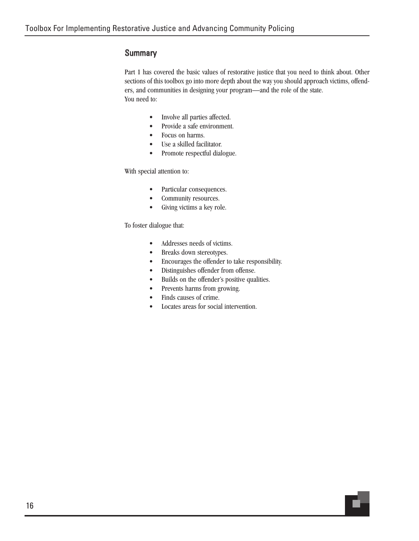#### **Summary**

Part 1 has covered the basic values of restorative justice that you need to think about. Other sections of this toolbox go into more depth about the way you should approach victims, offenders, and communities in designing your program—and the role of the state. You need to:

- Involve all parties affected.
- Provide a safe environment.
- Focus on harms.
- Use a skilled facilitator.
- Promote respectful dialogue.

#### With special attention to:

- Particular consequences.
- Community resources.
- Giving victims a key role.

To foster dialogue that:

- Addresses needs of victims.
- Breaks down stereotypes.
- Encourages the offender to take responsibility.
- Distinguishes offender from offense.
- Builds on the offender's positive qualities.
- Prevents harms from growing.
- Finds causes of crime.
- Locates areas for social intervention.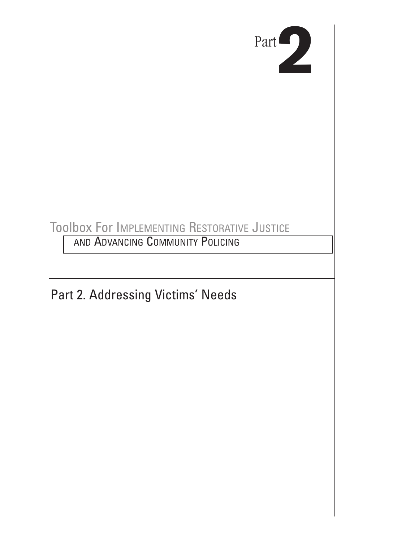

## Toolbox For IMPLEMENTING RESTORATIVE JUSTICE

AND ADVANCING COMMUNITY POLICING

Part 2. Addressing Victims' Needs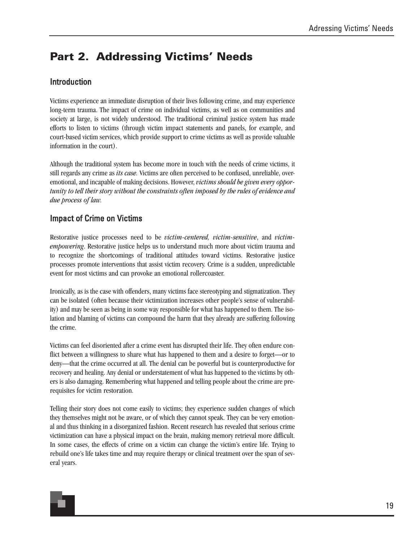### **Part 2. Addressing Victims' Needs**

#### Introduction

Victims experience an immediate disruption of their lives following crime, and may experience long-term trauma. The impact of crime on individual victims, as well as on communities and society at large, is not widely understood. The traditional criminal justice system has made efforts to listen to victims (through victim impact statements and panels, for example, and court-based victim services, which provide support to crime victims as well as provide valuable information in the court).

Although the traditional system has become more in touch with the needs of crime victims, it still regards any crime as *its case.* Victims are often perceived to be confused, unreliable, overemotional, and incapable of making decisions. However, *victims should be given every opportunity to tell their story without the constraints often imposed by the rules of evidence and due process of law.*

#### Impact of Crime on Victims

Restorative justice processes need to be *victim-centered, victim-sensitive*, and *victimempowering*. Restorative justice helps us to understand much more about victim trauma and to recognize the shortcomings of traditional attitudes toward victims. Restorative justice processes promote interventions that assist victim recovery. Crime is a sudden, unpredictable event for most victims and can provoke an emotional rollercoaster.

Ironically, as is the case with offenders, many victims face stereotyping and stigmatization. They can be isolated (often because their victimization increases other people's sense of vulnerability) and may be seen as being in some way responsible for what has happened to them. The isolation and blaming of victims can compound the harm that they already are suffering following the crime.

Victims can feel disoriented after a crime event has disrupted their life. They often endure conflict between a willingness to share what has happened to them and a desire to forget—or to deny—that the crime occurred at all. The denial can be powerful but is counterproductive for recovery and healing. Any denial or understatement of what has happened to the victims by others is also damaging. Remembering what happened and telling people about the crime are prerequisites for victim restoration.

Telling their story does not come easily to victims; they experience sudden changes of which they themselves might not be aware, or of which they cannot speak. They can be very emotional and thus thinking in a disorganized fashion. Recent research has revealed that serious crime victimization can have a physical impact on the brain, making memory retrieval more difficult. In some cases, the effects of crime on a victim can change the victim's entire life. Trying to rebuild one's life takes time and may require therapy or clinical treatment over the span of several years.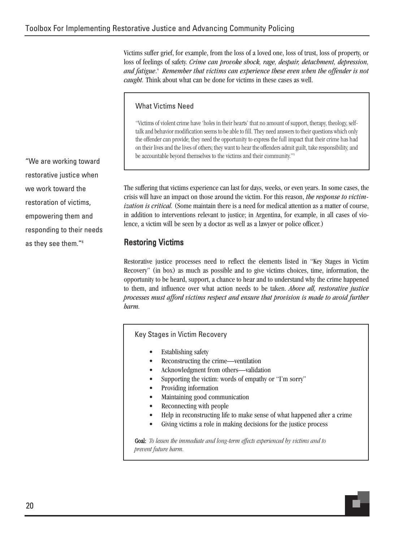Victims suffer grief, for example, from the loss of a loved one, loss of trust, loss of property, or loss of feelings of safety. *Crime can provoke shock, rage, despair, detachment, depression, and fatigue*. <sup>4</sup> *Remember that victims can experience these even when the offender is not caught.* Think about what can be done for victims in these cases as well.

#### What Victims Need

"Victims of violent crime have 'holes in their hearts' that no amount of support, therapy, theology, selftalk and behavior modification seems to be able to fill. They need answers to their questions which only the offender can provide; they need the opportunity to express the full impact that their crime has had on their lives and the lives of others; they want to hear the offenders admit guilt, take responsibility, and be accountable beyond themselves to the victims and their community."<sup>5</sup>

The suffering that victims experience can last for days, weeks, or even years. In some cases, the crisis will have an impact on those around the victim. For this reason, *the response to victimization is critical.* (Some maintain there is a need for medical attention as a matter of course, in addition to interventions relevant to justice; in Argentina, for example, in all cases of violence, a victim will be seen by a doctor as well as a lawyer or police officer.)

#### Restoring Victims

Restorative justice processes need to reflect the elements listed in "Key Stages in Victim Recovery" (in box) as much as possible and to give victims choices, time, information, the opportunity to be heard, support, a chance to hear and to understand why the crime happened to them, and influence over what action needs to be taken. *Above all, restorative justice processes must afford victims respect and ensure that provision is made to avoid further harm.*

Key Stages in Victim Recovery

- Establishing safety
- Reconstructing the crime—ventilation
- Acknowledgment from others—validation
- Supporting the victim: words of empathy or "I'm sorry"
- Providing information
- Maintaining good communication
- Reconnecting with people
- Help in reconstructing life to make sense of what happened after a crime
- Giving victims a role in making decisions for the justice process

Goal: *To lessen the immediate and long-term effects experienced by victims and to prevent future harm.*

"We are working toward restorative justice when we work toward the restoration of victims, empowering them and responding to their needs as they see them."6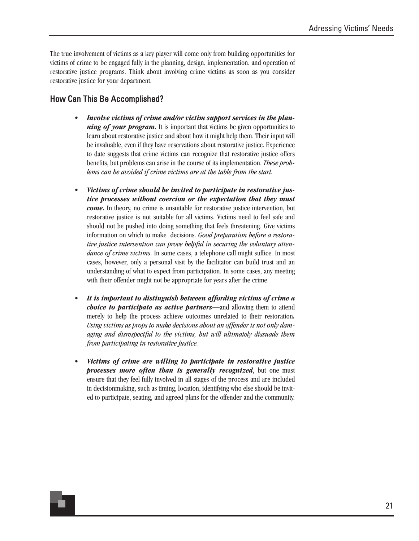The true involvement of victims as a key player will come only from building opportunities for victims of crime to be engaged fully in the planning, design, implementation, and operation of restorative justice programs. Think about involving crime victims as soon as you consider restorative justice for your department.

#### How Can This Be Accomplished?

- *Involve victims of crime and/or victim support services in the planning of your program*. It is important that victims be given opportunities to learn about restorative justice and about how it might help them. Their input will be invaluable, even if they have reservations about restorative justice. Experience to date suggests that crime victims can recognize that restorative justice offers benefits, but problems can arise in the course of its implementation. *These problems can be avoided if crime victims are at the table from the start.*
- *Victims of crime should be invited to participate in restorative justice processes without coercion or the expectation that they must come.* In theory, no crime is unsuitable for restorative justice intervention, but restorative justice is not suitable for all victims. Victims need to feel safe and should not be pushed into doing something that feels threatening. Give victims information on which to make decisions. *Good preparation before a restorative justice intervention can prove helpful in securing the voluntary attendance of crime victims*. In some cases, a telephone call might suffice. In most cases, however, only a personal visit by the facilitator can build trust and an understanding of what to expect from participation. In some cases, any meeting with their offender might not be appropriate for years after the crime.
- *It is important to distinguish between affording victims of crime a choice to participate as active partners—*and allowing them to attend merely to help the process achieve outcomes unrelated to their restoration*. Using victims as props to make decisions about an offender is not only damaging and disrespectful to the victims, but will ultimately dissuade them from participating in restorative justice.*
- *Victims of crime are willing to participate in restorative justice processes more often than is generally recognized*, but one must ensure that they feel fully involved in all stages of the process and are included in decisionmaking, such as timing, location, identifying who else should be invited to participate, seating, and agreed plans for the offender and the community.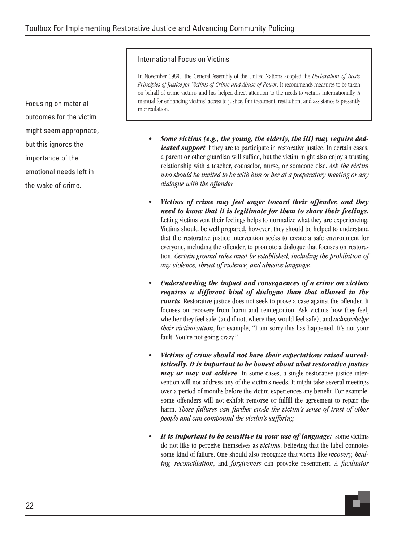#### International Focus on Victims

In November 1989, the General Assembly of the United Nations adopted the *Declaration of Basic Principles of Justice for Victims of Crime and Abuse of Power*. It recommends measures to be taken on behalf of crime victims and has helped direct attention to the needs to victims internationally. A manual for enhancing victims' access to justice, fair treatment, restitution, and assistance is presently in circulation.

- *Some victims (e.g., the young, the elderly, the ill) may require dedicated support* if they are to participate in restorative justice. In certain cases, a parent or other guardian will suffice, but the victim might also enjoy a trusting relationship with a teacher, counselor, nurse, or someone else. *Ask the victim who should be invited to be with him or her at a preparatory meeting or any dialogue with the offender.*
- *Victims of crime may feel anger toward their offender, and they need to know that it is legitimate for them to share their feelings.* Letting victims vent their feelings helps to normalize what they are experiencing. Victims should be well prepared, however; they should be helped to understand that the restorative justice intervention seeks to create a safe environment for everyone, including the offender, to promote a dialogue that focuses on restoration. *Certain ground rules must be established, including the prohibition of any violence, threat of violence, and abusive language.*
- *Understanding the impact and consequences of a crime on victims requires a different kind of dialogue than that allowed in the courts*. Restorative justice does not seek to prove a case against the offender. It focuses on recovery from harm and reintegration. Ask victims how they feel, whether they feel safe (and if not, where they would feel safe), and *acknowledge their victimization*, for example, "I am sorry this has happened. It's not your fault. You're not going crazy."
- *Victims of crime should not have their expectations raised unrealistically. It is important to be honest about what restorative justice may or may not achieve*. In some cases, a single restorative justice intervention will not address any of the victim's needs. It might take several meetings over a period of months before the victim experiences any benefit. For example, some offenders will not exhibit remorse or fulfill the agreement to repair the harm. *These failures can further erode the victim's sense of trust of other people and can compound the victim's suffering.*
- *It is important to be sensitive in your use of language:* some victims do not like to perceive themselves as *victims*, believing that the label connotes some kind of failure. One should also recognize that words like *recovery, healing, reconciliation*, and *forgiveness* can provoke resentment. *A facilitator*

Focusing on material outcomes for the victim might seem appropriate, but this ignores the importance of the emotional needs left in the wake of crime.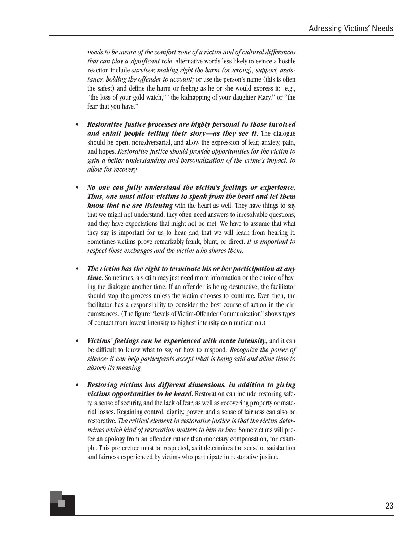*needs to be aware of the comfort zone of a victim and of cultural differences that can play a significant role*. Alternative words less likely to evince a hostile reaction include *survivor, making right the harm (or wrong), support, assistance, holding the offender to account;* or use the person's name (this is often the safest) and define the harm or feeling as he or she would express it: e.g., "the loss of your gold watch," "the kidnapping of your daughter Mary," or "the fear that you have."

- *Restorative justice processes are highly personal to those involved and entail people telling their story—as they see it*. The dialogue should be open, nonadversarial, and allow the expression of fear, anxiety, pain, and hopes. *Restorative justice should provide opportunities for the victim to gain a better understanding and personalization of the crime's impact, to allow for recovery.*
- *No one can fully understand the victim's feelings or experience. Thus, one must allow victims to speak from the heart and let them know that we are listening* with the heart as well. They have things to say that we might not understand; they often need answers to irresolvable questions; and they have expectations that might not be met. We have to assume that what they say is important for us to hear and that we will learn from hearing it. Sometimes victims prove remarkably frank, blunt, or direct. *It is important to respect these exchanges and the victim who shares them*.
- *The victim has the right to terminate his or her participation at any time*. Sometimes, a victim may just need more information or the choice of having the dialogue another time. If an offender is being destructive, the facilitator should stop the process unless the victim chooses to continue. Even then, the facilitator has a responsibility to consider the best course of action in the circumstances. (The figure "Levels of Victim-Offender Communication" shows types of contact from lowest intensity to highest intensity communication.)
- *Victims' feelings can be experienced with acute intensity,* and it can be difficult to know what to say or how to respond. *Recognize the power of silence; it can help participants accept what is being said and allow time to absorb its meaning.*
- *Restoring victims has different dimensions, in addition to giving victims opportunities to be heard*. Restoration can include restoring safety, a sense of security, and the lack of fear, as well as recovering property or material losses. Regaining control, dignity, power, and a sense of fairness can also be restorative. *The critical element in restorative justice is that the victim determines which kind of restoration matters to him or her*: Some victims will prefer an apology from an offender rather than monetary compensation, for example. This preference must be respected, as it determines the sense of satisfaction and fairness experienced by victims who participate in restorative justice.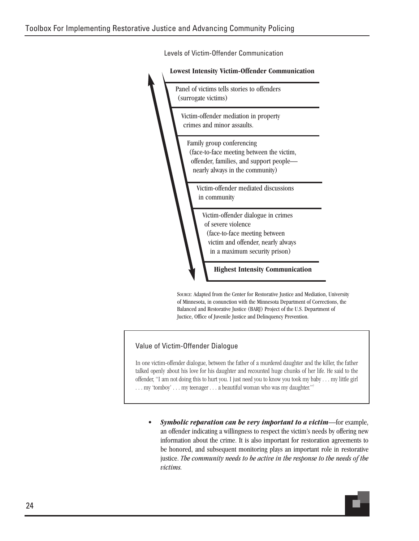**Lowest Intensity Victim-Offender Communication** Panel of victims tells stories to offenders (surrogate victims) Victim-offender mediation in property crimes and minor assaults. Family group conferencing (face-to-face meeting between the victim, offender, families, and support people nearly always in the community) Victim-offender mediated discussions in community Victim-offender dialogue in crimes of severe violence (face-to-face meeting between victim and offender, nearly always in a maximum security prison) **Highest Intensity Communication**

Levels of Victim-Offender Communication

SOURCE: Adapted from the Center for Restorative Justice and Mediation, University of Minnesota, in conunction with the Minnesota Department of Corrections, the Balanced and Restorative Justice (BARJ) Project of the U.S. Department of Juctice, Office of Juvenile Justice and Delinquency Prevention.

#### Value of Victim-Offender Dialogue

In one victim-offender dialogue, between the father of a murdered daughter and the killer, the father talked openly about his love for his daughter and recounted huge chunks of her life. He said to the offender, "I am not doing this to hurt you. I just need you to know you took my baby . . . my little girl ... my 'tomboy' ... my teenager ... a beautiful woman who was my daughter."7

• *Symbolic reparation can be very important to a victim*—for example, an offender indicating a willingness to respect the victim's needs by offering new information about the crime. It is also important for restoration agreements to be honored, and subsequent monitoring plays an important role in restorative justice. *The community needs to be active in the response to the needs of the victims.*

24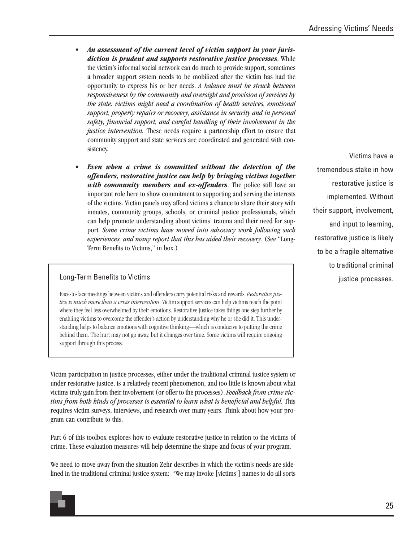- *An assessment of the current level of victim support in your jurisdiction is prudent and supports restorative justice processes*. While the victim's informal social network can do much to provide support, sometimes a broader support system needs to be mobilized after the victim has had the opportunity to express his or her needs. *A balance must be struck between responsiveness by the community and oversight and provision of services by the state: victims might need a coordination of health services, emotional support, property repairs or recovery, assistance in security and in personal safety, financial support, and careful handling of their involvement in the justice intervention.* These needs require a partnership effort to ensure that community support and state services are coordinated and generated with consistency.
- *Even when a crime is committed without the detection of the offenders, restorative justice can help by bringing victims together with community members and ex-offenders*. The police still have an important role here to show commitment to supporting and serving the interests of the victims. Victim panels may afford victims a chance to share their story with inmates, community groups, schools, or criminal justice professionals, which can help promote understanding about victims' trauma and their need for support. *Some crime victims have moved into advocacy work following such experiences, and many report that this has aided their recovery*. (See "Long-Term Benefits to Victims," in box.)

#### Long-Term Benefits to Victims **the Contract of Contract Contract Contract Contract Contract Contract Contract Contract Contract Contract Contract Contract Contract Contract Contract Contract Contract Contract Contract Cont**

Face-to-face meetings between victims and offenders carry potential risks and rewards. *Restorative justice is much more than a crisis intervention.* Victim support services can help victims reach the point where they feel less overwhelmed by their emotions. Restorative justice takes things one step further by enabling victims to overcome the offender's action by understanding why he or she did it. This understanding helps to balance emotions with cognitive thinking—which is conducive to putting the crime behind them. The hurt may not go away, but it changes over time. Some victims will require ongoing support through this process.

Victim participation in justice processes, either under the traditional criminal justice system or under restorative justice, is a relatively recent phenomenon, and too little is known about what victims truly gain from their involvement (or offer to the processes). *Feedback from crime victims from both kinds of processes is essential to learn what is beneficial and helpful.* This requires victim surveys, interviews, and research over many years. Think about how your program can contribute to this.

Part 6 of this toolbox explores how to evaluate restorative justice in relation to the victims of crime. These evaluation measures will help determine the shape and focus of your program.

We need to move away from the situation Zehr describes in which the victim's needs are sidelined in the traditional criminal justice system: "We may invoke [victims'] names to do all sorts

Victims have a tremendous stake in how restorative justice is implemented. Without their support, involvement, and input to learning, restorative justice is likely to be a fragile alternative to traditional criminal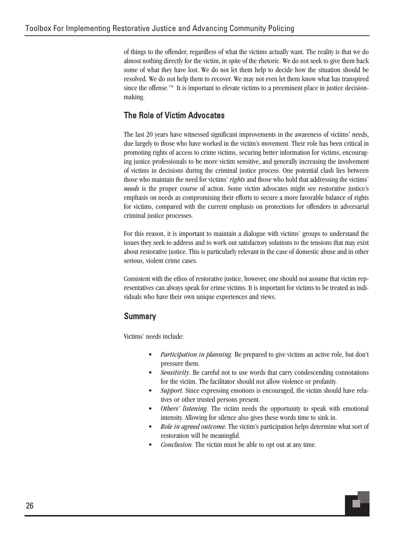of things to the offender, regardless of what the victims actually want. The reality is that we do almost nothing directly for the victim, in spite of the rhetoric. We do not seek to give them back some of what they have lost. We do not let them help to decide how the situation should be resolved. We do not help them to recover. We may not even let them know what has transpired since the offense."<sup>8</sup> It is important to elevate victims to a preeminent place in justice decisionmaking.

#### The Role of Victim Advocates

The last 20 years have witnessed significant improvements in the awareness of victims' needs, due largely to those who have worked in the victim's movement. Their role has been critical in promoting rights of access to crime victims, securing better information for victims, encouraging justice professionals to be more victim sensitive, and generally increasing the involvement of victims in decisions during the criminal justice process. One potential clash lies between those who maintain the need for victims' *rights* and those who hold that addressing the victims' *needs* is the proper course of action. Some victim advocates might see restorative justice's emphasis on needs as compromising their efforts to secure a more favorable balance of rights for victims, compared with the current emphasis on protections for offenders in adversarial criminal justice processes.

For this reason, it is important to maintain a dialogue with victims' groups to understand the issues they seek to address and to work out satisfactory solutions to the tensions that may exist about restorative justice. This is particularly relevant in the case of domestic abuse and in other serious, violent crime cases.

Consistent with the ethos of restorative justice, however, one should not assume that victim representatives can always speak for crime victims. It is important for victims to be treated as individuals who have their own unique experiences and views.

#### Summary

Victims' needs include:

- *Participation in planning.* Be prepared to give victims an active role, but don't pressure them.
- *Sensitivity*. Be careful not to use words that carry condescending connotations for the victim. The facilitator should not allow violence or profanity.
- Support. Since expressing emotions is encouraged, the victim should have relatives or other trusted persons present.
- *Others' listening.* The victim needs the opportunity to speak with emotional intensity. Allowing for silence also gives these words time to sink in.
- *Role in agreed outcome.* The victim's participation helps determine what sort of restoration will be meaningful.
- *Conclusion.* The victim must be able to opt out at any time.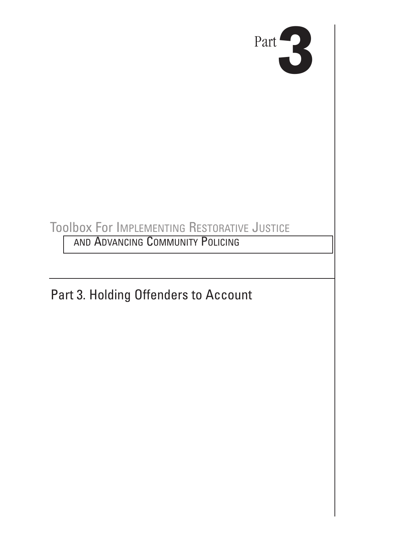

## Toolbox For IMPLEMENTING RESTORATIVE JUSTICE

AND ADVANCING COMMUNITY POLICING

Part 3. Holding Offenders to Account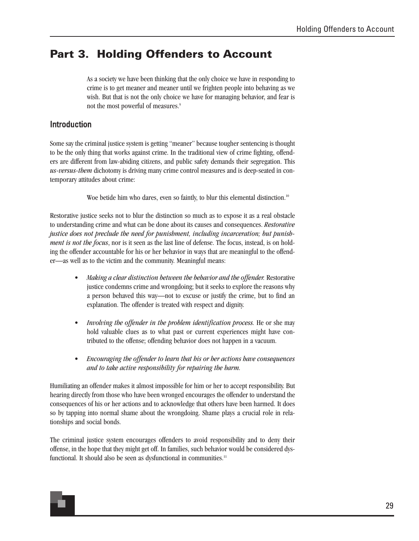### **Part 3. Holding Offenders to Account**

As a society we have been thinking that the only choice we have in responding to crime is to get meaner and meaner until we frighten people into behaving as we wish. But that is not the only choice we have for managing behavior, and fear is not the most powerful of measures.<sup>9</sup>

#### Introduction

Some say the criminal justice system is getting "meaner" because tougher sentencing is thought to be the only thing that works against crime. In the traditional view of crime fighting, offenders are different from law-abiding citizens, and public safety demands their segregation. This *us-versus-them* dichotomy is driving many crime control measures and is deep-seated in contemporary attitudes about crime:

Woe betide him who dares, even so faintly, to blur this elemental distinction.<sup>10</sup>

Restorative justice seeks not to blur the distinction so much as to expose it as a real obstacle to understanding crime and what can be done about its causes and consequences. *Restorative justice does not preclude the need for punishment, including incarceration; but punishment is not the focus*, nor is it seen as the last line of defense. The focus, instead, is on holding the offender accountable for his or her behavior in ways that are meaningful to the offender—as well as to the victim and the community. Meaningful means:

- *Making a clear distinction between the behavior and the offender.* Restorative justice condemns crime and wrongdoing; but it seeks to explore the reasons why a person behaved this way—not to excuse or justify the crime, but to find an explanation. The offender is treated with respect and dignity.
- *Involving the offender in the problem identification process.* He or she may hold valuable clues as to what past or current experiences might have contributed to the offense; offending behavior does not happen in a vacuum.
- *Encouraging the offender to learn that his or her actions have consequences and to take active responsibility for repairing the harm.*

Humiliating an offender makes it almost impossible for him or her to accept responsibility. But hearing directly from those who have been wronged encourages the offender to understand the consequences of his or her actions and to acknowledge that others have been harmed. It does so by tapping into normal shame about the wrongdoing. Shame plays a crucial role in relationships and social bonds.

The criminal justice system encourages offenders to avoid responsibility and to deny their offense, in the hope that they might get off. In families, such behavior would be considered dysfunctional. It should also be seen as dysfunctional in communities.<sup>11</sup>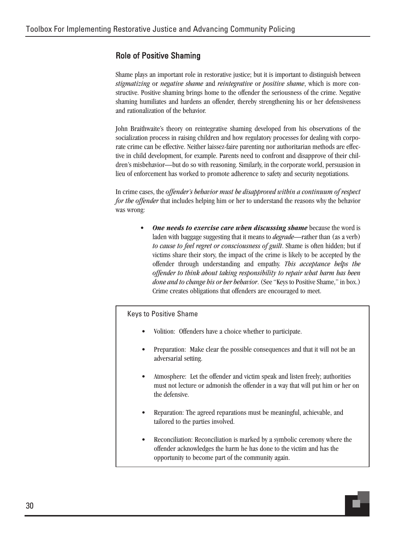#### Role of Positive Shaming

Shame plays an important role in restorative justice; but it is important to distinguish between *stigmatizing* or *negative shame* and *reintegrative* or *positive shame*, which is more constructive. Positive shaming brings home to the offender the seriousness of the crime. Negative shaming humiliates and hardens an offender, thereby strengthening his or her defensiveness and rationalization of the behavior.

John Braithwaite's theory on reintegrative shaming developed from his observations of the socialization process in raising children and how regulatory processes for dealing with corporate crime can be effective. Neither laissez-faire parenting nor authoritarian methods are effective in child development, for example. Parents need to confront and disapprove of their children's misbehavior—but do so with reasoning. Similarly, in the corporate world, persuasion in lieu of enforcement has worked to promote adherence to safety and security negotiations.

In crime cases, the *offender's behavior must be disapproved within a continuum of respect for the offender* that includes helping him or her to understand the reasons why the behavior was wrong:

> • *One needs to exercise care when discussing shame* because the word is laden with baggage suggesting that it means to *degrade*—rather than (as a verb) *to cause to feel regret or consciousness of guilt*. Shame is often hidden; but if victims share their story, the impact of the crime is likely to be accepted by the offender through understanding and empathy. *This acceptance helps the offender to think about taking responsibility to repair what harm has been done and to change his or her behavior*. (See "Keys to Positive Shame," in box.) Crime creates obligations that offenders are encouraged to meet.

#### Keys to Positive Shame

- Volition: Offenders have a choice whether to participate.
- Preparation: Make clear the possible consequences and that it will not be an adversarial setting.
- Atmosphere: Let the offender and victim speak and listen freely; authorities must not lecture or admonish the offender in a way that will put him or her on the defensive.
- Reparation: The agreed reparations must be meaningful, achievable, and tailored to the parties involved.
- Reconciliation: Reconciliation is marked by a symbolic ceremony where the offender acknowledges the harm he has done to the victim and has the opportunity to become part of the community again.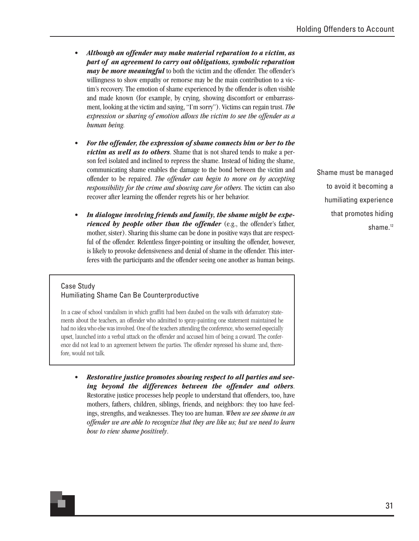- *Although an offender may make material reparation to a victim, as part of an agreement to carry out obligations, symbolic reparation may be more meaningful* to both the victim and the offender. The offender's willingness to show empathy or remorse may be the main contribution to a victim's recovery. The emotion of shame experienced by the offender is often visible and made known (for example, by crying, showing discomfort or embarrassment, looking at the victim and saying, "I'm sorry"). Victims can regain trust. *The expression or sharing of emotion allows the victim to see the offender as a human being.*
- *For the offender, the expression of shame connects him or her to the victim as well as to others*. Shame that is not shared tends to make a person feel isolated and inclined to repress the shame. Instead of hiding the shame, communicating shame enables the damage to the bond between the victim and offender to be repaired. *The offender can begin to move on by accepting responsibility for the crime and showing care for others*. The victim can also recover after learning the offender regrets his or her behavior.
- *In dialogue involving friends and family, the shame might be experienced by people other than the offender* (e.g., the offender's father, mother, sister). Sharing this shame can be done in positive ways that are respectful of the offender. Relentless finger-pointing or insulting the offender, however, is likely to provoke defensiveness and denial of shame in the offender. This interferes with the participants and the offender seeing one another as human beings.

#### Case Study Humiliating Shame Can Be Counterproductive

In a case of school vandalism in which graffiti had been daubed on the walls with defamatory statements about the teachers, an offender who admitted to spray-painting one statement maintained he had no idea who else was involved. One of the teachers attending the conference, who seemed especially upset, launched into a verbal attack on the offender and accused him of being a coward. The conference did not lead to an agreement between the parties. The offender repressed his shame and, therefore, would not talk.

• *Restorative justice promotes showing respect to all parties and seeing beyond the differences between the offender and others*. Restorative justice processes help people to understand that offenders, too, have mothers, fathers, children, siblings, friends, and neighbors: they too have feelings, strengths, and weaknesses. They too are human. *When we see shame in an offender we are able to recognize that they are like us; but we need to learn how to view shame positively*.

Shame must be managed to avoid it becoming a humiliating experience that promotes hiding shame.<sup>12</sup>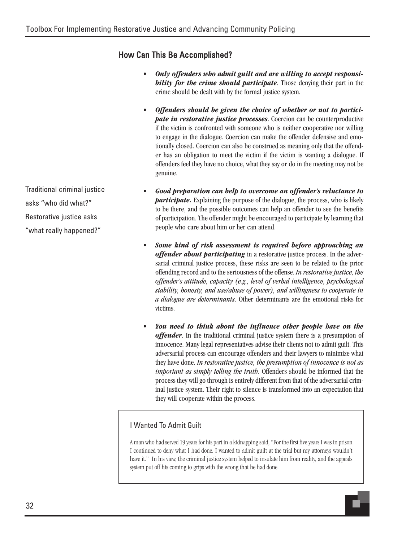#### How Can This Be Accomplished?

- *Only offenders who admit guilt and are willing to accept responsibility for the crime should participate*. Those denying their part in the crime should be dealt with by the formal justice system.
- *Offenders should be given the choice of whether or not to participate in restorative justice processes*. Coercion can be counterproductive if the victim is confronted with someone who is neither cooperative nor willing to engage in the dialogue. Coercion can make the offender defensive and emotionally closed. Coercion can also be construed as meaning only that the offender has an obligation to meet the victim if the victim is wanting a dialogue. If offenders feel they have no choice, what they say or do in the meeting may not be genuine.
- *Good preparation can help to overcome an offender's reluctance to participate.* Explaining the purpose of the dialogue, the process, who is likely to be there, and the possible outcomes can help an offender to see the benefits of participation. The offender might be encouraged to participate by learning that people who care about him or her can attend.
- *Some kind of risk assessment is required before approaching an offender about participating* in a restorative justice process. In the adversarial criminal justice process, these risks are seen to be related to the prior offending record and to the seriousness of the offense. *In restorative justice, the offender's attitude, capacity (e.g., level of verbal intelligence, psychological stability, honesty, and use/abuse of power), and willingness to cooperate in a dialogue are determinants*. Other determinants are the emotional risks for victims.
- *You need to think about the influence other people have on the offender*. In the traditional criminal justice system there is a presumption of innocence. Many legal representatives advise their clients not to admit guilt. This adversarial process can encourage offenders and their lawyers to minimize what they have done. *In restorative justice, the presumption of innocence is not as important as simply telling the truth*. Offenders should be informed that the process they will go through is entirely different from that of the adversarial criminal justice system. Their right to silence is transformed into an expectation that they will cooperate within the process.

#### I Wanted To Admit Guilt

A man who had served 19 years for his part in a kidnapping said, "For the first five years I was in prison I continued to deny what I had done. I wanted to admit guilt at the trial but my attorneys wouldn't have it." In his view, the criminal justice system helped to insulate him from reality, and the appeals system put off his coming to grips with the wrong that he had done.

Traditional criminal justice asks "who did what?" Restorative justice asks "what really happened?"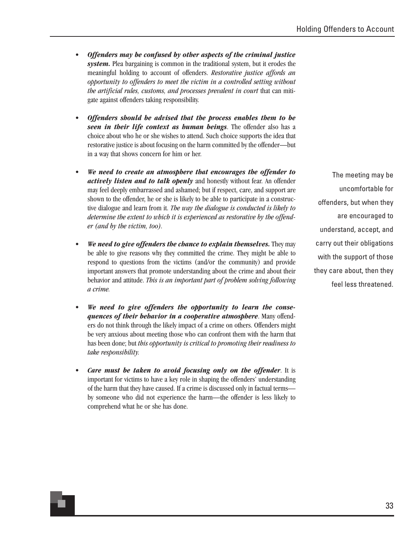- *Offenders may be confused by other aspects of the criminal justice system.* Plea bargaining is common in the traditional system, but it erodes the meaningful holding to account of offenders. *Restorative justice affords an opportunity to offenders to meet the victim in a controlled setting without the artificial rules, customs, and processes prevalent in court* that can mitigate against offenders taking responsibility.
- *Offenders should be advised that the process enables them to be seen in their life context as human beings*. The offender also has a choice about who he or she wishes to attend. Such choice supports the idea that restorative justice is about focusing on the harm committed by the offender—but in a way that shows concern for him or her.
- *We need to create an atmosphere that encourages the offender to actively listen and to talk openly* and honestly without fear. An offender may feel deeply embarrassed and ashamed; but if respect, care, and support are shown to the offender, he or she is likely to be able to participate in a constructive dialogue and learn from it. *The way the dialogue is conducted is likely to determine the extent to which it is experienced as restorative by the offender (and by the victim, too).*
- *We need to give offenders the chance to explain themselves.* They may be able to give reasons why they committed the crime. They might be able to respond to questions from the victims (and/or the community) and provide important answers that promote understanding about the crime and about their behavior and attitude. *This is an important part of problem solving following a crime.*
- *We need to give offenders the opportunity to learn the consequences of their behavior in a cooperative atmosphere*. Many offenders do not think through the likely impact of a crime on others. Offenders might be very anxious about meeting those who can confront them with the harm that has been done; but *this opportunity is critical to promoting their readiness to take responsibility.*
- *Care must be taken to avoid focusing only on the offender*. It is important for victims to have a key role in shaping the offenders' understanding of the harm that they have caused. If a crime is discussed only in factual terms by someone who did not experience the harm—the offender is less likely to comprehend what he or she has done.

The meeting may be uncomfortable for offenders, but when they are encouraged to understand, accept, and carry out their obligations with the support of those they care about, then they feel less threatened.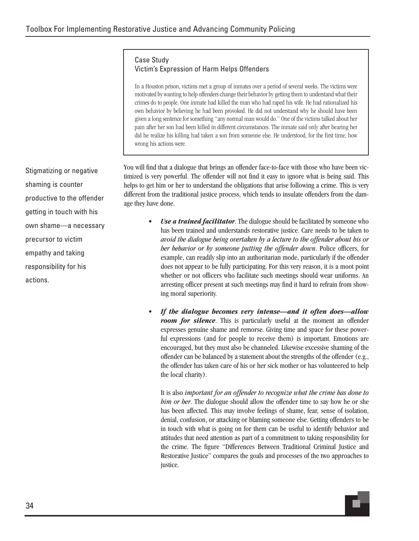#### Case Study Victim's Expression of Harm Helps Offenders

In a Houston prison, victims met a group of inmates over a period of several weeks. The victims were motivated by wanting to help offenders change their behavior by getting them to understand what their crimes do to people. One inmate had killed the man who had raped his wife. He had rationalized his own behavior by believing he had been provoked. He did not understand why he should have been given a long sentence for something "any normal man would do." One of the victims talked about her pain after her son had been killed in different circumstances. The inmate said only after hearing her did he realize his killing had taken a son from someone else. He understood, for the first time, how wrong his actions were.

You will find that a dialogue that brings an offender face-to-face with those who have been victimized is very powerful. The offender will not find it easy to ignore what is being said. This helps to get him or her to understand the obligations that arise following a crime. This is very different from the traditional justice process, which tends to insulate offenders from the damage they have done.

- *Use a trained facilitator*. The dialogue should be facilitated by someone who has been trained and understands restorative justice. Care needs to be taken to *avoid the dialogue being overtaken by a lecture to the offender about his or her behavior or by someone putting the offender down*. Police officers, for example, can readily slip into an authoritarian mode, particularly if the offender does not appear to be fully participating. For this very reason, it is a moot point whether or not officers who facilitate such meetings should wear uniforms. An arresting officer present at such meetings may find it hard to refrain from showing moral superiority.
- *If the dialogue becomes very intense—and it often does—allow room for silence*. This is particularly useful at the moment an offender expresses genuine shame and remorse. Giving time and space for these powerful expressions (and for people to receive them) is important. Emotions are encouraged, but they must also be channeled. Likewise excessive shaming of the offender can be balanced by a statement about the strengths of the offender (e.g., the offender has taken care of his or her sick mother or has volunteered to help the local charity).

It is also *important for an offender to recognize what the crime has done to him or her*. The dialogue should allow the offender time to say how he or she has been affected. This may involve feelings of shame, fear, sense of isolation, denial, confusion, or attacking or blaming someone else. Getting offenders to be in touch with what is going on for them can be useful to identify behavior and attitudes that need attention as part of a commitment to taking responsibility for the crime. The figure "Differences Between Traditional Criminal Justice and Restorative Justice" compares the goals and processes of the two approaches to justice.

Stigmatizing or negative shaming is counter productive to the offender getting in touch with his own shame—a necessary precursor to victim empathy and taking responsibility for his actions.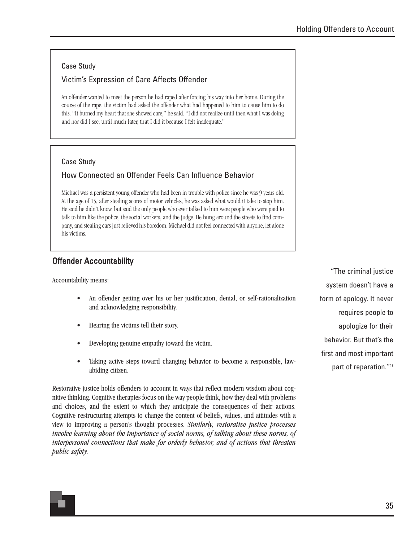## Case Study

## Victim's Expression of Care Affects Offender

An offender wanted to meet the person he had raped after forcing his way into her home. During the course of the rape, the victim had asked the offender what had happened to him to cause him to do this. "It burned my heart that she showed care," he said. "I did not realize until then what I was doing and nor did I see, until much later, that I did it because I felt inadequate."

## Case Study

# How Connected an Offender Feels Can Influence Behavior

Michael was a persistent young offender who had been in trouble with police since he was 9 years old. At the age of 15, after stealing scores of motor vehicles, he was asked what would it take to stop him. He said he didn't know, but said the only people who ever talked to him were people who were paid to talk to him like the police, the social workers, and the judge. He hung around the streets to find company, and stealing cars just relieved his boredom. Michael did not feel connected with anyone, let alone his victims.

# Offender Accountability

Accountability means:

- An offender getting over his or her justification, denial, or self-rationalization and acknowledging responsibility.
- Hearing the victims tell their story.
- Developing genuine empathy toward the victim.
- Taking active steps toward changing behavior to become a responsible, lawabiding citizen.

Restorative justice holds offenders to account in ways that reflect modern wisdom about cognitive thinking. Cognitive therapies focus on the way people think, how they deal with problems and choices, and the extent to which they anticipate the consequences of their actions. Cognitive restructuring attempts to change the content of beliefs, values, and attitudes with a view to improving a person's thought processes. *Similarly, restorative justice processes involve learning about the importance of social norms, of talking about these norms, of interpersonal connections that make for orderly behavior, and of actions that threaten public safety.*

"The criminal justice system doesn't have a form of apology. It never requires people to apologize for their behavior. But that's the first and most important part of reparation."13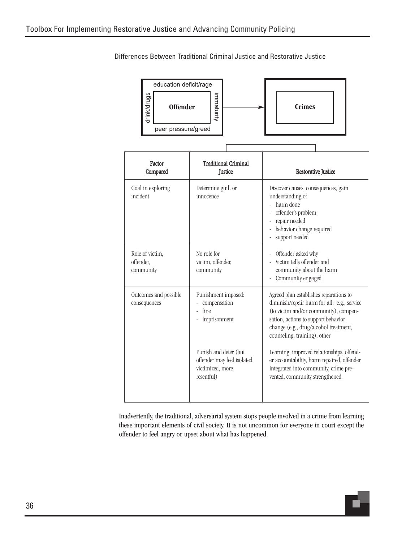| education deficit/rage         |                                        |  |  |                                                  |                     |  |
|--------------------------------|----------------------------------------|--|--|--------------------------------------------------|---------------------|--|
| drink/drugs<br><b>Offender</b> | immaturity                             |  |  | <b>Crimes</b>                                    |                     |  |
| peer pressure/greed            |                                        |  |  |                                                  |                     |  |
|                                |                                        |  |  |                                                  |                     |  |
| Factor<br>Compared             | <b>Traditional Criminal</b><br>Justice |  |  |                                                  | Restorative Justice |  |
| o 1 + 1 +                      | The advance to concern that were       |  |  | Distances and an interest and an interest of the |                     |  |

Differences Between Traditional Criminal Justice and Restorative Justice

| Factor<br>Compared                        | <b>Traditional Criminal</b><br>Justice                                                 | Restorative Justice                                                                                                                                                                                                                            |  |
|-------------------------------------------|----------------------------------------------------------------------------------------|------------------------------------------------------------------------------------------------------------------------------------------------------------------------------------------------------------------------------------------------|--|
| Goal in exploring<br>incident             | Determine guilt or<br>innocence                                                        | Discover causes, consequences, gain<br>understanding of<br>- harm done<br>offender's problem<br>repair needed<br>behavior change required<br>support needed                                                                                    |  |
| Role of victim,<br>offender,<br>community | No role for<br>victim, offender,<br>community                                          | - Offender asked why<br>- Victim tells offender and<br>community about the harm<br>Community engaged                                                                                                                                           |  |
| Outcomes and possible<br>consequences     | Punishment imposed:<br>compensation<br>fine<br>$\overline{a}$<br>imprisonment          | Agreed plan establishes reparations to<br>diminish/repair harm for all: e.g., service<br>(to victim and/or community), compen-<br>sation, actions to support behavior<br>change (e.g., drug/alcohol treatment,<br>counseling, training), other |  |
|                                           | Punish and deter (but<br>offender may feel isolated,<br>victimized, more<br>resentful) | Learning, improved relationships, offend-<br>er accountability, harm repaired, offender<br>integrated into community, crime pre-<br>vented, community strengthened                                                                             |  |

Inadvertently, the traditional, adversarial system stops people involved in a crime from learning these important elements of civil society. It is not uncommon for everyone in court except the offender to feel angry or upset about what has happened.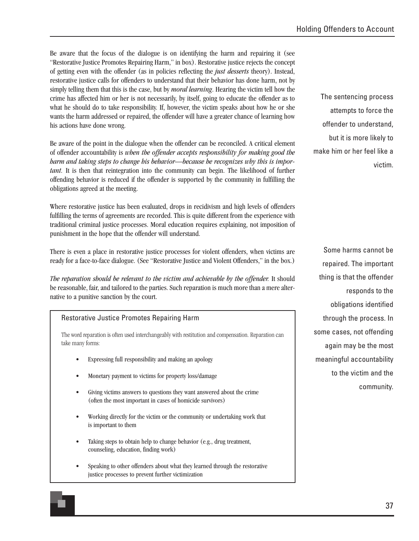Be aware that the focus of the dialogue is on identifying the harm and repairing it (see "Restorative Justice Promotes Repairing Harm," in box). Restorative justice rejects the concept of getting even with the offender (as in policies reflecting the *just desserts* theory). Instead, restorative justice calls for offenders to understand that their behavior has done harm, not by simply telling them that this is the case, but by *moral learning*. Hearing the victim tell how the crime has affected him or her is not necessarily, by itself, going to educate the offender as to what he should do to take responsibility. If, however, the victim speaks about how he or she wants the harm addressed or repaired, the offender will have a greater chance of learning how his actions have done wrong.

Be aware of the point in the dialogue when the offender can be reconciled. A critical element of offender accountability is *when the offender accepts responsibility for making good the harm and taking steps to change his behavior—because he recognizes why this is important.* It is then that reintegration into the community can begin. The likelihood of further offending behavior is reduced if the offender is supported by the community in fulfilling the obligations agreed at the meeting.

Where restorative justice has been evaluated, drops in recidivism and high levels of offenders fulfilling the terms of agreements are recorded. This is quite different from the experience with traditional criminal justice processes. Moral education requires explaining, not imposition of punishment in the hope that the offender will understand.

There is even a place in restorative justice processes for violent offenders, when victims are ready for a face-to-face dialogue. (See "Restorative Justice and Violent Offenders," in the box.)

*The reparation should be relevant to the victim and achievable by the offender.* It should be reasonable, fair, and tailored to the parties. Such reparation is much more than a mere alternative to a punitive sanction by the court.

## Restorative Justice Promotes Repairing Harm

The word reparation is often used interchangeably with restitution and compensation. Reparation can take many forms:

- Expressing full responsibility and making an apology
- Monetary payment to victims for property loss/damage
- Giving victims answers to questions they want answered about the crime (often the most important in cases of homicide survivors)
- Working directly for the victim or the community or undertaking work that is important to them
- Taking steps to obtain help to change behavior (e.g., drug treatment, counseling, education, finding work)
- Speaking to other offenders about what they learned through the restorative justice processes to prevent further victimization

The sentencing process attempts to force the offender to understand, but it is more likely to make him or her feel like a victim.

Some harms cannot be repaired. The important thing is that the offender responds to the obligations identified through the process. In some cases, not offending again may be the most meaningful accountability to the victim and the community.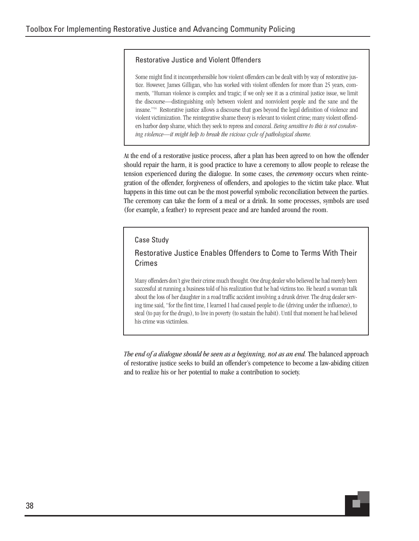## Restorative Justice and Violent Offenders

Some might find it incomprehensible how violent offenders can be dealt with by way of restorative justice. However, James Gilligan, who has worked with violent offenders for more than 25 years, comments, "Human violence is complex and tragic; if we only see it as a criminal justice issue, we limit the discourse—distinguishing only between violent and nonviolent people and the sane and the insane."14 Restorative justice allows a discourse that goes beyond the legal definition of violence and violent victimization. The reintegrative shame theory is relevant to violent crime; many violent offenders harbor deep shame, which they seek to repress and conceal. *Being sensitive to this is not condoning violence—it might help to break the vicious cycle of pathological shame.*

At the end of a restorative justice process, after a plan has been agreed to on how the offender should repair the harm, it is good practice to have a ceremony to allow people to release the tension experienced during the dialogue. In some cases, the *ceremony* occurs when reintegration of the offender, forgiveness of offenders, and apologies to the victim take place. What happens in this time out can be the most powerful symbolic reconciliation between the parties. The ceremony can take the form of a meal or a drink. In some processes, symbols are used (for example, a feather) to represent peace and are handed around the room.

#### Case Study

## Restorative Justice Enables Offenders to Come to Terms With Their Crimes

Many offenders don't give their crime much thought. One drug dealer who believed he had merely been successful at running a business told of his realization that he had victims too. He heard a woman talk about the loss of her daughter in a road traffic accident involving a drunk driver. The drug dealer serving time said, "for the first time, I learned I had caused people to die (driving under the influence), to steal (to pay for the drugs), to live in poverty (to sustain the habit). Until that moment he had believed his crime was victimless.

*The end of a dialogue should be seen as a beginning, not as an end.* The balanced approach of restorative justice seeks to build an offender's competence to become a law-abiding citizen and to realize his or her potential to make a contribution to society.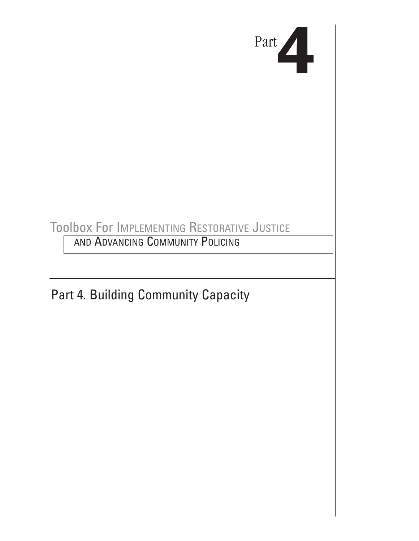

# Toolbox For IMPLEMENTING RESTORATIVE JUSTICE

AND ADVANCING COMMUNITY POLICING

Part 4. Building Community Capacity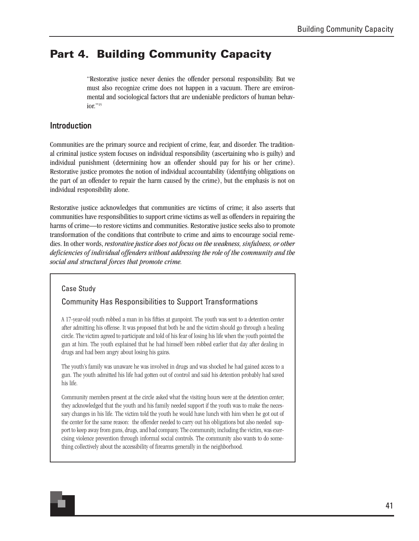# **Part 4. Building Community Capacity**

"Restorative justice never denies the offender personal responsibility. But we must also recognize crime does not happen in a vacuum. There are environmental and sociological factors that are undeniable predictors of human behavior."<sup>15</sup>

# Introduction

Communities are the primary source and recipient of crime, fear, and disorder. The traditional criminal justice system focuses on individual responsibility (ascertaining who is guilty) and individual punishment (determining how an offender should pay for his or her crime). Restorative justice promotes the notion of individual accountability (identifying obligations on the part of an offender to repair the harm caused by the crime), but the emphasis is not on individual responsibility alone.

Restorative justice acknowledges that communities are victims of crime; it also asserts that communities have responsibilities to support crime victims as well as offenders in repairing the harms of crime—to restore victims and communities. Restorative justice seeks also to promote transformation of the conditions that contribute to crime and aims to encourage social remedies. In other words, *restorative justice does not focus on the weakness, sinfulness, or other deficiencies of individual offenders without addressing the role of the community and the social and structural forces that promote crime.*

## Case Study

## Community Has Responsibilities to Support Transformations

A 17-year-old youth robbed a man in his fifties at gunpoint. The youth was sent to a detention center after admitting his offense. It was proposed that both he and the victim should go through a healing circle. The victim agreed to participate and told of his fear of losing his life when the youth pointed the gun at him. The youth explained that he had himself been robbed earlier that day after dealing in drugs and had been angry about losing his gains.

The youth's family was unaware he was involved in drugs and was shocked he had gained access to a gun. The youth admitted his life had gotten out of control and said his detention probably had saved his life.

Community members present at the circle asked what the visiting hours were at the detention center; they acknowledged that the youth and his family needed support if the youth was to make the necessary changes in his life. The victim told the youth he would have lunch with him when he got out of the center for the same reason: the offender needed to carry out his obligations but also needed support to keep away from guns, drugs, and bad company. The community, including the victim, was exercising violence prevention through informal social controls. The community also wants to do something collectively about the accessibility of firearms generally in the neighborhood.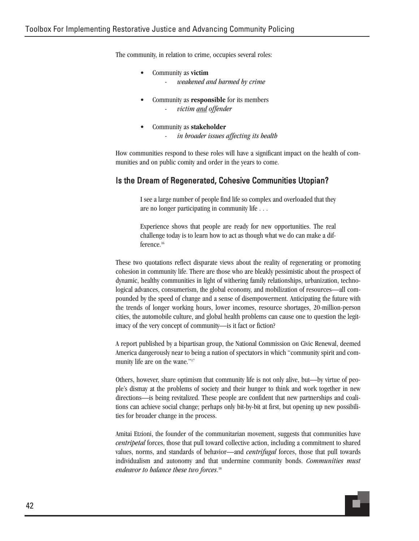The community, in relation to crime, occupies several roles:

- Community as **victim** - *weakened and harmed by crime*
- Community as **responsible** for its members - *victim and offender*
- Community as **stakeholder**
	- *in broader issues affecting its health*

How communities respond to these roles will have a significant impact on the health of communities and on public comity and order in the years to come.

## Is the Dream of Regenerated, Cohesive Communities Utopian?

I see a large number of people find life so complex and overloaded that they are no longer participating in community life . . .

Experience shows that people are ready for new opportunities. The real challenge today is to learn how to act as though what we do can make a difference.<sup>16</sup>

These two quotations reflect disparate views about the reality of regenerating or promoting cohesion in community life. There are those who are bleakly pessimistic about the prospect of dynamic, healthy communities in light of withering family relationships, urbanization, technological advances, consumerism, the global economy, and mobilization of resources—all compounded by the speed of change and a sense of disempowerment. Anticipating the future with the trends of longer working hours, lower incomes, resource shortages, 20-million-person cities, the automobile culture, and global health problems can cause one to question the legitimacy of the very concept of community—is it fact or fiction?

A report published by a bipartisan group, the National Commission on Civic Renewal, deemed America dangerously near to being a nation of spectators in which "community spirit and community life are on the wane."17

Others, however, share optimism that community life is not only alive, but—by virtue of people's dismay at the problems of society and their hunger to think and work together in new directions—is being revitalized. These people are confident that new partnerships and coalitions can achieve social change; perhaps only bit-by-bit at first, but opening up new possibilities for broader change in the process.

Amitai Etzioni, the founder of the communitarian movement, suggests that communities have *centripetal* forces, those that pull toward collective action, including a commitment to shared values, norms, and standards of behavior—and *centrifugal* forces, those that pull towards individualism and autonomy and that undermine community bonds. *Communities must endeavor to balance these two forces*. 18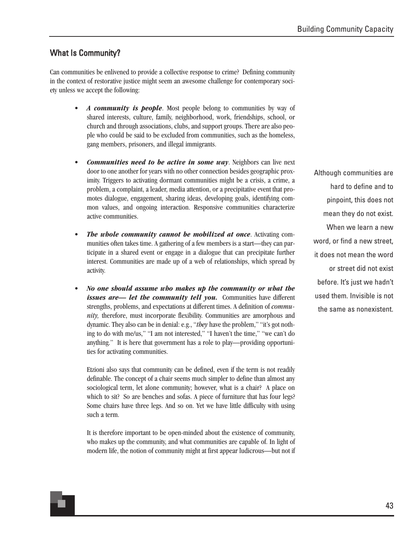# What Is Community?

Can communities be enlivened to provide a collective response to crime? Defining community in the context of restorative justice might seem an awesome challenge for contemporary society unless we accept the following:

- A *community is people*. Most people belong to communities by way of shared interests, culture, family, neighborhood, work, friendships, school, or church and through associations, clubs, and support groups. There are also people who could be said to be excluded from communities, such as the homeless, gang members, prisoners, and illegal immigrants.
- *Communities need to be active in some way*. Neighbors can live next door to one another for years with no other connection besides geographic proximity. Triggers to activating dormant communities might be a crisis, a crime, a problem, a complaint, a leader, media attention, or a precipitative event that promotes dialogue, engagement, sharing ideas, developing goals, identifying common values, and ongoing interaction. Responsive communities characterize active communities.
- *The whole community cannot be mobilized at once*. Activating communities often takes time. A gathering of a few members is a start—they can participate in a shared event or engage in a dialogue that can precipitate further interest. Communities are made up of a web of relationships, which spread by activity.
- *No one should assume who makes up the community or what the issues are— let the community tell you.* Communities have different strengths, problems, and expectations at different times. A definition of *community,* therefore, must incorporate flexibility. Communities are amorphous and dynamic. They also can be in denial: e.g., "*they* have the problem," "it's got nothing to do with me/us," "I am not interested," "I haven't the time," "we can't do anything." It is here that government has a role to play—providing opportunities for activating communities.

Etzioni also says that community can be defined, even if the term is not readily definable. The concept of a chair seems much simpler to define than almost any sociological term, let alone community; however, what is a chair? A place on which to sit? So are benches and sofas. A piece of furniture that has four legs? Some chairs have three legs. And so on. Yet we have little difficulty with using such a term.

It is therefore important to be open-minded about the existence of community, who makes up the community, and what communities are capable of. In light of modern life, the notion of community might at first appear ludicrous—but not if

Although communities are hard to define and to pinpoint, this does not mean they do not exist. When we learn a new word, or find a new street, it does not mean the word or street did not exist before. It's just we hadn't used them. Invisible is not the same as nonexistent.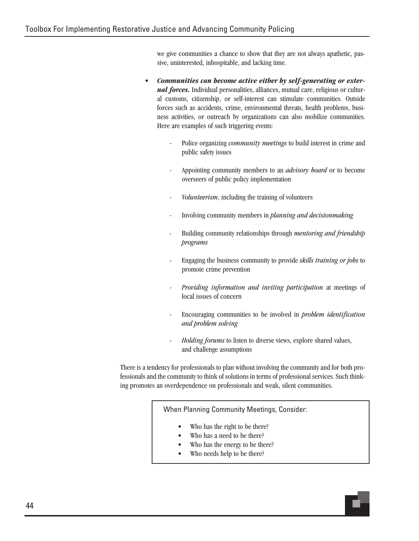we give communities a chance to show that they are not always apathetic, passive, uninterested, inhospitable, and lacking time.

- *Communities can become active either by self-generating or external forces*. Individual personalities, alliances, mutual care, religious or cultural customs, citizenship, or self-interest can stimulate communities. Outside forces such as accidents, crime, environmental threats, health problems, business activities, or outreach by organizations can also mobilize communities. Here are examples of such triggering events:
	- Police organizing *community meetings* to build interest in crime and public safety issues
	- Appointing community members to an *advisory board* or to become overseers of public policy implementation
	- *Volunteerism*, including the training of volunteers
	- Involving community members in *planning and decisionmaking*
	- Building community relationships through *mentoring and friendship programs*
	- Engaging the business community to provide *skills training or jobs* to promote crime prevention
	- *Providing information and inviting participation* at meetings of local issues of concern
	- Encouraging communities to be involved in *problem identification and problem solving*
	- *Holding forums* to listen to diverse views, explore shared values, and challenge assumptions

There is a tendency for professionals to plan without involving the community and for both professionals and the community to think of solutions in terms of professional services. Such thinking promotes an overdependence on professionals and weak, silent communities.

When Planning Community Meetings, Consider:

- Who has the right to be there?
- Who has a need to be there?
- Who has the energy to be there?
- Who needs help to be there?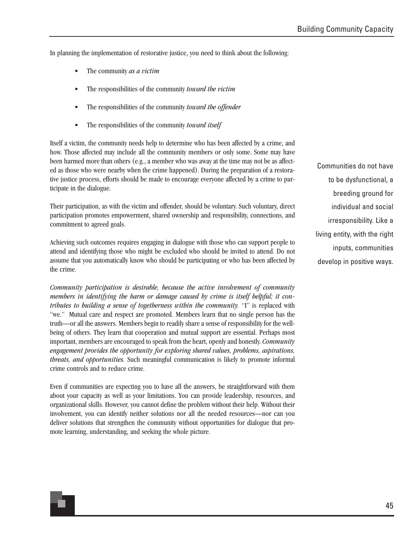In planning the implementation of restorative justice, you need to think about the following:

- The community *as a victim*
- The responsibilities of the community *toward the victim*
- The responsibilities of the community *toward the offender*
- The responsibilities of the community *toward itself*

Itself a victim, the community needs help to determine who has been affected by a crime, and how. Those affected may include all the community members or only some. Some may have been harmed more than others (e.g., a member who was away at the time may not be as affected as those who were nearby when the crime happened). During the preparation of a restorative justice process, efforts should be made to encourage everyone affected by a crime to participate in the dialogue.

Their participation, as with the victim and offender, should be voluntary. Such voluntary, direct participation promotes empowerment, shared ownership and responsibility, connections, and commitment to agreed goals.

Achieving such outcomes requires engaging in dialogue with those who can support people to attend and identifying those who might be excluded who should be invited to attend. Do not assume that you automatically know who should be participating or who has been affected by the crime.

*Community participation is desirable, because the active involvement of community members in identifying the harm or damage caused by crime is itself helpful; it contributes to building a sense of togetherness within the community.* "I" is replaced with "we." Mutual care and respect are promoted. Members learn that no single person has the truth—or all the answers. Members begin to readily share a sense of responsibility for the wellbeing of others. They learn that cooperation and mutual support are essential. Perhaps most important, members are encouraged to speak from the heart, openly and honestly. *Community engagement provides the opportunity for exploring shared values, problems, aspirations, threats, and opportunities.* Such meaningful communication is likely to promote informal crime controls and to reduce crime.

Even if communities are expecting you to have all the answers, be straightforward with them about your capacity as well as your limitations. You can provide leadership, resources, and organizational skills. However, you cannot define the problem without their help. Without their involvement, you can identify neither solutions nor all the needed resources—nor can you deliver solutions that strengthen the community without opportunities for dialogue that promote learning, understanding, and seeking the whole picture.

Communities do not have to be dysfunctional, a breeding ground for individual and social irresponsibility. Like a living entity, with the right inputs, communities develop in positive ways.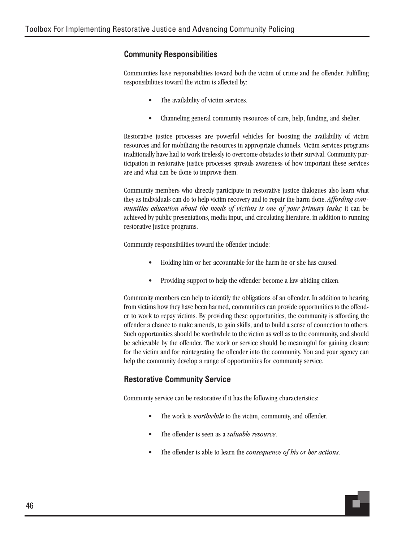# Community Responsibilities

Communities have responsibilities toward both the victim of crime and the offender. Fulfilling responsibilities toward the victim is affected by:

- The availability of victim services.
- Channeling general community resources of care, help, funding, and shelter.

Restorative justice processes are powerful vehicles for boosting the availability of victim resources and for mobilizing the resources in appropriate channels. Victim services programs traditionally have had to work tirelessly to overcome obstacles to their survival. Community participation in restorative justice processes spreads awareness of how important these services are and what can be done to improve them.

Community members who directly participate in restorative justice dialogues also learn what they as individuals can do to help victim recovery and to repair the harm done. *Affording communities education about the needs of victims is one of your primary tasks; it can be* achieved by public presentations, media input, and circulating literature, in addition to running restorative justice programs.

Community responsibilities toward the offender include:

- Holding him or her accountable for the harm he or she has caused.
- Providing support to help the offender become a law-abiding citizen.

Community members can help to identify the obligations of an offender. In addition to hearing from victims how they have been harmed, communities can provide opportunities to the offender to work to repay victims. By providing these opportunities, the community is affording the offender a chance to make amends, to gain skills, and to build a sense of connection to others. Such opportunities should be worthwhile to the victim as well as to the community, and should be achievable by the offender. The work or service should be meaningful for gaining closure for the victim and for reintegrating the offender into the community. You and your agency can help the community develop a range of opportunities for community service.

# Restorative Community Service

Community service can be restorative if it has the following characteristics:

- The work is *worthwhile* to the victim, community, and offender.
- The offender is seen as a *valuable resource*.
- The offender is able to learn the *consequence of his or her actions*.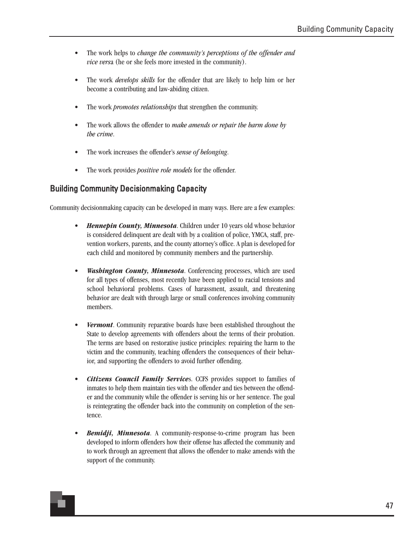- The work helps to *change the community's perceptions of the offender and vice vers*a (he or she feels more invested in the community).
- The work *develops skills* for the offender that are likely to help him or her become a contributing and law-abiding citizen.
- The work *promotes relationships* that strengthen the community.
- The work allows the offender to *make amends or repair the harm done by the crime*.
- The work increases the offender's *sense of belonging*.
- The work provides *positive role models* for the offender.

# Building Community Decisionmaking Capacity

Community decisionmaking capacity can be developed in many ways. Here are a few examples:

- *Hennepin County, Minnesota*. Children under 10 years old whose behavior is considered delinquent are dealt with by a coalition of police, YMCA, staff, prevention workers, parents, and the county attorney's office. A plan is developed for each child and monitored by community members and the partnership.
- *Washington County, Minnesota*. Conferencing processes, which are used for all types of offenses, most recently have been applied to racial tensions and school behavioral problems. Cases of harassment, assault, and threatening behavior are dealt with through large or small conferences involving community members.
- *Vermont*. Community reparative boards have been established throughout the State to develop agreements with offenders about the terms of their probation. The terms are based on restorative justice principles: repairing the harm to the victim and the community, teaching offenders the consequences of their behavior, and supporting the offenders to avoid further offending.
- *Citizens Council Family Service*s. CCFS provides support to families of inmates to help them maintain ties with the offender and ties between the offender and the community while the offender is serving his or her sentence. The goal is reintegrating the offender back into the community on completion of the sentence.
- *Bemidji, Minnesota*. A community-response-to-crime program has been developed to inform offenders how their offense has affected the community and to work through an agreement that allows the offender to make amends with the support of the community.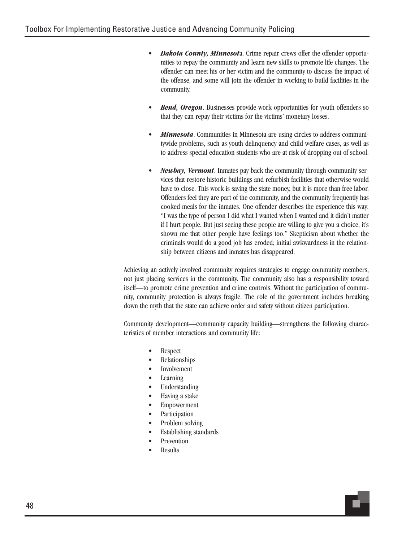- *Dakota County, Minnesot*a. Crime repair crews offer the offender opportunities to repay the community and learn new skills to promote life changes. The offender can meet his or her victim and the community to discuss the impact of the offense, and some will join the offender in working to build facilities in the community.
- **Bend, Oregon.** Businesses provide work opportunities for youth offenders so that they can repay their victims for the victims' monetary losses.
- *Minnesota*. Communities in Minnesota are using circles to address communitywide problems, such as youth delinquency and child welfare cases, as well as to address special education students who are at risk of dropping out of school.
- *Newbay, Vermont*. Inmates pay back the community through community services that restore historic buildings and refurbish facilities that otherwise would have to close. This work is saving the state money, but it is more than free labor. Offenders feel they are part of the community, and the community frequently has cooked meals for the inmates. One offender describes the experience this way: "I was the type of person I did what I wanted when I wanted and it didn't matter if I hurt people. But just seeing these people are willing to give you a choice, it's shown me that other people have feelings too." Skepticism about whether the criminals would do a good job has eroded; initial awkwardness in the relationship between citizens and inmates has disappeared.

Achieving an actively involved community requires strategies to engage community members, not just placing services in the community. The community also has a responsibility toward itself—to promote crime prevention and crime controls. Without the participation of community, community protection is always fragile. The role of the government includes breaking down the myth that the state can achieve order and safety without citizen participation.

Community development—community capacity building—strengthens the following characteristics of member interactions and community life:

- Respect
- Relationships
- **Involvement**
- **Learning**
- Understanding
- Having a stake
- Empowerment
- **Participation**
- Problem solving
- Establishing standards
- **Prevention**
- Results

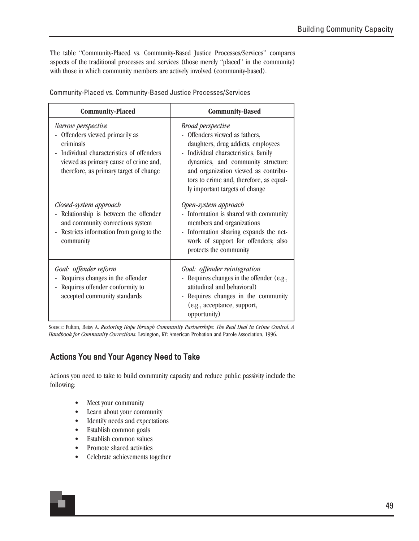The table "Community-Placed vs. Community-Based Justice Processes/Services" compares aspects of the traditional processes and services (those merely "placed" in the community) with those in which community members are actively involved (community-based).

| <b>Community-Placed</b>                                                                                                                                                                        | <b>Community-Based</b>                                                                                                                                                                                                                                                                             |  |  |
|------------------------------------------------------------------------------------------------------------------------------------------------------------------------------------------------|----------------------------------------------------------------------------------------------------------------------------------------------------------------------------------------------------------------------------------------------------------------------------------------------------|--|--|
| Narrow perspective<br>Offenders viewed primarily as<br>criminals<br>Individual characteristics of offenders<br>viewed as primary cause of crime and,<br>therefore, as primary target of change | <b>Broad perspective</b><br>- Offenders viewed as fathers,<br>daughters, drug addicts, employees<br>- Individual characteristics, family<br>dynamics, and community structure<br>and organization viewed as contribu-<br>tors to crime and, therefore, as equal-<br>ly important targets of change |  |  |
| Closed-system approach<br>Relationship is between the offender<br>and community corrections system<br>Restricts information from going to the<br>$\overline{\phantom{a}}$<br>community         | Open-system approach<br>- Information is shared with community<br>members and organizations<br>- Information sharing expands the net-<br>work of support for offenders; also<br>protects the community                                                                                             |  |  |
| Goal: offender reform<br>Requires changes in the offender<br>Requires offender conformity to<br>accepted community standards                                                                   | Goal: offender reintegration<br>- Requires changes in the offender (e.g.,<br>attitudinal and behavioral)<br>- Requires changes in the community<br>(e.g., acceptance, support,<br>opportunity)                                                                                                     |  |  |

SOURCE: Fulton, Betsy A. *Restoring Hope through Community Partnerships: The Real Deal in Crime Control. A Handbook for Community Corrections.* Lexington, KY: American Probation and Parole Association, 1996.

# Actions You and Your Agency Need to Take

Actions you need to take to build community capacity and reduce public passivity include the following:

- Meet your community
- Learn about your community
- Identify needs and expectations
- Establish common goals
- Establish common values
- Promote shared activities
- Celebrate achievements together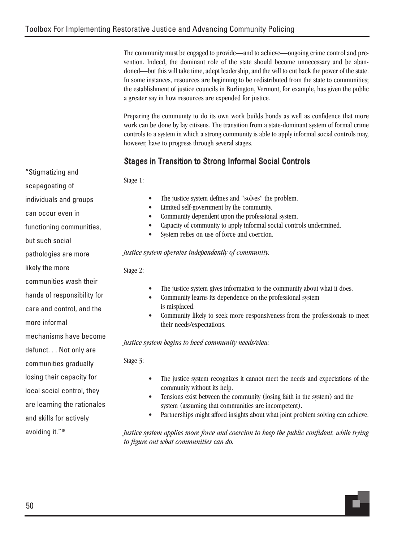The community must be engaged to provide—and to achieve—ongoing crime control and prevention. Indeed, the dominant role of the state should become unnecessary and be abandoned—but this will take time, adept leadership, and the will to cut back the power of the state. In some instances, resources are beginning to be redistributed from the state to communities; the establishment of justice councils in Burlington, Vermont, for example, has given the public a greater say in how resources are expended for justice.

Preparing the community to do its own work builds bonds as well as confidence that more work can be done by lay citizens. The transition from a state-dominant system of formal crime controls to a system in which a strong community is able to apply informal social controls may, however, have to progress through several stages.

# Stages in Transition to Strong Informal Social Controls

Stage 1:

- The justice system defines and "solves" the problem.
- Limited self-government by the community.
- Community dependent upon the professional system.
- Capacity of community to apply informal social controls undermined.
- System relies on use of force and coercion.

*Justice system operates independently of community.*

Stage 2:

- The justice system gives information to the community about what it does.
- Community learns its dependence on the professional system is misplaced.
- Community likely to seek more responsiveness from the professionals to meet their needs/expectations.

*Justice system begins to heed community needs/view.*

Stage 3:

- The justice system recognizes it cannot meet the needs and expectations of the community without its help.
- Tensions exist between the community (losing faith in the system) and the system (assuming that communities are incompetent).
- Partnerships might afford insights about what joint problem solving can achieve.

*Justice system applies more force and coercion to keep the public confident, while trying to figure out what communities can do.*



"Stigmatizing and

scapegoating of

individuals and groups

hands of responsibility for

care and control, and the

more informal

mechanisms have become

defunct. . . Not only are

communities gradually

losing their capacity for

local social control, they

are learning the rationales

and skills for actively

avoiding it."19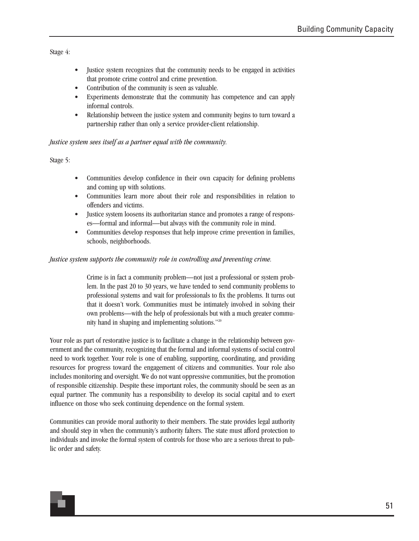Stage 4:

- Justice system recognizes that the community needs to be engaged in activities that promote crime control and crime prevention.
- Contribution of the community is seen as valuable.
- Experiments demonstrate that the community has competence and can apply informal controls.
- Relationship between the justice system and community begins to turn toward a partnership rather than only a service provider-client relationship.

#### *Justice system sees itself as a partner equal with the community.*

Stage 5:

- Communities develop confidence in their own capacity for defining problems and coming up with solutions.
- Communities learn more about their role and responsibilities in relation to offenders and victims.
- Justice system loosens its authoritarian stance and promotes a range of responses—formal and informal—but always with the community role in mind.
- Communities develop responses that help improve crime prevention in families, schools, neighborhoods.

#### *Justice system supports the community role in controlling and preventing crime.*

Crime is in fact a community problem—not just a professional or system problem. In the past 20 to 30 years, we have tended to send community problems to professional systems and wait for professionals to fix the problems. It turns out that it doesn't work. Communities must be intimately involved in solving their own problems—with the help of professionals but with a much greater community hand in shaping and implementing solutions."20

Your role as part of restorative justice is to facilitate a change in the relationship between government and the community, recognizing that the formal and informal systems of social control need to work together. Your role is one of enabling, supporting, coordinating, and providing resources for progress toward the engagement of citizens and communities. Your role also includes monitoring and oversight. We do not want oppressive communities, but the promotion of responsible citizenship. Despite these important roles, the community should be seen as an equal partner. The community has a responsibility to develop its social capital and to exert influence on those who seek continuing dependence on the formal system.

Communities can provide moral authority to their members. The state provides legal authority and should step in when the community's authority falters. The state must afford protection to individuals and invoke the formal system of controls for those who are a serious threat to public order and safety.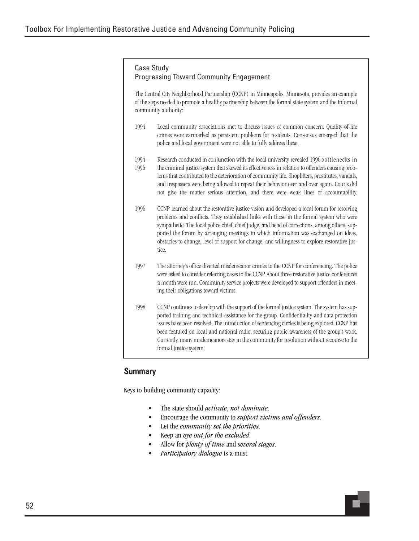## Case Study Progressing Toward Community Engagement

The Central City Neighborhood Partnership (CCNP) in Minneapolis, Minnesota, provides an example of the steps needed to promote a healthy partnership between the formal state system and the informal community authority:

- 1994 Local community associations met to discuss issues of common concern. Quality-of-life crimes were earmarked as persistent problems for residents. Consensus emerged that the police and local government were not able to fully address these.
- Research conducted in conjunction with the local university revealed 1996 bottlenecks in the criminal justice system that skewed its effectiveness in relation to offenders causing problems that contributed to the deterioration of community life. Shoplifters, prostitutes, vandals, and trespassers were being allowed to repeat their behavior over and over again. Courts did not give the matter serious attention, and there were weak lines of accountability. 1994 - 1996
- 1996 CCNP learned about the restorative justice vision and developed a local forum for resolving problems and conflicts. They established links with those in the formal system who were sympathetic. The local police chief, chief judge, and head of corrections, among others, supported the forum by arranging meetings in which information was exchanged on ideas, obstacles to change, level of support for change, and willingness to explore restorative justice.
- 1997 The attorney's office diverted misdemeanor crimes to the CCNP for conferencing. The police were asked to consider referring cases to the CCNP. About three restorative justice conferences a month were run. Community service projects were developed to support offenders in meeting their obligations toward victims.
- 1998 CCNP continues to develop with the support of the formal justice system. The system has supported training and technical assistance for the group. Confidentiality and data protection issues have been resolved. The introduction of sentencing circles is being explored. CCNP has been featured on local and national radio, securing public awareness of the group's work. Currently, many misdemeanors stay in the community for resolution without recourse to the formal justice system.

# **Summary**

Keys to building community capacity:

- The state should *activate*, *not dominate*.
- Encourage the community to *support victims and offenders*.
- Let the *community set the priorities*.
- Keep an *eye out for the excluded*.
- Allow for *plenty of time* and *several stages*.
- *Participatory dialogue* is a must.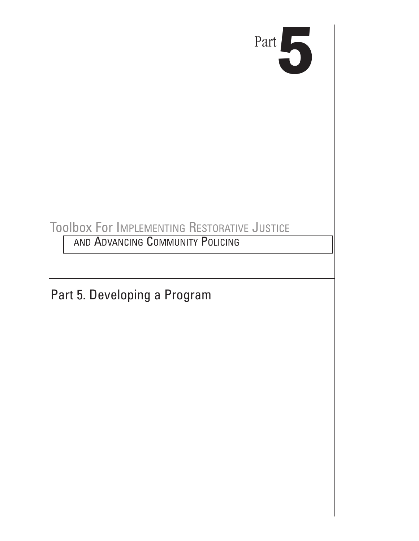

# Toolbox For IMPLEMENTING RESTORATIVE JUSTICE

AND ADVANCING COMMUNITY POLICING

Part 5. Developing a Program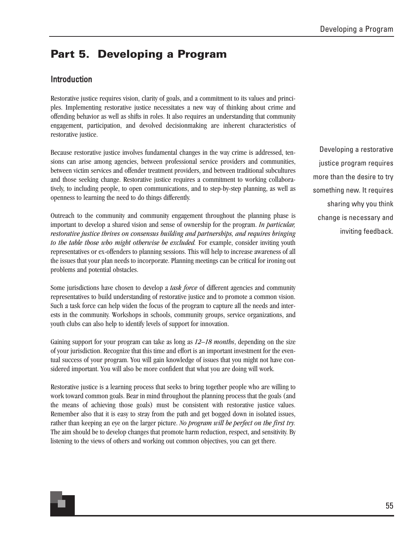# **Part 5. Developing a Program**

## Introduction

Restorative justice requires vision, clarity of goals, and a commitment to its values and principles. Implementing restorative justice necessitates a new way of thinking about crime and offending behavior as well as shifts in roles. It also requires an understanding that community engagement, participation, and devolved decisionmaking are inherent characteristics of restorative justice.

Because restorative justice involves fundamental changes in the way crime is addressed, tensions can arise among agencies, between professional service providers and communities, between victim services and offender treatment providers, and between traditional subcultures and those seeking change. Restorative justice requires a commitment to working collaboratively, to including people, to open communications, and to step-by-step planning, as well as openness to learning the need to do things differently.

Outreach to the community and community engagement throughout the planning phase is important to develop a shared vision and sense of ownership for the program. *In particular, restorative justice thrives on consensus building and partnerships, and requires bringing to the table those who might otherwise be excluded.* For example, consider inviting youth representatives or ex-offenders to planning sessions. This will help to increase awareness of all the issues that your plan needs to incorporate. Planning meetings can be critical for ironing out problems and potential obstacles.

Some jurisdictions have chosen to develop a *task force* of different agencies and community representatives to build understanding of restorative justice and to promote a common vision. Such a task force can help widen the focus of the program to capture all the needs and interests in the community. Workshops in schools, community groups, service organizations, and youth clubs can also help to identify levels of support for innovation.

Gaining support for your program can take as long as *12–18 months*, depending on the size of your jurisdiction. Recognize that this time and effort is an important investment for the eventual success of your program. You will gain knowledge of issues that you might not have considered important. You will also be more confident that what you are doing will work.

Restorative justice is a learning process that seeks to bring together people who are willing to work toward common goals. Bear in mind throughout the planning process that the goals (and the means of achieving those goals) must be consistent with restorative justice values. Remember also that it is easy to stray from the path and get bogged down in isolated issues, rather than keeping an eye on the larger picture. *No program will be perfect on the first try.* The aim should be to develop changes that promote harm reduction, respect, and sensitivity. By listening to the views of others and working out common objectives, you can get there.

Developing a restorative justice program requires more than the desire to try something new. It requires sharing why you think change is necessary and inviting feedback.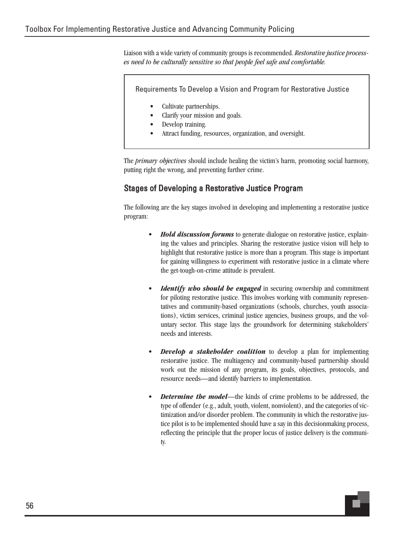Liaison with a wide variety of community groups is recommended. *Restorative justice processes need to be culturally sensitive so that people feel safe and comfortable.*

Requirements To Develop a Vision and Program for Restorative Justice

- Cultivate partnerships.
- Clarify your mission and goals.
- Develop training.
- Attract funding, resources, organization, and oversight.

The *primary objectives* should include healing the victim's harm, promoting social harmony, putting right the wrong, and preventing further crime.

## Stages of Developing a Restorative Justice Program

The following are the key stages involved in developing and implementing a restorative justice program:

- *Hold discussion forums* to generate dialogue on restorative justice, explaining the values and principles. Sharing the restorative justice vision will help to highlight that restorative justice is more than a program. This stage is important for gaining willingness to experiment with restorative justice in a climate where the get-tough-on-crime attitude is prevalent.
- *Identify who should be engaged* in securing ownership and commitment for piloting restorative justice. This involves working with community representatives and community-based organizations (schools, churches, youth associations), victim services, criminal justice agencies, business groups, and the voluntary sector. This stage lays the groundwork for determining stakeholders' needs and interests.
- *Develop a stakeholder coalition* to develop a plan for implementing restorative justice. The multiagency and community-based partnership should work out the mission of any program, its goals, objectives, protocols, and resource needs—and identify barriers to implementation.
- **Determine the model—the kinds of crime problems to be addressed, the** type of offender (e.g., adult, youth, violent, nonviolent), and the categories of victimization and/or disorder problem. The community in which the restorative justice pilot is to be implemented should have a say in this decisionmaking process, reflecting the principle that the proper locus of justice delivery is the community.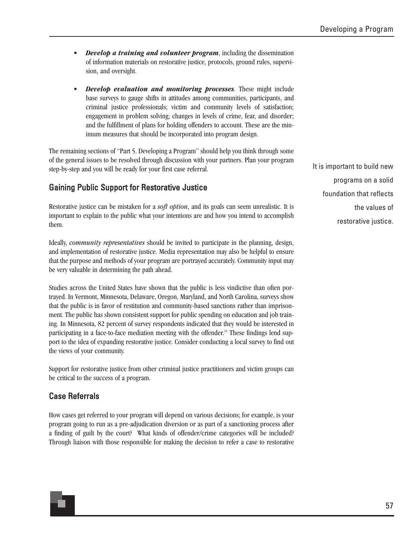- *Develop a training and volunteer program*, including the dissemination of information materials on restorative justice, protocols, ground rules, supervision, and oversight.
- *Develop evaluation and monitoring processes*. These might include base surveys to gauge shifts in attitudes among communities, participants, and criminal justice professionals; victim and community levels of satisfaction; engagement in problem solving; changes in levels of crime, fear, and disorder; and the fulfillment of plans for holding offenders to account. These are the minimum measures that should be incorporated into program design.

The remaining sections of "Part 5. Developing a Program" should help you think through some of the general issues to be resolved through discussion with your partners. Plan your program step-by-step and you will be ready for your first case referral.

# Gaining Public Support for Restorative Justice

Restorative justice can be mistaken for a *soft option*, and its goals can seem unrealistic. It is important to explain to the public what your intentions are and how you intend to accomplish them.

Ideally, *community representatives* should be invited to participate in the planning, design, and implementation of restorative justice. Media representation may also be helpful to ensure that the purpose and methods of your program are portrayed accurately. Community input may be very valuable in determining the path ahead.

Studies across the United States have shown that the public is less vindictive than often portrayed. In Vermont, Minnesota, Delaware, Oregon, Maryland, and North Carolina, surveys show that the public is in favor of restitution and community-based sanctions rather than imprisonment. The public has shown consistent support for public spending on education and job training. In Minnesota, 82 percent of survey respondents indicated that they would be interested in participating in a face-to-face mediation meeting with the offender.<sup>21</sup> These findings lend support to the idea of expanding restorative justice. Consider conducting a local survey to find out the views of your community.

Support for restorative justice from other criminal justice practitioners and victim groups can be critical to the success of a program.

# Case Referrals

How cases get referred to your program will depend on various decisions; for example, is your program going to run as a pre-adjudication diversion or as part of a sanctioning process after a finding of guilt by the court? What kinds of offender/crime categories will be included? Through liaison with those responsible for making the decision to refer a case to restorative It is important to build new programs on a solid foundation that reflects the values of restorative justice.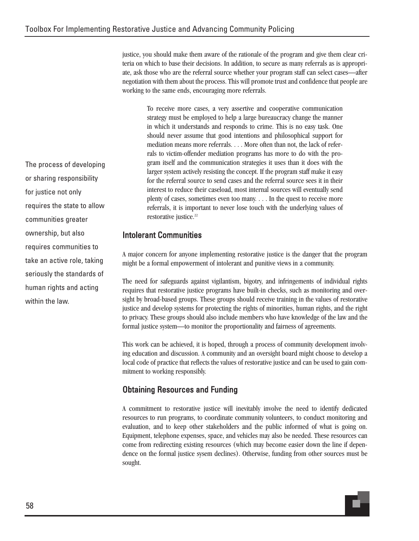justice, you should make them aware of the rationale of the program and give them clear criteria on which to base their decisions. In addition, to secure as many referrals as is appropriate, ask those who are the referral source whether your program staff can select cases—after negotiation with them about the process. This will promote trust and confidence that people are working to the same ends, encouraging more referrals.

To receive more cases, a very assertive and cooperative communication strategy must be employed to help a large bureaucracy change the manner in which it understands and responds to crime. This is no easy task. One should never assume that good intentions and philosophical support for mediation means more referrals. . . . More often than not, the lack of referrals to victim-offender mediation programs has more to do with the program itself and the communication strategies it uses than it does with the larger system actively resisting the concept. If the program staff make it easy for the referral source to send cases and the referral source sees it in their interest to reduce their caseload, most internal sources will eventually send plenty of cases, sometimes even too many. . . . In the quest to receive more referrals, it is important to never lose touch with the underlying values of restorative justice.<sup>22</sup>

## Intolerant Communities

A major concern for anyone implementing restorative justice is the danger that the program might be a formal empowerment of intolerant and punitive views in a community.

The need for safeguards against vigilantism, bigotry, and infringements of individual rights requires that restorative justice programs have built-in checks, such as monitoring and oversight by broad-based groups. These groups should receive training in the values of restorative justice and develop systems for protecting the rights of minorities, human rights, and the right to privacy. These groups should also include members who have knowledge of the law and the formal justice system—to monitor the proportionality and fairness of agreements.

This work can be achieved, it is hoped, through a process of community development involving education and discussion. A community and an oversight board might choose to develop a local code of practice that reflects the values of restorative justice and can be used to gain commitment to working responsibly.

# Obtaining Resources and Funding

A commitment to restorative justice will inevitably involve the need to identify dedicated resources to run programs, to coordinate community volunteers, to conduct monitoring and evaluation, and to keep other stakeholders and the public informed of what is going on. Equipment, telephone expenses, space, and vehicles may also be needed. These resources can come from redirecting existing resources (which may become easier down the line if dependence on the formal justice sysem declines). Otherwise, funding from other sources must be sought.

The process of developing or sharing responsibility for justice not only requires the state to allow communities greater ownership, but also requires communities to take an active role, taking seriously the standards of human rights and acting within the law.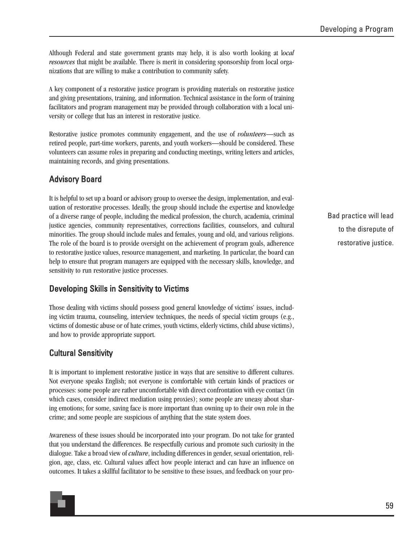Although Federal and state government grants may help, it is also worth looking at l*ocal resources* that might be available. There is merit in considering sponsorship from local organizations that are willing to make a contribution to community safety.

A key component of a restorative justice program is providing materials on restorative justice and giving presentations, training, and information. Technical assistance in the form of training facilitators and program management may be provided through collaboration with a local university or college that has an interest in restorative justice.

Restorative justice promotes community engagement, and the use of *volunteers*—such as retired people, part-time workers, parents, and youth workers—should be considered. These volunteers can assume roles in preparing and conducting meetings, writing letters and articles, maintaining records, and giving presentations.

# Advisory Board

It is helpful to set up a board or advisory group to oversee the design, implementation, and evaluation of restorative processes. Ideally, the group should include the expertise and knowledge of a diverse range of people, including the medical profession, the church, academia, criminal justice agencies, community representatives, corrections facilities, counselors, and cultural minorities. The group should include males and females, young and old, and various religions. The role of the board is to provide oversight on the achievement of program goals, adherence to restorative justice values, resource management, and marketing. In particular, the board can help to ensure that program managers are equipped with the necessary skills, knowledge, and sensitivity to run restorative justice processes.

# Developing Skills in Sensitivity to Victims

Those dealing with victims should possess good general knowledge of victims' issues, including victim trauma, counseling, interview techniques, the needs of special victim groups (e.g., victims of domestic abuse or of hate crimes, youth victims, elderly victims, child abuse victims), and how to provide appropriate support.

# Cultural Sensitivity

It is important to implement restorative justice in ways that are sensitive to different cultures. Not everyone speaks English; not everyone is comfortable with certain kinds of practices or processes: some people are rather uncomfortable with direct confrontation with eye contact (in which cases, consider indirect mediation using proxies); some people are uneasy about sharing emotions; for some, saving face is more important than owning up to their own role in the crime; and some people are suspicious of anything that the state system does.

Awareness of these issues should be incorporated into your program. Do not take for granted that you understand the differences. Be respectfully curious and promote such curiosity in the dialogue. Take a broad view of *culture*, including differences in gender, sexual orientation, religion, age, class, etc. Cultural values affect how people interact and can have an influence on outcomes. It takes a skillful facilitator to be sensitive to these issues, and feedback on your proBad practice will lead to the disrepute of restorative justice.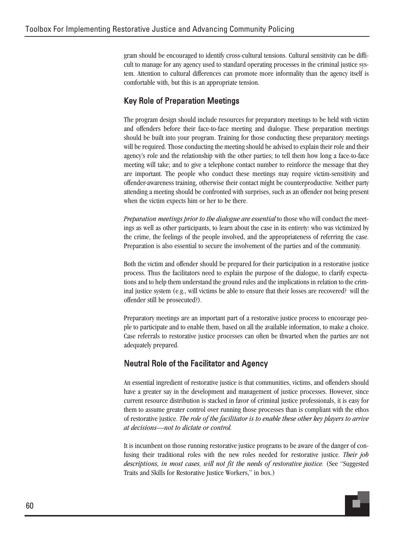gram should be encouraged to identify cross-cultural tensions. Cultural sensitivity can be difficult to manage for any agency used to standard operating processes in the criminal justice system. Attention to cultural differences can promote more informality than the agency itself is comfortable with, but this is an appropriate tension.

# Key Role of Preparation Meetings

The program design should include resources for preparatory meetings to be held with victim and offenders before their face-to-face meeting and dialogue. These preparation meetings should be built into your program. Training for those conducting these preparatory meetings will be required. Those conducting the meeting should be advised to explain their role and their agency's role and the relationship with the other parties; to tell them how long a face-to-face meeting will take; and to give a telephone contact number to reinforce the message that they are important. The people who conduct these meetings may require victim-sensitivity and offender-awareness training, otherwise their contact might be counterproductive. Neither party attending a meeting should be confronted with surprises, such as an offender not being present when the victim expects him or her to be there.

*Preparation meetings prior to the dialogue are essential* to those who will conduct the meetings as well as other participants, to learn about the case in its entirety: who was victimized by the crime, the feelings of the people involved, and the appropriateness of referring the case. Preparation is also essential to secure the involvement of the parties and of the community.

Both the victim and offender should be prepared for their participation in a restorative justice process. Thus the facilitators need to explain the purpose of the dialogue, to clarify expectations and to help them understand the ground rules and the implications in relation to the criminal justice system (e.g., will victims be able to ensure that their losses are recovered? will the offender still be prosecuted?).

Preparatory meetings are an important part of a restorative justice process to encourage people to participate and to enable them, based on all the available information, to make a choice. Case referrals to restorative justice processes can often be thwarted when the parties are not adequately prepared.

# Neutral Role of the Facilitator and Agency

An essential ingredient of restorative justice is that communities, victims, and offenders should have a greater say in the development and management of justice processes. However, since current resource distribution is stacked in favor of criminal justice professionals, it is easy for them to assume greater control over running those processes than is compliant with the ethos of restorative justice. *The role of the facilitator is to enable these other key players to arrive at decisions—not to dictate or control.*

It is incumbent on those running restorative justice programs to be aware of the danger of confusing their traditional roles with the new roles needed for restorative justice. *Their job descriptions, in most cases, will not fit the needs of restorative justice.* (See "Suggested Traits and Skills for Restorative Justice Workers," in box.)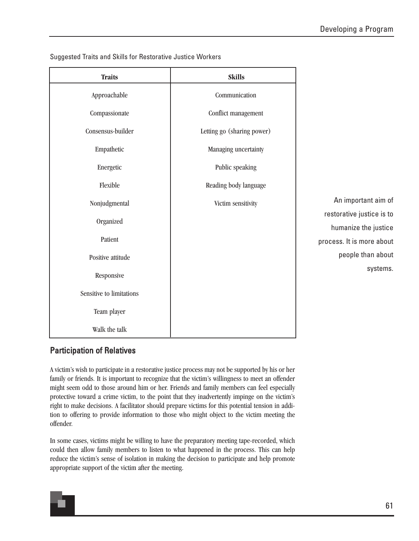An important aim of

restorative justice is to

process. It is more about

humanize the justice

people than about

systems.

| <b>Traits</b>            | <b>Skills</b>              |  |  |
|--------------------------|----------------------------|--|--|
| Approachable             | Communication              |  |  |
| Compassionate            | Conflict management        |  |  |
| Consensus-builder        | Letting go (sharing power) |  |  |
| Empathetic               | Managing uncertainty       |  |  |
| Energetic                | Public speaking            |  |  |
| Flexible                 | Reading body language      |  |  |
| Nonjudgmental            | Victim sensitivity         |  |  |
| Organized                |                            |  |  |
| Patient                  |                            |  |  |
| Positive attitude        |                            |  |  |
| Responsive               |                            |  |  |
| Sensitive to limitations |                            |  |  |
| Team player              |                            |  |  |
| Walk the talk            |                            |  |  |

Suggested Traits and Skills for Restorative Justice Workers

# Participation of Relatives

A victim's wish to participate in a restorative justice process may not be supported by his or her family or friends. It is important to recognize that the victim's willingness to meet an offender might seem odd to those around him or her. Friends and family members can feel especially protective toward a crime victim, to the point that they inadvertently impinge on the victim's right to make decisions. A facilitator should prepare victims for this potential tension in addition to offering to provide information to those who might object to the victim meeting the offender.

In some cases, victims might be willing to have the preparatory meeting tape-recorded, which could then allow family members to listen to what happened in the process. This can help reduce the victim's sense of isolation in making the decision to participate and help promote appropriate support of the victim after the meeting.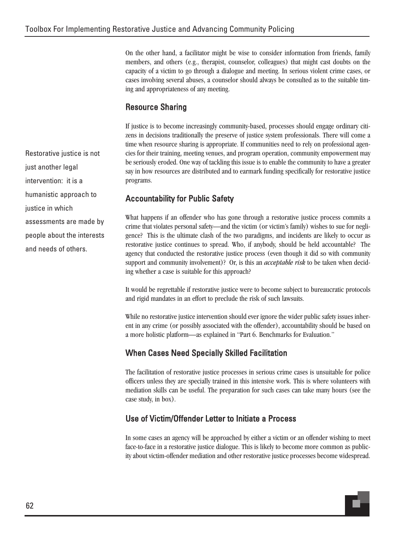On the other hand, a facilitator might be wise to consider information from friends, family members, and others (e.g., therapist, counselor, colleagues) that might cast doubts on the capacity of a victim to go through a dialogue and meeting. In serious violent crime cases, or cases involving several abuses, a counselor should always be consulted as to the suitable timing and appropriateness of any meeting.

# Resource Sharing

If justice is to become increasingly community-based, processes should engage ordinary citizens in decisions traditionally the preserve of justice system professionals. There will come a time when resource sharing is appropriate. If communities need to rely on professional agencies for their training, meeting venues, and program operation, community empowerment may be seriously eroded. One way of tackling this issue is to enable the community to have a greater say in how resources are distributed and to earmark funding specifically for restorative justice programs.

# Accountability for Public Safety

What happens if an offender who has gone through a restorative justice process commits a crime that violates personal safety—and the victim (or victim's family) wishes to sue for negligence? This is the ultimate clash of the two paradigms, and incidents are likely to occur as restorative justice continues to spread. Who, if anybody, should be held accountable? The agency that conducted the restorative justice process (even though it did so with community support and community involvement)? Or, is this an *acceptable risk* to be taken when deciding whether a case is suitable for this approach?

It would be regrettable if restorative justice were to become subject to bureaucratic protocols and rigid mandates in an effort to preclude the risk of such lawsuits.

While no restorative justice intervention should ever ignore the wider public safety issues inherent in any crime (or possibly associated with the offender), accountability should be based on a more holistic platform—as explained in "Part 6. Benchmarks for Evaluation."

# When Cases Need Specially Skilled Facilitation

The facilitation of restorative justice processes in serious crime cases is unsuitable for police officers unless they are specially trained in this intensive work. This is where volunteers with mediation skills can be useful. The preparation for such cases can take many hours (see the case study, in box).

# Use of Victim/Offender Letter to Initiate a Process

In some cases an agency will be approached by either a victim or an offender wishing to meet face-to-face in a restorative justice dialogue. This is likely to become more common as publicity about victim-offender mediation and other restorative justice processes become widespread.

Restorative justice is not just another legal intervention: it is a humanistic approach to justice in which assessments are made by people about the interests and needs of others.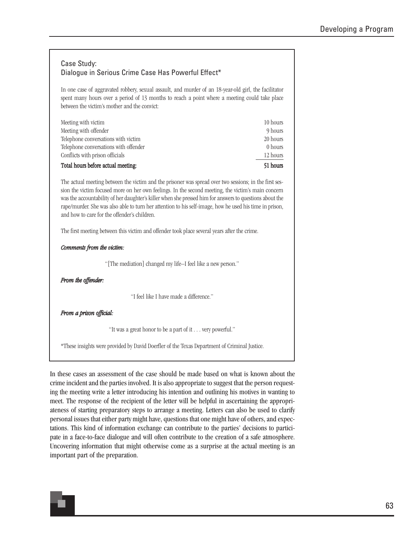## Case Study: Dialogue in Serious Crime Case Has Powerful Effect\*

In one case of aggravated robbery, sexual assault, and murder of an 18-year-old girl, the facilitator spent many hours over a period of 13 months to reach a point where a meeting could take place between the victim's mother and the convict:

| Meeting with victim                   | 10 hours |
|---------------------------------------|----------|
| Meeting with offender                 | 9 hours  |
| Telephone conversations with victim   | 20 hours |
| Telephone conversations with offender | 0 hours  |
| Conflicts with prison officials       | 12 hours |
| Total hours before actual meeting:    | 51 hours |

The actual meeting between the victim and the prisoner was spread over two sessions; in the first session the victim focused more on her own feelings. In the second meeting, the victim's main concern was the accountability of her daughter's killer when she pressed him for answers to questions about the rape/murder. She was also able to turn her attention to his self-image, how he used his time in prison, and how to care for the offender's children.

The first meeting between this victim and offender took place several years after the crime.

#### *Comments from the victim:*

"[The mediation] changed my life–I feel like a new person."

*From the offender:*

"I feel like I have made a difference."

*From a prison official:*

"It was a great honor to be a part of it . . . very powerful."

\*These insights were provided by David Doerfler of the Texas Department of Criminal Justice.

In these cases an assessment of the case should be made based on what is known about the crime incident and the parties involved. It is also appropriate to suggest that the person requesting the meeting write a letter introducing his intention and outlining his motives in wanting to meet. The response of the recipient of the letter will be helpful in ascertaining the appropriateness of starting preparatory steps to arrange a meeting. Letters can also be used to clarify personal issues that either party might have, questions that one might have of others, and expectations. This kind of information exchange can contribute to the parties' decisions to participate in a face-to-face dialogue and will often contribute to the creation of a safe atmosphere. Uncovering information that might otherwise come as a surprise at the actual meeting is an important part of the preparation.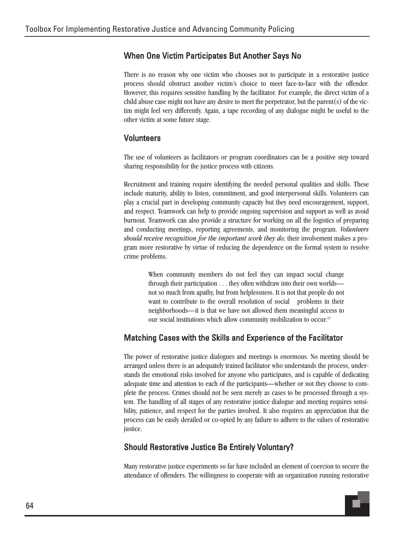# When One Victim Participates But Another Says No

There is no reason why one victim who chooses not to participate in a restorative justice process should obstruct another victim's choice to meet face-to-face with the offender. However, this requires sensitive handling by the facilitator. For example, the direct victim of a child abuse case might not have any desire to meet the perpetrator, but the parent(s) of the victim might feel very differently. Again, a tape recording of any dialogue might be useful to the other victim at some future stage.

# Volunteers

The use of volunteers as facilitators or program coordinators can be a positive step toward sharing responsibility for the justice process with citizens.

Recruitment and training require identifying the needed personal qualities and skills. These include maturity, ability to listen, commitment, and good interpersonal skills. Volunteers can play a crucial part in developing community capacity but they need encouragement, support, and respect. Teamwork can help to provide ongoing supervision and support as well as avoid burnout. Teamwork can also provide a structure for working on all the logistics of preparing and conducting meetings, reporting agreements, and monitoring the program. *Volunteers should receive recognition for the important work they do;* their involvement makes a program more restorative by virtue of reducing the dependence on the formal system to resolve crime problems.

When community members do not feel they can impact social change through their participation . . . they often withdraw into their own worlds not so much from apathy, but from helplessness. It is not that people do not want to contribute to the overall resolution of social problems in their neighborhoods—it is that we have not allowed them meaningful access to our social institutions which allow community mobilization to occur.23

# Matching Cases with the Skills and Experience of the Facilitator

The power of restorative justice dialogues and meetings is enormous. No meeting should be arranged unless there is an adequately trained facilitator who understands the process, understands the emotional risks involved for anyone who participates, and is capable of dedicating adequate time and attention to each of the participants—whether or not they choose to complete the process. Crimes should not be seen merely as cases to be processed through a system. The handling of all stages of any restorative justice dialogue and meeting requires sensibility, patience, and respect for the parties involved. It also requires an appreciation that the process can be easily derailed or co-opted by any failure to adhere to the values of restorative justice.

# Should Restorative Justice Be Entirely Voluntary?

Many restorative justice experiments so far have included an element of coercion to secure the attendance of offenders. The willingness to cooperate with an organization running restorative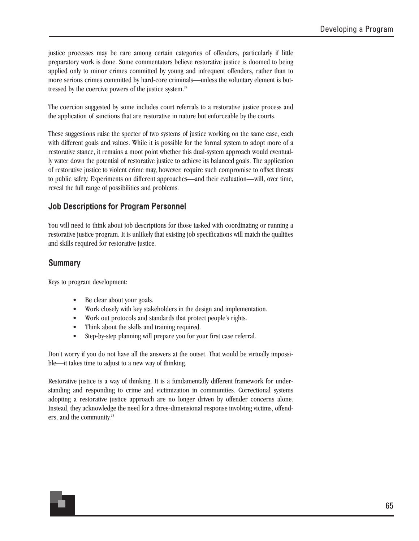justice processes may be rare among certain categories of offenders, particularly if little preparatory work is done. Some commentators believe restorative justice is doomed to being applied only to minor crimes committed by young and infrequent offenders, rather than to more serious crimes committed by hard-core criminals—unless the voluntary element is buttressed by the coercive powers of the justice system.<sup>24</sup>

The coercion suggested by some includes court referrals to a restorative justice process and the application of sanctions that are restorative in nature but enforceable by the courts.

These suggestions raise the specter of two systems of justice working on the same case, each with different goals and values. While it is possible for the formal system to adopt more of a restorative stance, it remains a moot point whether this dual-system approach would eventually water down the potential of restorative justice to achieve its balanced goals. The application of restorative justice to violent crime may, however, require such compromise to offset threats to public safety. Experiments on different approaches—and their evaluation—will, over time, reveal the full range of possibilities and problems.

# Job Descriptions for Program Personnel

You will need to think about job descriptions for those tasked with coordinating or running a restorative justice program. It is unlikely that existing job specifications will match the qualities and skills required for restorative justice.

## **Summary**

Keys to program development:

- Be clear about your goals.
- Work closely with key stakeholders in the design and implementation.
- Work out protocols and standards that protect people's rights.
- Think about the skills and training required.
- Step-by-step planning will prepare you for your first case referral.

Don't worry if you do not have all the answers at the outset. That would be virtually impossible—it takes time to adjust to a new way of thinking.

Restorative justice is a way of thinking. It is a fundamentally different framework for understanding and responding to crime and victimization in communities. Correctional systems adopting a restorative justice approach are no longer driven by offender concerns alone. Instead, they acknowledge the need for a three-dimensional response involving victims, offenders, and the community.<sup>25</sup>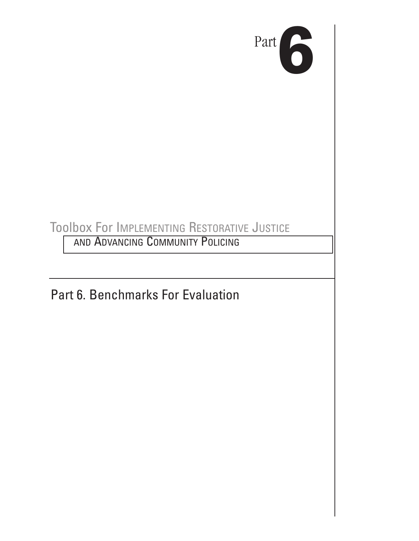

# Toolbox For IMPLEMENTING RESTORATIVE JUSTICE

AND ADVANCING COMMUNITY POLICING

Part 6. Benchmarks For Evaluation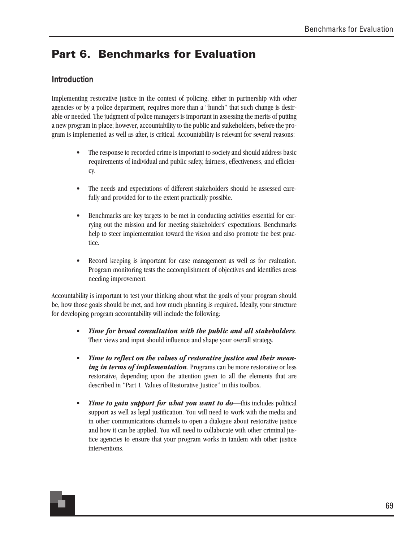# **Part 6. Benchmarks for Evaluation**

# Introduction

Implementing restorative justice in the context of policing, either in partnership with other agencies or by a police department, requires more than a "hunch" that such change is desirable or needed. The judgment of police managers is important in assessing the merits of putting a new program in place; however, accountability to the public and stakeholders, before the program is implemented as well as after, is critical. Accountability is relevant for several reasons:

- The response to recorded crime is important to society and should address basic requirements of individual and public safety, fairness, effectiveness, and efficiency.
- The needs and expectations of different stakeholders should be assessed carefully and provided for to the extent practically possible.
- Benchmarks are key targets to be met in conducting activities essential for carrying out the mission and for meeting stakeholders' expectations. Benchmarks help to steer implementation toward the vision and also promote the best practice.
- Record keeping is important for case management as well as for evaluation. Program monitoring tests the accomplishment of objectives and identifies areas needing improvement.

Accountability is important to test your thinking about what the goals of your program should be, how those goals should be met, and how much planning is required. Ideally, your structure for developing program accountability will include the following:

- *Time for broad consultation with the public and all stakeholders*. Their views and input should influence and shape your overall strategy.
- *Time to reflect on the values of restorative justice and their meaning in terms of implementation*. Programs can be more restorative or less restorative, depending upon the attention given to all the elements that are described in "Part 1. Values of Restorative Justice" in this toolbox.
- *Time to gain support for what you want to do*—this includes political support as well as legal justification. You will need to work with the media and in other communications channels to open a dialogue about restorative justice and how it can be applied. You will need to collaborate with other criminal justice agencies to ensure that your program works in tandem with other justice interventions.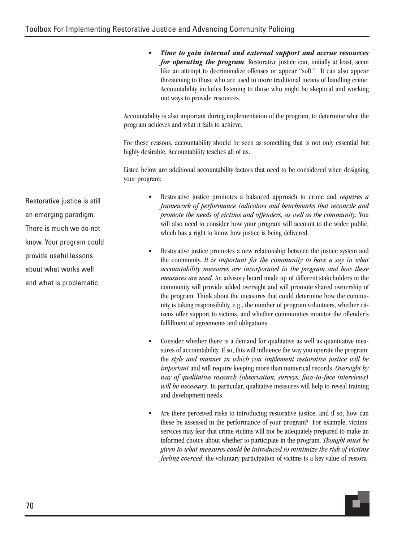• *Time to gain internal and external support and accrue resources for operating the program*. Restorative justice can, initially at least, seem like an attempt to decriminalize offenses or appear "soft." It can also appear threatening to those who are used to more traditional means of handling crime. Accountability includes listening to those who might be skeptical and working out ways to provide resources.

Accountability is also important during implementation of the program, to determine what the program achieves and what it fails to achieve.

For these reasons, accountability should be seen as something that is not only essential but highly desirable. Accountability teaches all of us.

Listed below are additional accountability factors that need to be considered when designing your program:

Restorative justice is still an emerging paradigm. There is much we do not know. Your program could provide useful lessons about what works well and what is problematic.

- Restorative justice promotes a balanced approach to crime and *requires a framework of performance indicators and benchmarks that reconcile and promote the needs of victims and offenders, as well as the community.* You will also need to consider how your program will account to the wider public, which has a right to know how justice is being delivered.
- Restorative justice promotes a new relationship between the justice system and the community. *It is important for the community to have a say in what accountability measures are incorporated in the program and how these measures are used*. An advisory board made up of different stakeholders in the community will provide added oversight and will promote shared ownership of the program. Think about the measures that could determine how the community is taking responsibility, e.g., the number of program volunteers, whether citizens offer support to victims, and whether communities monitor the offender's fulfillment of agreements and obligations.
- Consider whether there is a demand for qualitative as well as quantitative measures of accountability. If so, this will influence the way you operate the program: the *style and manner in which you implement restorative justice will be important* and will require keeping more than numerical records. *Oversight by way of qualitative research (observation, surveys, face-to-face interviews) will be necessary*. In particular, qualitative measures will help to reveal training and development needs.
- Are there perceived risks to introducing restorative justice, and if so, how can these be assessed in the performance of your program? For example, victims' services may fear that crime victims will not be adequately prepared to make an informed choice about whether to participate in the program. *Thought must be given to what measures could be introduced to minimize the risk of victims feeling coerced*; the voluntary participation of victims is a key value of restora-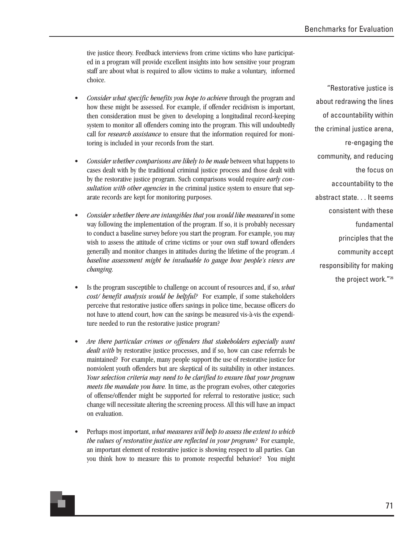tive justice theory. Feedback interviews from crime victims who have participated in a program will provide excellent insights into how sensitive your program staff are about what is required to allow victims to make a voluntary, informed choice.

- *Consider what specific benefits you hope to achieve* through the program and how these might be assessed. For example, if offender recidivism is important, then consideration must be given to developing a longitudinal record-keeping system to monitor all offenders coming into the program. This will undoubtedly call for *research assistance* to ensure that the information required for monitoring is included in your records from the start.
- *Consider whether comparisons are likely to be made* between what happens to cases dealt with by the traditional criminal justice process and those dealt with by the restorative justice program. Such comparisons would require *early consultation with other agencies* in the criminal justice system to ensure that separate records are kept for monitoring purposes.
- *Consider whether there are intangibles that you would like measured* in some way following the implementation of the program. If so, it is probably necessary to conduct a baseline survey before you start the program. For example, you may wish to assess the attitude of crime victims or your own staff toward offenders generally and monitor changes in attitudes during the lifetime of the program. *A baseline assessment might be invaluable to gauge how people's views are changing.*
- Is the program susceptible to challenge on account of resources and, if so, *what cost/ benefit analysis would be helpful?* For example, if some stakeholders perceive that restorative justice offers savings in police time, because officers do not have to attend court, how can the savings be measured vis-à-vis the expenditure needed to run the restorative justice program?
- *Are there particular crimes or offenders that stakeholders especially want dealt with* by restorative justice processes, and if so, how can case referrals be maintained? For example, many people support the use of restorative justice for nonviolent youth offenders but are skeptical of its suitability in other instances. *Your selection criteria may need to be clarified to ensure that your program meets the mandate you have.* In time, as the program evolves, other categories of offense/offender might be supported for referral to restorative justice; such change will necessitate altering the screening process. All this will have an impact on evaluation.
- Perhaps most important, *what measures will help to assess the extent to which the values of restorative justice are reflected in your program?* For example, an important element of restorative justice is showing respect to all parties. Can you think how to measure this to promote respectful behavior? You might

"Restorative justice is about redrawing the lines of accountability within the criminal justice arena, re-engaging the community, and reducing the focus on accountability to the abstract state. . . It seems consistent with these fundamental principles that the community accept responsibility for making the project work."26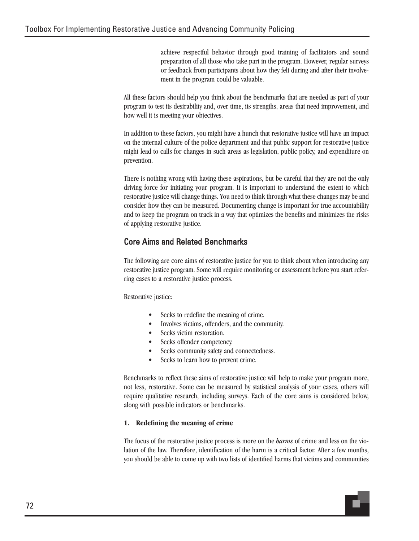achieve respectful behavior through good training of facilitators and sound preparation of all those who take part in the program. However, regular surveys or feedback from participants about how they felt during and after their involvement in the program could be valuable.

All these factors should help you think about the benchmarks that are needed as part of your program to test its desirability and, over time, its strengths, areas that need improvement, and how well it is meeting your objectives.

In addition to these factors, you might have a hunch that restorative justice will have an impact on the internal culture of the police department and that public support for restorative justice might lead to calls for changes in such areas as legislation, public policy, and expenditure on prevention.

There is nothing wrong with having these aspirations, but be careful that they are not the only driving force for initiating your program. It is important to understand the extent to which restorative justice will change things. You need to think through what these changes may be and consider how they can be measured. Documenting change is important for true accountability and to keep the program on track in a way that optimizes the benefits and minimizes the risks of applying restorative justice.

# Core Aims and Related Benchmarks

The following are core aims of restorative justice for you to think about when introducing any restorative justice program. Some will require monitoring or assessment before you start referring cases to a restorative justice process.

Restorative justice:

- Seeks to redefine the meaning of crime.
- Involves victims, offenders, and the community.
- Seeks victim restoration.
- Seeks offender competency.
- Seeks community safety and connectedness.
- Seeks to learn how to prevent crime.

Benchmarks to reflect these aims of restorative justice will help to make your program more, not less, restorative. Some can be measured by statistical analysis of your cases, others will require qualitative research, including surveys. Each of the core aims is considered below, along with possible indicators or benchmarks.

## **1. Redefining the meaning of crime**

The focus of the restorative justice process is more on the *harms* of crime and less on the violation of the law. Therefore, identification of the harm is a critical factor. After a few months, you should be able to come up with two lists of identified harms that victims and communities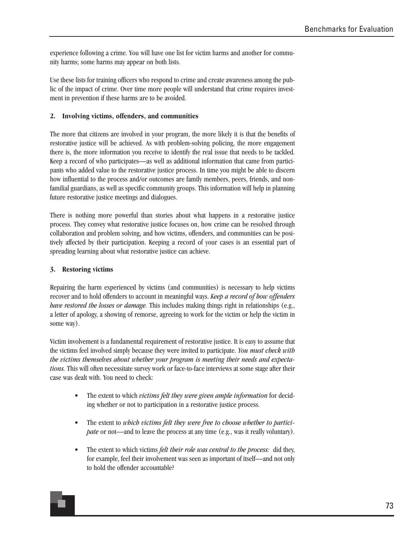experience following a crime. You will have one list for victim harms and another for community harms; some harms may appear on both lists.

Use these lists for training officers who respond to crime and create awareness among the public of the impact of crime. Over time more people will understand that crime requires investment in prevention if these harms are to be avoided.

### **2. Involving victims, offenders, and communities**

The more that citizens are involved in your program, the more likely it is that the benefits of restorative justice will be achieved. As with problem-solving policing, the more engagement there is, the more information you receive to identify the real issue that needs to be tackled. Keep a record of who participates—as well as additional information that came from participants who added value to the restorative justice process. In time you might be able to discern how influential to the process and/or outcomes are family members, peers, friends, and nonfamilial guardians, as well as specific community groups. This information will help in planning future restorative justice meetings and dialogues.

There is nothing more powerful than stories about what happens in a restorative justice process. They convey what restorative justice focuses on, how crime can be resolved through collaboration and problem solving, and how victims, offenders, and communities can be positively affected by their participation. Keeping a record of your cases is an essential part of spreading learning about what restorative justice can achieve.

### **3. Restoring victims**

Repairing the harm experienced by victims (and communities) is necessary to help victims recover and to hold offenders to account in meaningful ways. *Keep a record of how offenders have restored the losses or damage.* This includes making things right in relationships (e.g., a letter of apology, a showing of remorse, agreeing to work for the victim or help the victim in some way).

Victim involvement is a fundamental requirement of restorative justice. It is easy to assume that the victims feel involved simply because they were invited to participate. *You must check with the victims themselves about whether your program is meeting their needs and expectations.* This will often necessitate survey work or face-to-face interviews at some stage after their case was dealt with. You need to check:

- The extent to which *victims felt they were given ample information* for deciding whether or not to participation in a restorative justice process.
- The extent to *which victims felt they were free to choose whether to participate* or not—and to leave the process at any time (e.g., was it really voluntary).
- The extent to which victims *felt their role was central to the process:* did they, for example, feel their involvement was seen as important of itself—and not only to hold the offender accountable?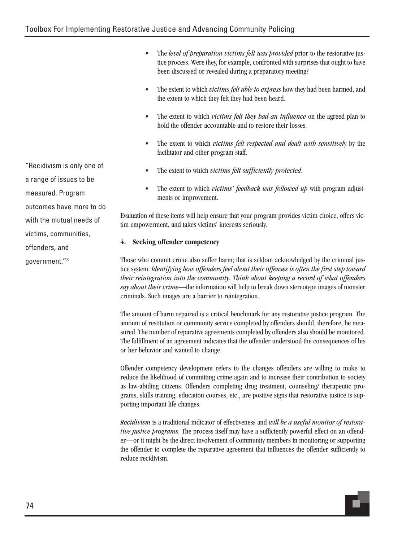• The *level of preparation victims felt was provided* prior to the restorative justice process. Were they, for example, confronted with surprises that ought to have been discussed or revealed during a preparatory meeting?

- The extent to which *victims felt able to express* how they had been harmed, and the extent to which they felt they had been heard.
- The extent to which *victims felt they had an influence* on the agreed plan to hold the offender accountable and to restore their losses.
- The extent to which *victims felt respected and dealt with sensitivel*y by the facilitator and other program staff.
- The extent to which *victims felt sufficiently protected*.
- The extent to which *victims' feedback was followed up* with program adjustments or improvement.

Evaluation of these items will help ensure that your program provides victim choice, offers victim empowerment, and takes victims' interests seriously.

## **4. Seeking offender competency**

Those who commit crime also suffer harm; that is seldom acknowledged by the criminal justice system. *Identifying how offenders feel about their offenses is often the first step toward their reintegration into the community. Think about keeping a record of what offenders say about their crime*—the information will help to break down stereotype images of monster criminals. Such images are a barrier to reintegration.

The amount of harm repaired is a critical benchmark for any restorative justice program. The amount of restitution or community service completed by offenders should, therefore, be measured. The number of reparative agreements completed by offenders also should be monitored. The fulfillment of an agreement indicates that the offender understood the consequences of his or her behavior and wanted to change.

Offender competency development refers to the changes offenders are willing to make to reduce the likelihood of committing crime again and to increase their contribution to society as law-abiding citizens. Offenders completing drug treatment, counseling/ therapeutic programs, skills training, education courses, etc., are positive signs that restorative justice is supporting important life changes.

*Recidivism* is a traditional indicator of effectiveness and *will be a useful monitor of restorative justice programs*. The process itself may have a sufficiently powerful effect on an offender—or it might be the direct involvement of community members in monitoring or supporting the offender to complete the reparative agreement that influences the offender sufficiently to reduce recidivism.

"Recidivism is only one of a range of issues to be measured. Program outcomes have more to do with the mutual needs of victims, communities, offenders, and government."27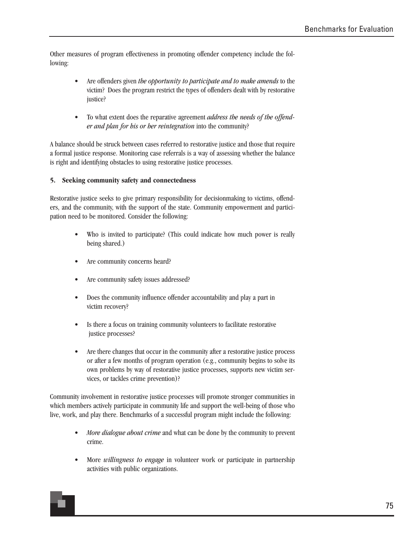Other measures of program effectiveness in promoting offender competency include the following:

- Are offenders given *the opportunity to participate and to make amends* to the victim? Does the program restrict the types of offenders dealt with by restorative justice?
- To what extent does the reparative agreement *address the needs of the offender and plan for his or her reintegration* into the community?

A balance should be struck between cases referred to restorative justice and those that require a formal justice response. Monitoring case referrals is a way of assessing whether the balance is right and identifying obstacles to using restorative justice processes.

#### **5. Seeking community safety and connectedness**

Restorative justice seeks to give primary responsibility for decisionmaking to victims, offenders, and the community, with the support of the state. Community empowerment and participation need to be monitored. Consider the following:

- Who is invited to participate? (This could indicate how much power is really being shared.)
- Are community concerns heard?
- Are community safety issues addressed?
- Does the community influence offender accountability and play a part in victim recovery?
- Is there a focus on training community volunteers to facilitate restorative justice processes?
- Are there changes that occur in the community after a restorative justice process or after a few months of program operation (e.g., community begins to solve its own problems by way of restorative justice processes, supports new victim services, or tackles crime prevention)?

Community involvement in restorative justice processes will promote stronger communities in which members actively participate in community life and support the well-being of those who live, work, and play there. Benchmarks of a successful program might include the following:

- *More dialogue about crime* and what can be done by the community to prevent crime.
- More *willingness to engage* in volunteer work or participate in partnership activities with public organizations.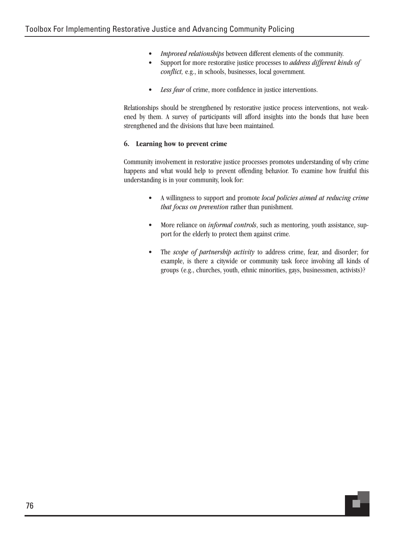- *Improved relationships* between different elements of the community.
- Support for more restorative justice processes to *address different kinds of conflict,* e.g., in schools, businesses, local government.
- *Less fear* of crime, more confidence in justice interventions.

Relationships should be strengthened by restorative justice process interventions, not weakened by them. A survey of participants will afford insights into the bonds that have been strengthened and the divisions that have been maintained.

#### **6. Learning how to prevent crime**

Community involvement in restorative justice processes promotes understanding of why crime happens and what would help to prevent offending behavior. To examine how fruitful this understanding is in your community, look for:

- A willingness to support and promote *local policies aimed at reducing crime that focus on prevention* rather than punishment.
- More reliance on *informal controls*, such as mentoring, youth assistance, support for the elderly to protect them against crime.
- The *scope of partnership activity* to address crime, fear, and disorder; for example, is there a citywide or community task force involving all kinds of groups (e.g., churches, youth, ethnic minorities, gays, businessmen, activists)?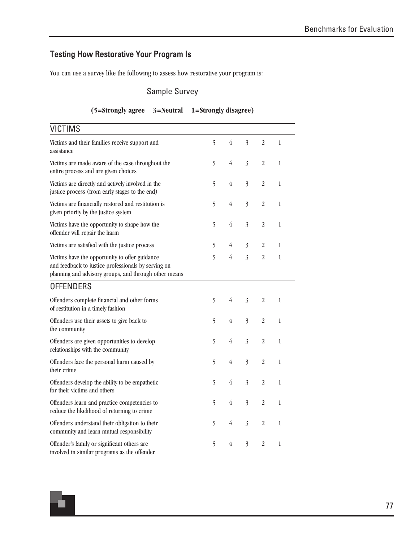## Testing How Restorative Your Program Is

You can use a survey like the following to assess how restorative your program is:

### Sample Survey

#### **(5=Strongly agree 3=Neutral 1=Strongly disagree)**

| <b>VICTIMS</b>                                                                                                                                                 |   |                |                |                  |               |  |
|----------------------------------------------------------------------------------------------------------------------------------------------------------------|---|----------------|----------------|------------------|---------------|--|
| Victims and their families receive support and<br>assistance                                                                                                   | 5 | $\overline{4}$ | $\overline{3}$ | $\overline{2}$   | 1             |  |
| Victims are made aware of the case throughout the<br>entire process and are given choices                                                                      | 5 | 4              | $\overline{3}$ | $\overline{2}$   | $\mathbf{1}$  |  |
| Victims are directly and actively involved in the<br>justice process (from early stages to the end)                                                            | 5 | 4              | $\overline{3}$ | $\overline{2}$   | $\,1$         |  |
| Victims are financially restored and restitution is<br>given priority by the justice system                                                                    | 5 | $\overline{4}$ | $\overline{3}$ | $\overline{2}$   | $\mathbf{1}$  |  |
| Victims have the opportunity to shape how the<br>offender will repair the harm                                                                                 | 5 | $\overline{4}$ | $\overline{3}$ | $\boldsymbol{2}$ | $\mathbf{1}$  |  |
| Victims are satisfied with the justice process                                                                                                                 | 5 | 4              | $\mathfrak{Z}$ | $\overline{2}$   | 1             |  |
| Victims have the opportunity to offer guidance<br>and feedback to justice professionals by serving on<br>planning and advisory groups, and through other means | 5 | 4              | $\overline{3}$ | $\overline{2}$   | $\mathbf{1}$  |  |
| <b>OFFENDERS</b>                                                                                                                                               |   |                |                |                  |               |  |
| Offenders complete financial and other forms<br>of restitution in a timely fashion                                                                             | 5 | 4              | $\overline{3}$ | $\overline{2}$   | $\mathbf{1}$  |  |
| Offenders use their assets to give back to<br>the community                                                                                                    | 5 | $\overline{4}$ | $\overline{3}$ | $\overline{2}$   | $\mathbf{1}$  |  |
| Offenders are given opportunities to develop<br>relationships with the community                                                                               | 5 | $\overline{4}$ | $\overline{3}$ | $\overline{2}$   | $\mathbf{1}$  |  |
| Offenders face the personal harm caused by<br>their crime                                                                                                      | 5 | 4              | $\overline{3}$ | $\overline{2}$   | 1             |  |
| Offenders develop the ability to be empathetic<br>for their victims and others                                                                                 | 5 | $\overline{4}$ | $\overline{3}$ | $\overline{2}$   | 1             |  |
| Offenders learn and practice competencies to<br>reduce the likelihood of returning to crime                                                                    | 5 | $\overline{4}$ | $\overline{3}$ | $\overline{2}$   | $\mathbf{1}$  |  |
| Offenders understand their obligation to their<br>community and learn mutual responsibility                                                                    | 5 | 4              | $\overline{3}$ | 2                | 1             |  |
| Offender's family or significant others are<br>involved in similar programs as the offender                                                                    | 5 | 4              | $\overline{3}$ | $\overline{2}$   | $\mathbbm{1}$ |  |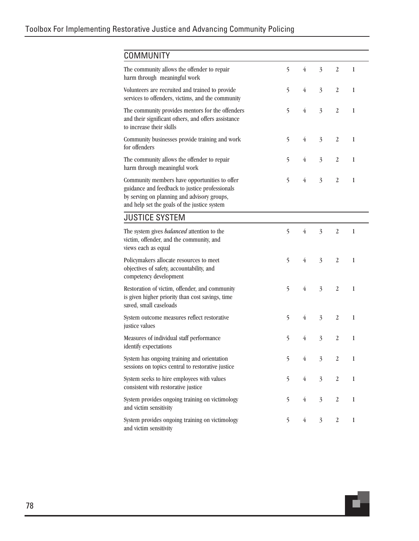| <b>COMMUNITY</b>                                                                                                                                                                               |   |                |                |                  |              |
|------------------------------------------------------------------------------------------------------------------------------------------------------------------------------------------------|---|----------------|----------------|------------------|--------------|
| The community allows the offender to repair<br>harm through meaningful work                                                                                                                    | 5 | 4              | $\overline{3}$ | $\overline{2}$   | 1            |
| Volunteers are recruited and trained to provide<br>services to offenders, victims, and the community                                                                                           | 5 | $\overline{4}$ | $\overline{3}$ | $\boldsymbol{2}$ | 1            |
| The community provides mentors for the offenders<br>and their significant others, and offers assistance<br>to increase their skills                                                            | 5 | $\overline{4}$ | $\overline{3}$ | $\overline{2}$   | $\mathbf{1}$ |
| Community businesses provide training and work<br>for offenders                                                                                                                                | 5 | $\overline{4}$ | $\overline{3}$ | $\overline{2}$   | $\mathbf{1}$ |
| The community allows the offender to repair<br>harm through meaningful work                                                                                                                    | 5 | 4              | $\overline{3}$ | $\overline{2}$   | 1            |
| Community members have opportunities to offer<br>guidance and feedback to justice professionals<br>by serving on planning and advisory groups,<br>and help set the goals of the justice system | 5 | $\overline{4}$ | $\overline{3}$ | $\overline{2}$   | 1            |
| <b>JUSTICE SYSTEM</b>                                                                                                                                                                          |   |                |                |                  |              |
| The system gives <i>balanced</i> attention to the<br>victim, offender, and the community, and<br>views each as equal                                                                           | 5 | $\overline{4}$ | $\overline{3}$ | $\overline{2}$   | 1            |
| Policymakers allocate resources to meet<br>objectives of safety, accountability, and<br>competency development                                                                                 | 5 | $\overline{4}$ | $\overline{3}$ | $\overline{2}$   | $\mathbf{1}$ |
| Restoration of victim, offender, and community<br>is given higher priority than cost savings, time<br>saved, small caseloads                                                                   | 5 | $\overline{4}$ | $\overline{3}$ | $\overline{2}$   | 1            |
| System outcome measures reflect restorative<br>justice values                                                                                                                                  | 5 | $\overline{4}$ | $\overline{3}$ | $\overline{2}$   | $\mathbf{1}$ |
| Measures of individual staff performance<br>identify expectations                                                                                                                              | 5 | 4              | $\overline{3}$ | $\overline{2}$   | 1            |
| System has ongoing training and orientation<br>sessions on topics central to restorative justice                                                                                               | 5 | 4              | 3              | $\overline{2}$   | 1            |
| System seeks to hire employees with values<br>consistent with restorative justice                                                                                                              | 5 | $\overline{4}$ | $\overline{3}$ | $\sqrt{2}$       | 1            |
| System provides ongoing training on victimology<br>and victim sensitivity                                                                                                                      | 5 | $\overline{4}$ | $\overline{3}$ | $\boldsymbol{2}$ | 1            |
| System provides ongoing training on victimology<br>and victim sensitivity                                                                                                                      | 5 | $\overline{4}$ | $\overline{3}$ | $\boldsymbol{2}$ | $\mathbf{1}$ |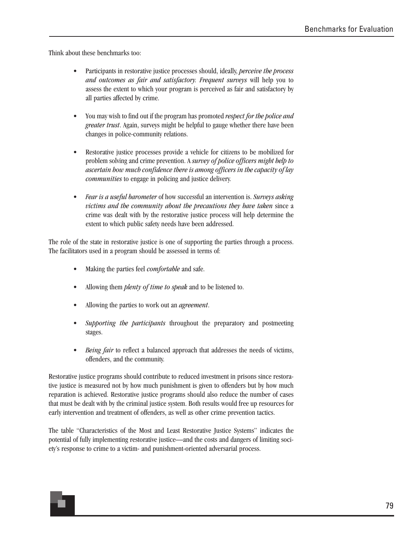Think about these benchmarks too:

- Participants in restorative justice processes should, ideally, *perceive the process and outcomes as fair and satisfactory. Frequent surveys* will help you to assess the extent to which your program is perceived as fair and satisfactory by all parties affected by crime.
- You may wish to find out if the program has promoted *respect for the police and greater trust*. Again, surveys might be helpful to gauge whether there have been changes in police-community relations.
- Restorative justice processes provide a vehicle for citizens to be mobilized for problem solving and crime prevention. A *survey of police officers might help to ascertain how much confidence there is among officers in the capacity of lay communities* to engage in policing and justice delivery.
- *Fear is a useful barometer* of how successful an intervention is. *Surveys asking victims and the community about the precautions they have taken* since a crime was dealt with by the restorative justice process will help determine the extent to which public safety needs have been addressed.

The role of the state in restorative justice is one of supporting the parties through a process. The facilitators used in a program should be assessed in terms of:

- Making the parties feel *comfortable* and safe.
- Allowing them *plenty of time to speak* and to be listened to.
- Allowing the parties to work out an *agreement*.
- *Supporting the participants* throughout the preparatory and postmeeting stages.
- *Being fair* to reflect a balanced approach that addresses the needs of victims, offenders, and the community.

Restorative justice programs should contribute to reduced investment in prisons since restorative justice is measured not by how much punishment is given to offenders but by how much reparation is achieved. Restorative justice programs should also reduce the number of cases that must be dealt with by the criminal justice system. Both results would free up resources for early intervention and treatment of offenders, as well as other crime prevention tactics.

The table "Characteristics of the Most and Least Restorative Justice Systems" indicates the potential of fully implementing restorative justice—and the costs and dangers of limiting society's response to crime to a victim- and punishment-oriented adversarial process.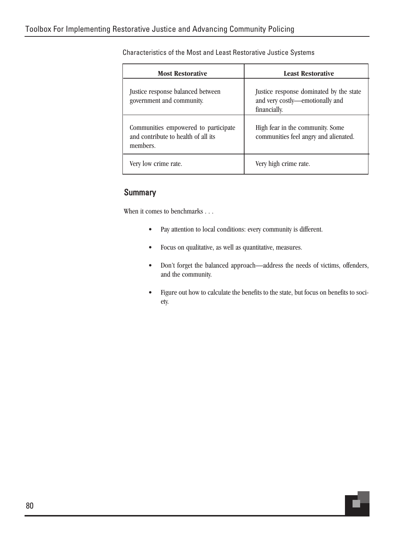| <b>Most Restorative</b>                                                                 | <b>Least Restorative</b>                                                                   |
|-----------------------------------------------------------------------------------------|--------------------------------------------------------------------------------------------|
| Justice response balanced between<br>government and community.                          | Justice response dominated by the state<br>and very costly-emotionally and<br>financially. |
| Communities empowered to participate<br>and contribute to health of all its<br>members. | High fear in the community. Some<br>communities feel angry and alienated.                  |
| Very low crime rate.                                                                    | Very high crime rate.                                                                      |

Characteristics of the Most and Least Restorative Justice Systems

#### **Summary**

When it comes to benchmarks . . .

- Pay attention to local conditions: every community is different.
- Focus on qualitative, as well as quantitative, measures.
- Don't forget the balanced approach—address the needs of victims, offenders, and the community.
- Figure out how to calculate the benefits to the state, but focus on benefits to society.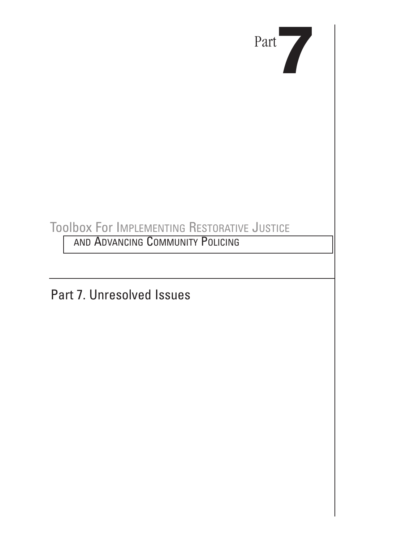

# Toolbox For IMPLEMENTING RESTORATIVE JUSTICE

**AND ADVANCING COMMUNITY POLICING** 

Part 7. Unresolved Issues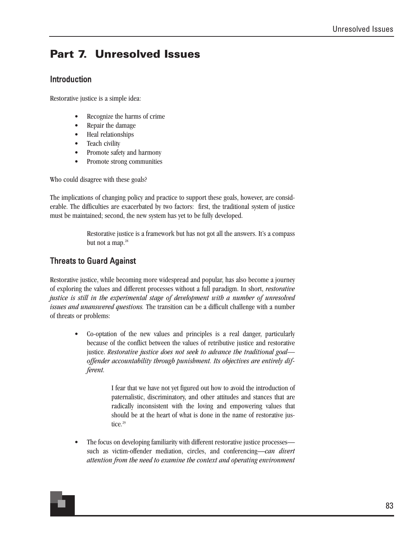## **Part 7. Unresolved Issues**

#### Introduction

Restorative justice is a simple idea:

- Recognize the harms of crime
- Repair the damage
- Heal relationships
- Teach civility
- Promote safety and harmony
- Promote strong communities

Who could disagree with these goals?

The implications of changing policy and practice to support these goals, however, are considerable. The difficulties are exacerbated by two factors: first, the traditional system of justice must be maintained; second, the new system has yet to be fully developed.

> Restorative justice is a framework but has not got all the answers. It's a compass but not a map.<sup>28</sup>

#### Threats to Guard Against

Restorative justice, while becoming more widespread and popular, has also become a journey of exploring the values and different processes without a full paradigm. In short, *restorative justice is still in the experimental stage of development with a number of unresolved issues and unanswered questions.* The transition can be a difficult challenge with a number of threats or problems:

> • Co-optation of the new values and principles is a real danger, particularly because of the conflict between the values of retributive justice and restorative justice. *Restorative justice does not seek to advance the traditional goal offender accountability through punishment. Its objectives are entirely different.*

> > I fear that we have not yet figured out how to avoid the introduction of paternalistic, discriminatory, and other attitudes and stances that are radically inconsistent with the loving and empowering values that should be at the heart of what is done in the name of restorative justice.<sup>29</sup>

• The focus on developing familiarity with different restorative justice processes such as victim-offender mediation, circles, and conferencing—*can divert attention from the need to examine the context and operating environment*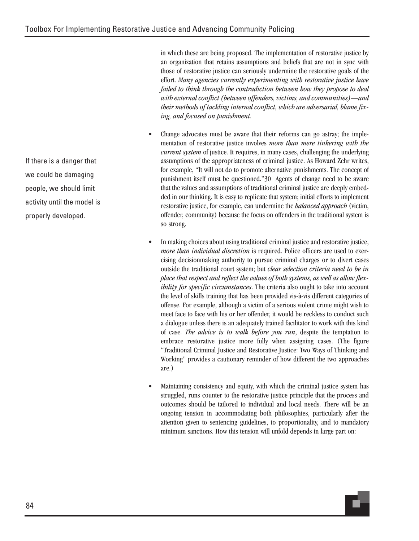in which these are being proposed. The implementation of restorative justice by an organization that retains assumptions and beliefs that are not in sync with those of restorative justice can seriously undermine the restorative goals of the effort. *Many agencies currently experimenting with restorative justice have failed to think through the contradiction between how they propose to deal with external conflict (between offenders, victims, and communities)—and their methods of tackling internal conflict, which are adversarial, blame fixing, and focused on punishment.*

- Change advocates must be aware that their reforms can go astray; the implementation of restorative justice involves *more than mere tinkering with the current system* of justice. It requires, in many cases, challenging the underlying assumptions of the appropriateness of criminal justice. As Howard Zehr writes, for example, "It will not do to promote alternative punishments. The concept of punishment itself must be questioned."30 Agents of change need to be aware that the values and assumptions of traditional criminal justice are deeply embedded in our thinking. It is easy to replicate that system; initial efforts to implement restorative justice, for example, can undermine the *balanced approach* (victim, offender, community) because the focus on offenders in the traditional system is so strong.
- In making choices about using traditional criminal justice and restorative justice, *more than individual discretion* is required. Police officers are used to exercising decisionmaking authority to pursue criminal charges or to divert cases outside the traditional court system; but *clear selection criteria need to be in place that respect and reflect the values of both systems, as well as allow flexibility for specific circumstances*. The criteria also ought to take into account the level of skills training that has been provided vis-à-vis different categories of offense. For example, although a victim of a serious violent crime might wish to meet face to face with his or her offender, it would be reckless to conduct such a dialogue unless there is an adequately trained facilitator to work with this kind of case. *The advice is to walk before you run*, despite the temptation to embrace restorative justice more fully when assigning cases. (The figure "Traditional Criminal Justice and Restorative Justice: Two Ways of Thinking and Working" provides a cautionary reminder of how different the two approaches are.)
- Maintaining consistency and equity, with which the criminal justice system has struggled, runs counter to the restorative justice principle that the process and outcomes should be tailored to individual and local needs. There will be an ongoing tension in accommodating both philosophies, particularly after the attention given to sentencing guidelines, to proportionality, and to mandatory minimum sanctions. How this tension will unfold depends in large part on:

If there is a danger that we could be damaging people, we should limit activity until the model is properly developed.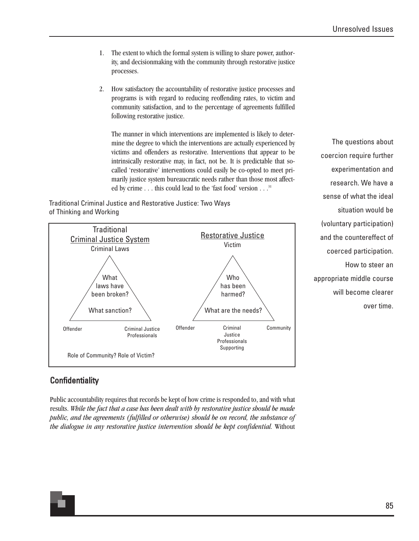- 1. The extent to which the formal system is willing to share power, authority, and decisionmaking with the community through restorative justice processes.
- 2. How satisfactory the accountability of restorative justice processes and programs is with regard to reducing reoffending rates, to victim and community satisfaction, and to the percentage of agreements fulfilled following restorative justice.

The manner in which interventions are implemented is likely to determine the degree to which the interventions are actually experienced by victims and offenders as restorative. Interventions that appear to be intrinsically restorative may, in fact, not be. It is predictable that socalled 'restorative' interventions could easily be co-opted to meet primarily justice system bureaucratic needs rather than those most affected by crime . . . this could lead to the 'fast food' version . . .<sup>31</sup>

Traditional Criminal Justice and Restorative Justice: Two Ways of Thinking and Working



The questions about coercion require further experimentation and research. We have a sense of what the ideal situation would be (voluntary participation) and the countereffect of coerced participation. How to steer an appropriate middle course will become clearer over time.

### **Confidentiality**

Public accountability requires that records be kept of how crime is responded to, and with what results. *While the fact that a case has been dealt with by restorative justice should be made public, and the agreements (fulfilled or otherwise) should be on record, the substance of the dialogue in any restorative justice intervention should be kept confidential.* Without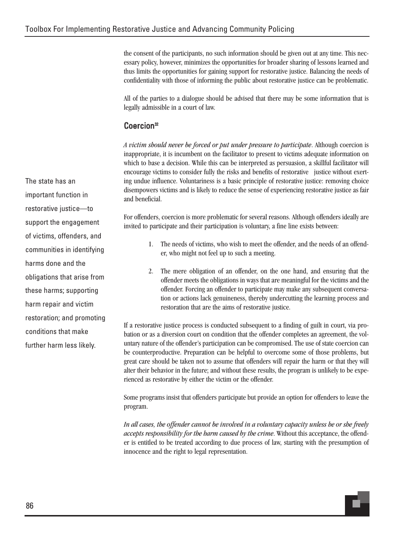the consent of the participants, no such information should be given out at any time. This necessary policy, however, minimizes the opportunities for broader sharing of lessons learned and thus limits the opportunities for gaining support for restorative justice. Balancing the needs of confidentiality with those of informing the public about restorative justice can be problematic.

All of the parties to a dialogue should be advised that there may be some information that is legally admissible in a court of law.

#### Coercion<sup>32</sup>

*A victim should never be forced or put under pressure to participate*. Although coercion is inappropriate, it is incumbent on the facilitator to present to victims adequate information on which to base a decision. While this can be interpreted as persuasion, a skillful facilitator will encourage victims to consider fully the risks and benefits of restorative justice without exerting undue influence. Voluntariness is a basic principle of restorative justice: removing choice disempowers victims and is likely to reduce the sense of experiencing restorative justice as fair and beneficial.

For offenders, coercion is more problematic for several reasons. Although offenders ideally are invited to participate and their participation is voluntary, a fine line exists between:

- 1. The needs of victims, who wish to meet the offender, and the needs of an offender, who might not feel up to such a meeting.
- 2. The mere obligation of an offender, on the one hand, and ensuring that the offender meets the obligations in ways that are meaningful for the victims and the offender. Forcing an offender to participate may make any subsequent conversation or actions lack genuineness, thereby undercutting the learning process and restoration that are the aims of restorative justice.

If a restorative justice process is conducted subsequent to a finding of guilt in court, via probation or as a diversion court on condition that the offender completes an agreement, the voluntary nature of the offender's participation can be compromised. The use of state coercion can be counterproductive. Preparation can be helpful to overcome some of those problems, but great care should be taken not to assume that offenders will repair the harm or that they will alter their behavior in the future; and without these results, the program is unlikely to be experienced as restorative by either the victim or the offender.

Some programs insist that offenders participate but provide an option for offenders to leave the program.

*In all cases, the offender cannot be involved in a voluntary capacity unless he or she freely accepts responsibility for the harm caused by the crime*. Without this acceptance, the offender is entitled to be treated according to due process of law, starting with the presumption of innocence and the right to legal representation.

The state has an important function in restorative justice—to support the engagement of victims, offenders, and communities in identifying harms done and the obligations that arise from these harms; supporting harm repair and victim restoration; and promoting conditions that make further harm less likely.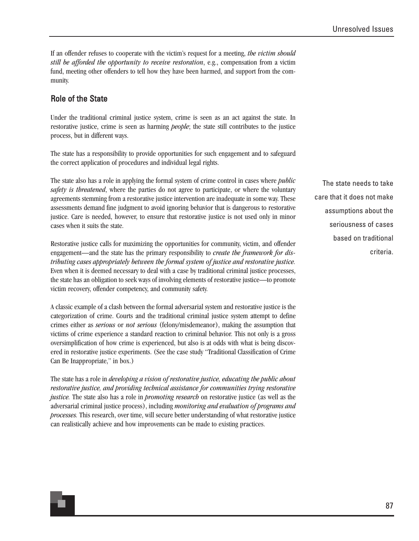If an offender refuses to cooperate with the victim's request for a meeting, *the victim should still be afforded the opportunity to receive restoration*, e.g., compensation from a victim fund, meeting other offenders to tell how they have been harmed, and support from the community.

#### Role of the State

Under the traditional criminal justice system, crime is seen as an act against the state. In restorative justice, crime is seen as harming *people*; the state still contributes to the justice process, but in different ways.

The state has a responsibility to provide opportunities for such engagement and to safeguard the correct application of procedures and individual legal rights.

The state also has a role in applying the formal system of crime control in cases where *public safety is threatened*, where the parties do not agree to participate, or where the voluntary agreements stemming from a restorative justice intervention are inadequate in some way. These assessments demand fine judgment to avoid ignoring behavior that is dangerous to restorative justice. Care is needed, however, to ensure that restorative justice is not used only in minor cases when it suits the state.

Restorative justice calls for maximizing the opportunities for community, victim, and offender engagement—and the state has the primary responsibility to *create the framework for distributing cases appropriately between the formal system of justice and restorative justice.* Even when it is deemed necessary to deal with a case by traditional criminal justice processes, the state has an obligation to seek ways of involving elements of restorative justice—to promote victim recovery, offender competency, and community safety.

A classic example of a clash between the formal adversarial system and restorative justice is the categorization of crime. Courts and the traditional criminal justice system attempt to define crimes either as *serious* or *not serious* (felony/misdemeanor), making the assumption that victims of crime experience a standard reaction to criminal behavior. This not only is a gross oversimplification of how crime is experienced, but also is at odds with what is being discovered in restorative justice experiments. (See the case study "Traditional Classification of Crime Can Be Inappropriate," in box.)

The state has a role in *developing a vision of restorative justice, educating the public about restorative justice, and providing technical assistance for communities trying restorative justice.* The state also has a role in *promoting research* on restorative justice (as well as the adversarial criminal justice process), including *monitoring and evaluation of programs and processes.* This research, over time, will secure better understanding of what restorative justice can realistically achieve and how improvements can be made to existing practices.

The state needs to take care that it does not make assumptions about the seriousness of cases based on traditional criteria.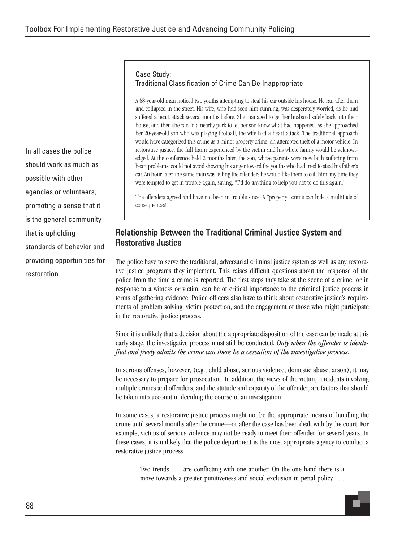#### Case Study: Traditional Classification of Crime Can Be Inappropriate

A 68-year-old man noticed two youths attempting to steal his car outside his house. He ran after them and collapsed in the street. His wife, who had seen him running, was desperately worried, as he had suffered a heart attack several months before. She managed to get her husband safely back into their house, and then she ran to a nearby park to let her son know what had happened. As she approached her 20-year-old son who was playing football, the wife had a heart attack. The traditional approach would have categorized this crime as a minor property crime: an attempted theft of a motor vehicle. In restorative justice, the full harm experienced by the victim and his whole family would be acknowledged. At the conference held 2 months later, the son, whose parents were now both suffering from heart problems, could not avoid showing his anger toward the youths who had tried to steal his father's car. An hour later, the same man was telling the offenders he would like them to call him any time they were tempted to get in trouble again, saying, "I'd do anything to help you not to do this again."

The offenders agreed and have not been in trouble since. A "property" crime can hide a multitude of consequences!

### Relationship Between the Traditional Criminal Justice System and Restorative Justice

The police have to serve the traditional, adversarial criminal justice system as well as any restorative justice programs they implement. This raises difficult questions about the response of the police from the time a crime is reported. The first steps they take at the scene of a crime, or in response to a witness or victim, can be of critical importance to the criminal justice process in terms of gathering evidence. Police officers also have to think about restorative justice's requirements of problem solving, victim protection, and the engagement of those who might participate in the restorative justice process.

Since it is unlikely that a decision about the appropriate disposition of the case can be made at this early stage, the investigative process must still be conducted. *Only when the offender is identified and freely admits the crime can there be a cessation of the investigative process.*

In serious offenses, however, (e.g., child abuse, serious violence, domestic abuse, arson), it may be necessary to prepare for prosecution. In addition, the views of the victim, incidents involving multiple crimes and offenders, and the attitude and capacity of the offender, are factors that should be taken into account in deciding the course of an investigation.

In some cases, a restorative justice process might not be the appropriate means of handling the crime until several months after the crime—or after the case has been dealt with by the court. For example, victims of serious violence may not be ready to meet their offender for several years. In these cases, it is unlikely that the police department is the most appropriate agency to conduct a restorative justice process.

Two trends . . . are conflicting with one another. On the one hand there is a move towards a greater punitiveness and social exclusion in penal policy . . .

In all cases the police should work as much as possible with other agencies or volunteers, promoting a sense that it is the general community that is upholding standards of behavior and providing opportunities for restoration.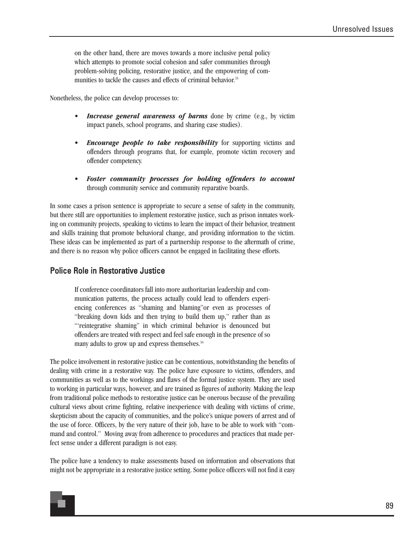on the other hand, there are moves towards a more inclusive penal policy which attempts to promote social cohesion and safer communities through problem-solving policing, restorative justice, and the empowering of communities to tackle the causes and effects of criminal behavior.<sup>33</sup>

Nonetheless, the police can develop processes to:

- *Increase general awareness of harms* done by crime (e.g., by victim impact panels, school programs, and sharing case studies).
- *Encourage people to take responsibility* for supporting victims and offenders through programs that, for example, promote victim recovery and offender competency.
- *Foster community processes for holding offenders to account* through community service and community reparative boards.

In some cases a prison sentence is appropriate to secure a sense of safety in the community, but there still are opportunities to implement restorative justice, such as prison inmates working on community projects, speaking to victims to learn the impact of their behavior, treatment and skills training that promote behavioral change, and providing information to the victim. These ideas can be implemented as part of a partnership response to the aftermath of crime, and there is no reason why police officers cannot be engaged in facilitating these efforts.

#### Police Role in Restorative Justice

If conference coordinators fall into more authoritarian leadership and communication patterns, the process actually could lead to offenders experiencing conferences as "shaming and blaming"or even as processes of "breaking down kids and then trying to build them up," rather than as "'reintegrative shaming" in which criminal behavior is denounced but offenders are treated with respect and feel safe enough in the presence of so many adults to grow up and express themselves. $34$ 

The police involvement in restorative justice can be contentious, notwithstanding the benefits of dealing with crime in a restorative way. The police have exposure to victims, offenders, and communities as well as to the workings and flaws of the formal justice system. They are used to working in particular ways, however, and are trained as figures of authority. Making the leap from traditional police methods to restorative justice can be onerous because of the prevailing cultural views about crime fighting, relative inexperience with dealing with victims of crime, skepticism about the capacity of communities, and the police's unique powers of arrest and of the use of force. Officers, by the very nature of their job, have to be able to work with "command and control." Moving away from adherence to procedures and practices that made perfect sense under a different paradigm is not easy.

The police have a tendency to make assessments based on information and observations that might not be appropriate in a restorative justice setting. Some police officers will not find it easy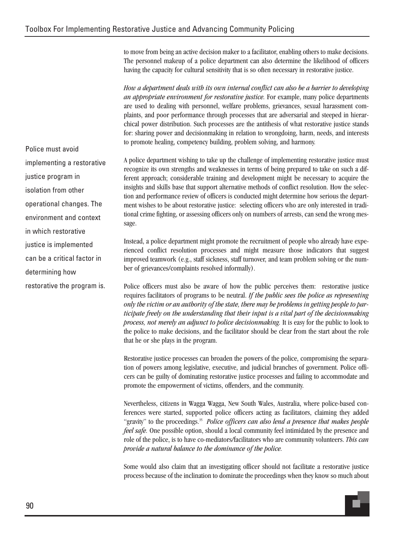to move from being an active decision maker to a facilitator, enabling others to make decisions. The personnel makeup of a police department can also determine the likelihood of officers having the capacity for cultural sensitivity that is so often necessary in restorative justice.

*How a department deals with its own internal conflict can also be a barrier to developing an appropriate environment for restorative justice.* For example, many police departments are used to dealing with personnel, welfare problems, grievances, sexual harassment complaints, and poor performance through processes that are adversarial and steeped in hierarchical power distribution. Such processes are the antithesis of what restorative justice stands for: sharing power and decisionmaking in relation to wrongdoing, harm, needs, and interests to promote healing, competency building, problem solving, and harmony.

Police must avoid implementing a restorative justice program in isolation from other operational changes. The environment and context in which restorative justice is implemented can be a critical factor in determining how restorative the program is.

A police department wishing to take up the challenge of implementing restorative justice must recognize its own strengths and weaknesses in terms of being prepared to take on such a different approach; considerable training and development might be necessary to acquire the insights and skills base that support alternative methods of conflict resolution. How the selection and performance review of officers is conducted might determine how serious the department wishes to be about restorative justice: selecting officers who are only interested in traditional crime fighting, or assessing officers only on numbers of arrests, can send the wrong message.

Instead, a police department might promote the recruitment of people who already have experienced conflict resolution processes and might measure those indicators that suggest improved teamwork (e.g., staff sickness, staff turnover, and team problem solving or the number of grievances/complaints resolved informally).

Police officers must also be aware of how the public perceives them: restorative justice requires facilitators of programs to be neutral. *If the public sees the police as representing only the victim or an authority of the state, there may be problems in getting people to participate freely on the understanding that their input is a vital part of the decisionmaking process, not merely an adjunct to police decisionmaking.* It is easy for the public to look to the police to make decisions, and the facilitator should be clear from the start about the role that he or she plays in the program.

Restorative justice processes can broaden the powers of the police, compromising the separation of powers among legislative, executive, and judicial branches of government. Police officers can be guilty of dominating restorative justice processes and failing to accommodate and promote the empowerment of victims, offenders, and the community.

Nevertheless, citizens in Wagga Wagga, New South Wales, Australia, where police-based conferences were started, supported police officers acting as facilitators, claiming they added "gravity" to the proceedings.<sup>35</sup> *Police officers can also lend a presence that makes people feel safe.* One possible option, should a local community feel intimidated by the presence and role of the police, is to have co-mediators/facilitators who are community volunteers. *This can provide a natural balance to the dominance of the police.*

Some would also claim that an investigating officer should not facilitate a restorative justice process because of the inclination to dominate the proceedings when they know so much about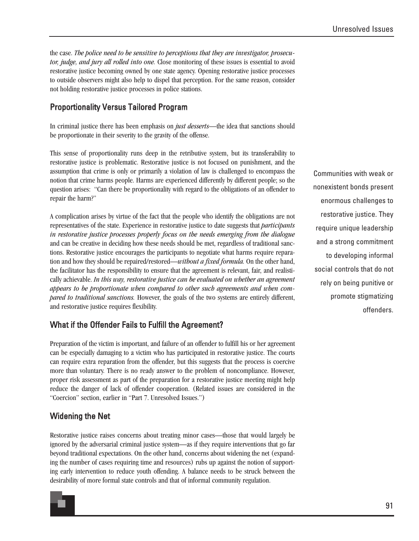the case. *The police need to be sensitive to perceptions that they are investigator, prosecutor, judge, and jury all rolled into one.* Close monitoring of these issues is essential to avoid restorative justice becoming owned by one state agency. Opening restorative justice processes to outside observers might also help to dispel that perception. For the same reason, consider not holding restorative justice processes in police stations.

### Proportionality Versus Tailored Program

In criminal justice there has been emphasis on *just desserts*—the idea that sanctions should be proportionate in their severity to the gravity of the offense.

This sense of proportionality runs deep in the retributive system, but its transferability to restorative justice is problematic. Restorative justice is not focused on punishment, and the assumption that crime is only or primarily a violation of law is challenged to encompass the notion that crime harms people. Harms are experienced differently by different people; so the question arises: "Can there be proportionality with regard to the obligations of an offender to repair the harm?"

A complication arises by virtue of the fact that the people who identify the obligations are not representatives of the state. Experience in restorative justice to date suggests that *participants in restorative justice processes properly focus on the needs emerging from the dialogue* and can be creative in deciding how these needs should be met, regardless of traditional sanctions. Restorative justice encourages the participants to negotiate what harms require reparation and how they should be repaired/restored—*without a fixed formula.* On the other hand, the facilitator has the responsibility to ensure that the agreement is relevant, fair, and realistically achievable. *In this way, restorative justice can be evaluated on whether an agreement appears to be proportionate when compared to other such agreements and when compared to traditional sanctions.* However, the goals of the two systems are entirely different, and restorative justice requires flexibility.

#### What if the Offender Fails to Fulfill the Agreement?

Preparation of the victim is important, and failure of an offender to fulfill his or her agreement can be especially damaging to a victim who has participated in restorative justice. The courts can require extra reparation from the offender, but this suggests that the process is coercive more than voluntary. There is no ready answer to the problem of noncompliance. However, proper risk assessment as part of the preparation for a restorative justice meeting might help reduce the danger of lack of offender cooperation. (Related issues are considered in the "Coercion" section, earlier in "Part 7. Unresolved Issues.")

#### Widening the Net

Restorative justice raises concerns about treating minor cases—those that would largely be ignored by the adversarial criminal justice system—as if they require interventions that go far beyond traditional expectations. On the other hand, concerns about widening the net (expanding the number of cases requiring time and resources) rubs up against the notion of supporting early intervention to reduce youth offending. A balance needs to be struck between the desirability of more formal state controls and that of informal community regulation.



Communities with weak or nonexistent bonds present enormous challenges to restorative justice. They require unique leadership and a strong commitment to developing informal social controls that do not rely on being punitive or promote stigmatizing offenders.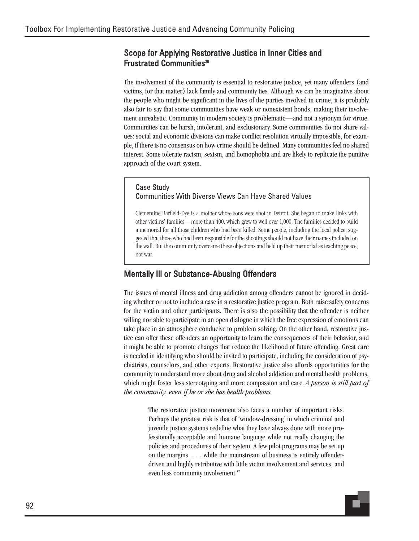#### Scope for Applying Restorative Justice in Inner Cities and Frustrated Communities<sup>36</sup>

The involvement of the community is essential to restorative justice, yet many offenders (and victims, for that matter) lack family and community ties. Although we can be imaginative about the people who might be significant in the lives of the parties involved in crime, it is probably also fair to say that some communities have weak or nonexistent bonds, making their involvement unrealistic. Community in modern society is problematic—and not a synonym for virtue. Communities can be harsh, intolerant, and exclusionary. Some communities do not share values: social and economic divisions can make conflict resolution virtually impossible, for example, if there is no consensus on how crime should be defined. Many communities feel no shared interest. Some tolerate racism, sexism, and homophobia and are likely to replicate the punitive approach of the court system.

#### Case Study Communities With Diverse Views Can Have Shared Values

Clementine Barfield-Dye is a mother whose sons were shot in Detroit. She began to make links with other victims' families—more than 400, which grew to well over 1,000. The families decided to build a memorial for all those children who had been killed. Some people, including the local police, suggested that those who had been responsible for the shootings should not have their names included on the wall. But the community overcame these objections and held up their memorial as teaching peace, not war.

### Mentally Ill or Substance-Abusing Offenders

The issues of mental illness and drug addiction among offenders cannot be ignored in deciding whether or not to include a case in a restorative justice program. Both raise safety concerns for the victim and other participants. There is also the possibility that the offender is neither willing nor able to participate in an open dialogue in which the free expression of emotions can take place in an atmosphere conducive to problem solving. On the other hand, restorative justice can offer these offenders an opportunity to learn the consequences of their behavior, and it might be able to promote changes that reduce the likelihood of future offending. Great care is needed in identifying who should be invited to participate, including the consideration of psychiatrists, counselors, and other experts. Restorative justice also affords opportunities for the community to understand more about drug and alcohol addiction and mental health problems, which might foster less stereotyping and more compassion and care. *A person is still part of the community, even if he or she has health problems.*

The restorative justice movement also faces a number of important risks. Perhaps the greatest risk is that of 'window-dressing' in which criminal and juvenile justice systems redefine what they have always done with more professionally acceptable and humane language while not really changing the policies and procedures of their system. A few pilot programs may be set up on the margins . . . while the mainstream of business is entirely offenderdriven and highly retributive with little victim involvement and services, and even less community involvement.<sup>37</sup>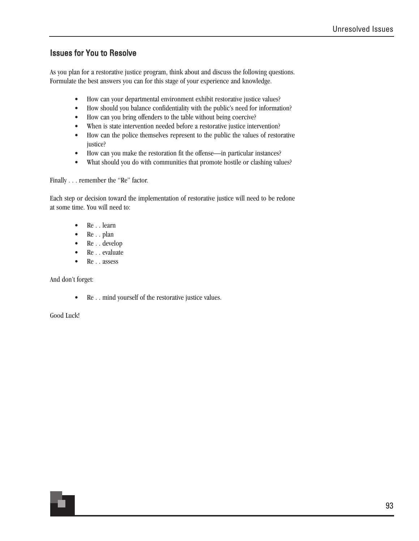### Issues for You to Resolve

As you plan for a restorative justice program, think about and discuss the following questions. Formulate the best answers you can for this stage of your experience and knowledge.

- How can your departmental environment exhibit restorative justice values?
- How should you balance confidentiality with the public's need for information?
- How can you bring offenders to the table without being coercive?
- When is state intervention needed before a restorative justice intervention?
- How can the police themselves represent to the public the values of restorative justice?
- How can you make the restoration fit the offense—in particular instances?
- What should you do with communities that promote hostile or clashing values?

Finally . . . remember the "Re" factor.

Each step or decision toward the implementation of restorative justice will need to be redone at some time. You will need to:

- Re . . learn
- Re . . plan
- Re . . develop
- Re . . evaluate
- Re . . assess

And don't forget:

• Re . . mind yourself of the restorative justice values.

Good Luck!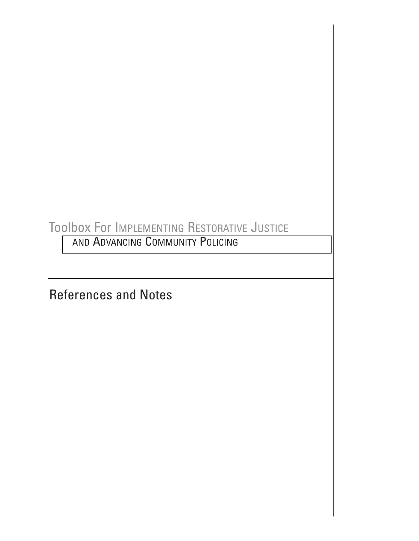## Toolbox For IMPLEMENTING RESTORATIVE JUSTICE

AND ADVANCING COMMUNITY POLICING

References and Notes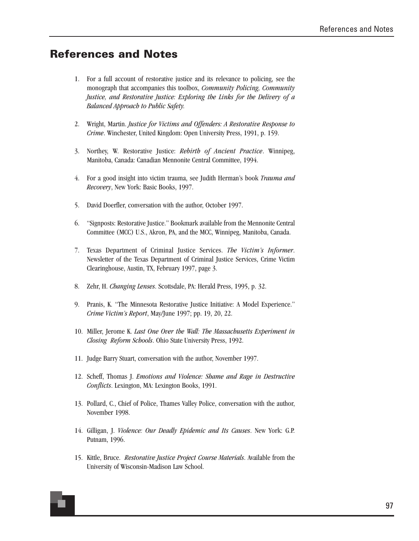## **References and Notes**

- 1. For a full account of restorative justice and its relevance to policing, see the monograph that accompanies this toolbox, *Community Policing, Community Justice, and Restorative Justice: Exploring the Links for the Delivery of a Balanced Approach to Public Safety.*
- 2. Wright, Martin. *Justice for Victims and Offenders: A Restorative Response to Crime*. Winchester, United Kingdom: Open University Press, 1991, p. 159.
- 3. Northey, W. Restorative Justice: *Rebirth of Ancient Practice*. Winnipeg, Manitoba, Canada: Canadian Mennonite Central Committee, 1994.
- 4. For a good insight into victim trauma, see Judith Herman's book *Trauma and Recovery*, New York: Basic Books, 1997.
- 5. David Doerfler, conversation with the author, October 1997.
- 6. "Signposts: Restorative Justice." Bookmark available from the Mennonite Central Committee (MCC) U.S., Akron, PA, and the MCC, Winnipeg, Manitoba, Canada.
- 7. Texas Department of Criminal Justice Services. *The Victim's Informer*. Newsletter of the Texas Department of Criminal Justice Services, Crime Victim Clearinghouse, Austin, TX, February 1997, page 3.
- 8. Zehr, H. *Changing Lenses*. Scottsdale, PA: Herald Press, 1995, p. 32.
- 9. Pranis, K. "The Minnesota Restorative Justice Initiative: A Model Experience." *Crime Victim's Report*, May/June 1997; pp. 19, 20, 22.
- 10. Miller, Jerome K. *Last One Over the Wall: The Massachusetts Experiment in Closing Reform Schools*. Ohio State University Press, 1992.
- 11. Judge Barry Stuart, conversation with the author, November 1997.
- 12. Scheff, Thomas J. *Emotions and Violence: Shame and Rage in Destructive Conflicts*. Lexington, MA: Lexington Books, 1991.
- 13. Pollard, C., Chief of Police, Thames Valley Police, conversation with the author, November 1998.
- 14. Gilligan, J. *Violence: Our Deadly Epidemic and Its Causes*. New York: G.P. Putnam, 1996.
- 15. Kittle, Bruce. *Restorative Justice Project Course Materials*. Available from the University of Wisconsin-Madison Law School.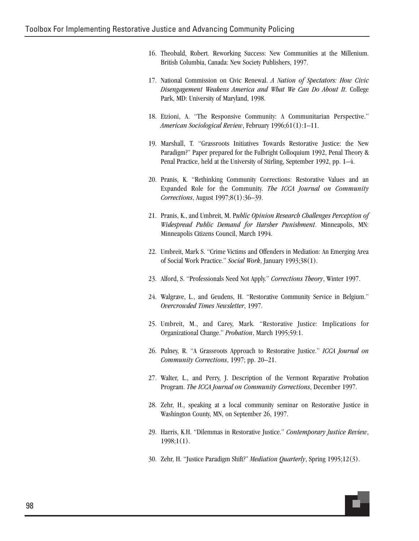- 16. Theobald, Robert. Reworking Success: New Communities at the Millenium. British Columbia, Canada: New Society Publishers, 1997.
- 17. National Commission on Civic Renewal. *A Nation of Spectators: How Civic Disengagement Weakens America and What We Can Do About It*. College Park, MD: University of Maryland, 1998.
- 18. Etzioni, A. "The Responsive Community: A Communitarian Perspective." *American Sociological Review*, February 1996;61(1):1–11.
- 19. Marshall, T. "Grassroots Initiatives Towards Restorative Justice: the New Paradigm?" Paper prepared for the Fulbright Colloquium 1992, Penal Theory & Penal Practice, held at the University of Stirling, September 1992, pp. 1–4.
- 20. Pranis, K. "Rethinking Community Corrections: Restorative Values and an Expanded Role for the Community. *The ICCA Journal on Community Corrections*, August 1997;8(1):36–39.
- 21. Pranis, K., and Umbreit, M. P*ublic Opinion Research Challenges Perception of Widespread Public Demand for Harsher Punishment*. Minneapolis, MN: Minneapolis Citizens Council, March 1994.
- 22. Umbreit, Mark S. "Crime Victims and Offenders in Mediation: An Emerging Area of Social Work Practice." *Social Work*, January 1993;38(1).
- 23. Alford, S. "Professionals Need Not Apply." *Corrections Theory*, Winter 1997.
- 24. Walgrave, L., and Geudens, H. "Restorative Community Service in Belgium." *Overcrowded Times Newsletter*, 1997.
- 25. Umbreit, M., and Carey, Mark. "Restorative Justice: Implications for Organizational Change." *Probation*, March 1995;59:1.
- 26. Pulney, R. "A Grassroots Approach to Restorative Justice." *ICCA Journal on Community Corrections*, 1997; pp. 20–21.
- 27. Walter, L., and Perry, J. Description of the Vermont Reparative Probation Program. *The ICCA Journal on Community Corrections*, December 1997.
- 28. Zehr, H., speaking at a local community seminar on Restorative Justice in Washington County, MN, on September 26, 1997.
- 29. Harris, K.H. "Dilemmas in Restorative Justice." *Contemporary Justice Review*, 1998;1(1).
- 30. Zehr, H. "Justice Paradigm Shift?" *Mediation Quarterly*, Spring 1995;12(3).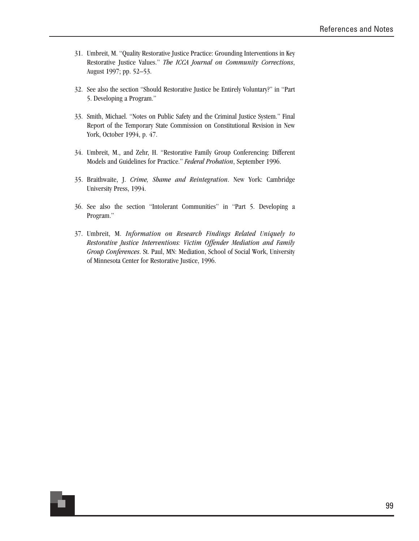- 31. Umbreit, M. "Quality Restorative Justice Practice: Grounding Interventions in Key Restorative Justice Values." *The ICCA Journal on Community Corrections*, August 1997; pp. 52–53.
- 32. See also the section "Should Restorative Justice be Entirely Voluntary?" in "Part 5. Developing a Program."
- 33. Smith, Michael. "Notes on Public Safety and the Criminal Justice System." Final Report of the Temporary State Commission on Constitutional Revision in New York, October 1994, p. 47.
- 34. Umbreit, M., and Zehr, H. "Restorative Family Group Conferencing: Different Models and Guidelines for Practice." *Federal Probation*, September 1996.
- 35. Braithwaite, J. *Crime, Shame and Reintegration*. New York: Cambridge University Press, 1994.
- 36. See also the section "Intolerant Communities" in "Part 5. Developing a Program."
- 37. Umbreit, M. *Information on Research Findings Related Uniquely to Restorative Justice Interventions: Victim Offender Mediation and Family Group Conferences*. St. Paul, MN: Mediation, School of Social Work, University of Minnesota Center for Restorative Justice, 1996.